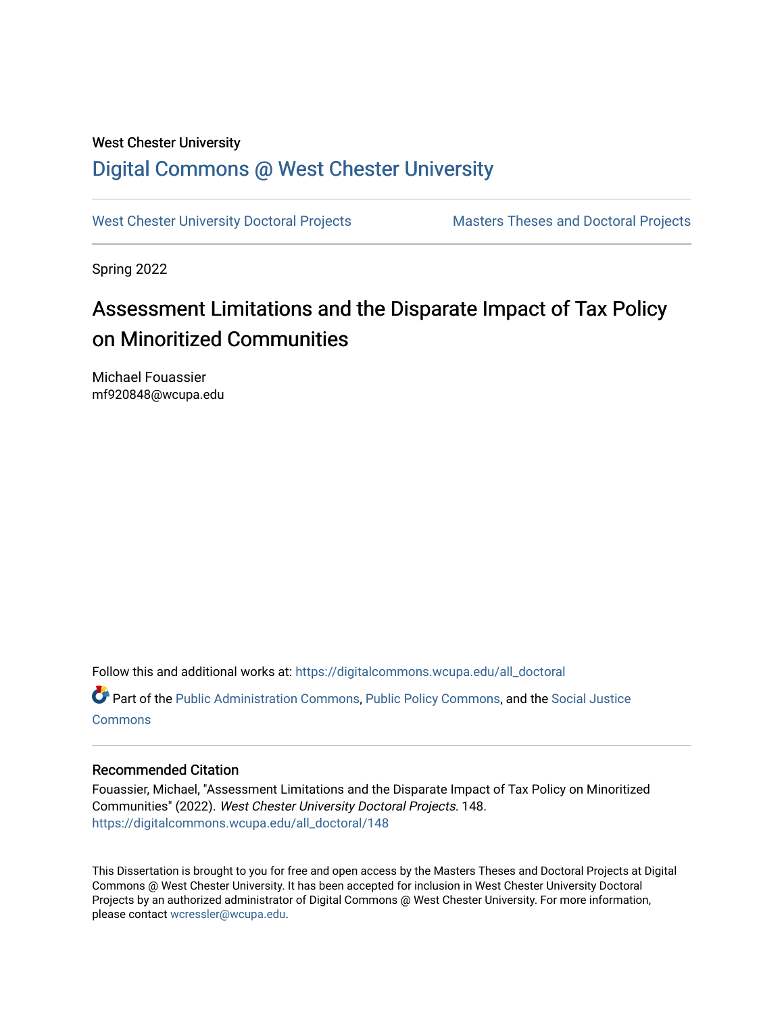# West Chester University [Digital Commons @ West Chester University](https://digitalcommons.wcupa.edu/)

[West Chester University Doctoral Projects](https://digitalcommons.wcupa.edu/all_doctoral) Masters Theses and Doctoral Projects

Spring 2022

# Assessment Limitations and the Disparate Impact of Tax Policy on Minoritized Communities

Michael Fouassier mf920848@wcupa.edu

Follow this and additional works at: [https://digitalcommons.wcupa.edu/all\\_doctoral](https://digitalcommons.wcupa.edu/all_doctoral?utm_source=digitalcommons.wcupa.edu%2Fall_doctoral%2F148&utm_medium=PDF&utm_campaign=PDFCoverPages) 

Part of the [Public Administration Commons](http://network.bepress.com/hgg/discipline/398?utm_source=digitalcommons.wcupa.edu%2Fall_doctoral%2F148&utm_medium=PDF&utm_campaign=PDFCoverPages), [Public Policy Commons,](http://network.bepress.com/hgg/discipline/400?utm_source=digitalcommons.wcupa.edu%2Fall_doctoral%2F148&utm_medium=PDF&utm_campaign=PDFCoverPages) and the [Social Justice](http://network.bepress.com/hgg/discipline/1432?utm_source=digitalcommons.wcupa.edu%2Fall_doctoral%2F148&utm_medium=PDF&utm_campaign=PDFCoverPages)  **[Commons](http://network.bepress.com/hgg/discipline/1432?utm_source=digitalcommons.wcupa.edu%2Fall_doctoral%2F148&utm_medium=PDF&utm_campaign=PDFCoverPages)** 

#### Recommended Citation

Fouassier, Michael, "Assessment Limitations and the Disparate Impact of Tax Policy on Minoritized Communities" (2022). West Chester University Doctoral Projects. 148. [https://digitalcommons.wcupa.edu/all\\_doctoral/148](https://digitalcommons.wcupa.edu/all_doctoral/148?utm_source=digitalcommons.wcupa.edu%2Fall_doctoral%2F148&utm_medium=PDF&utm_campaign=PDFCoverPages) 

This Dissertation is brought to you for free and open access by the Masters Theses and Doctoral Projects at Digital Commons @ West Chester University. It has been accepted for inclusion in West Chester University Doctoral Projects by an authorized administrator of Digital Commons @ West Chester University. For more information, please contact [wcressler@wcupa.edu](mailto:wcressler@wcupa.edu).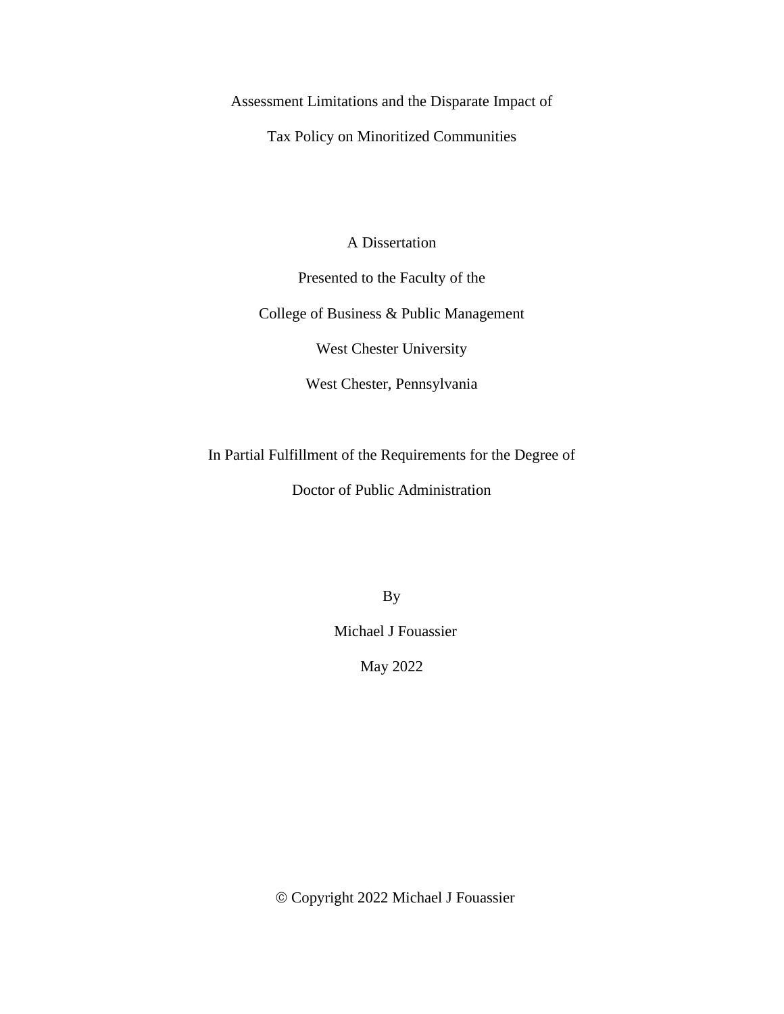Assessment Limitations and the Disparate Impact of

Tax Policy on Minoritized Communities

A Dissertation

Presented to the Faculty of the

College of Business & Public Management

West Chester University

West Chester, Pennsylvania

In Partial Fulfillment of the Requirements for the Degree of

Doctor of Public Administration

By

Michael J Fouassier

May 2022

© Copyright 2022 Michael J Fouassier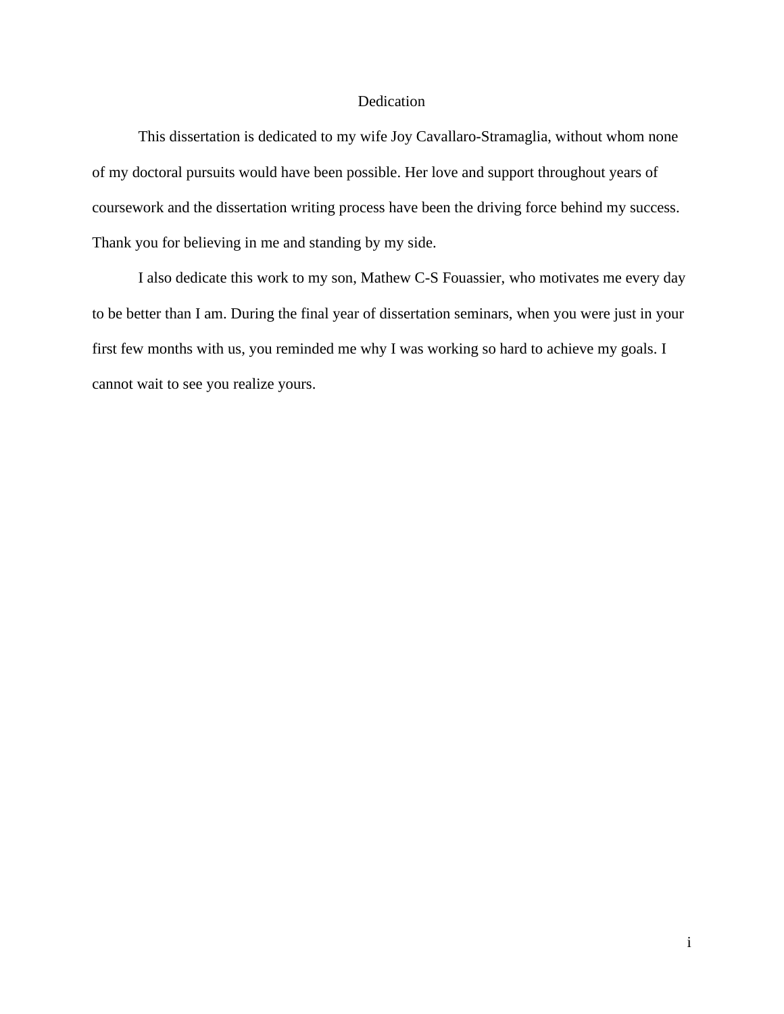#### Dedication

This dissertation is dedicated to my wife Joy Cavallaro-Stramaglia, without whom none of my doctoral pursuits would have been possible. Her love and support throughout years of coursework and the dissertation writing process have been the driving force behind my success. Thank you for believing in me and standing by my side.

I also dedicate this work to my son, Mathew C-S Fouassier, who motivates me every day to be better than I am. During the final year of dissertation seminars, when you were just in your first few months with us, you reminded me why I was working so hard to achieve my goals. I cannot wait to see you realize yours.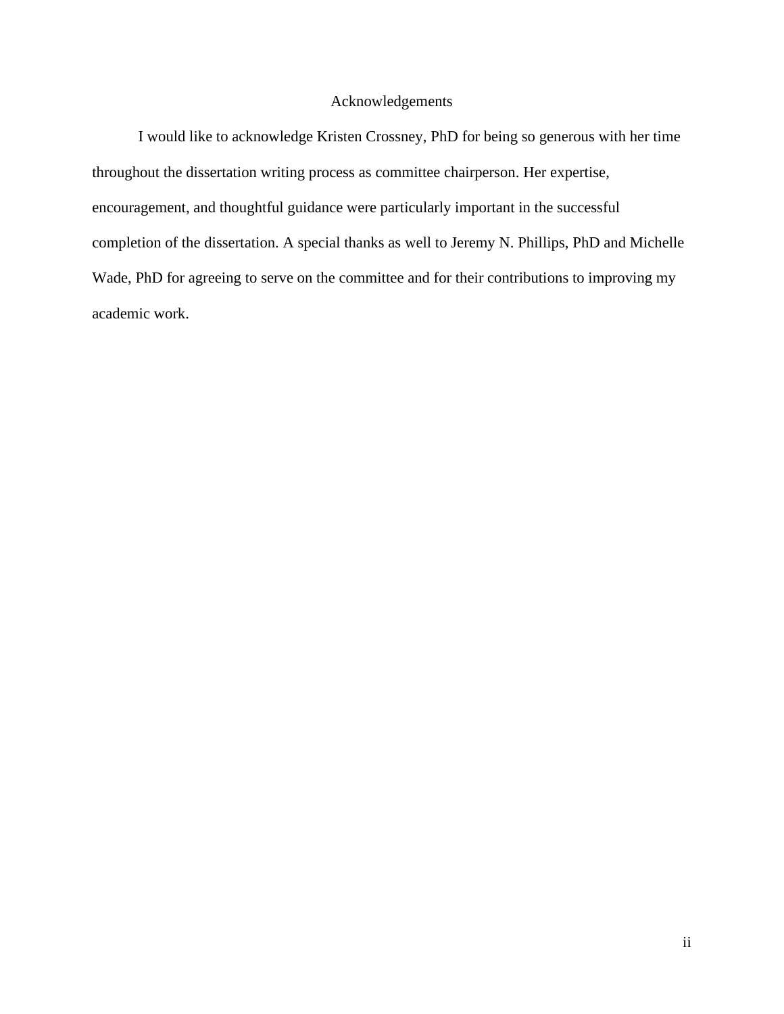### Acknowledgements

I would like to acknowledge Kristen Crossney, PhD for being so generous with her time throughout the dissertation writing process as committee chairperson. Her expertise, encouragement, and thoughtful guidance were particularly important in the successful completion of the dissertation. A special thanks as well to Jeremy N. Phillips, PhD and Michelle Wade, PhD for agreeing to serve on the committee and for their contributions to improving my academic work.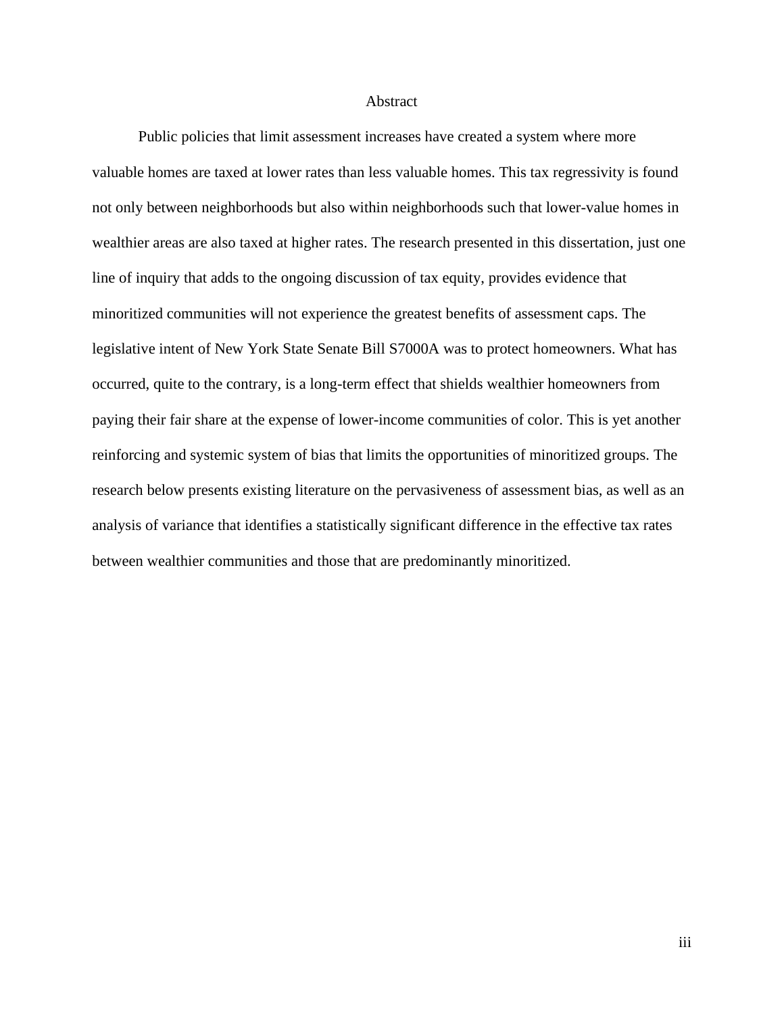#### **Abstract**

Public policies that limit assessment increases have created a system where more valuable homes are taxed at lower rates than less valuable homes. This tax regressivity is found not only between neighborhoods but also within neighborhoods such that lower-value homes in wealthier areas are also taxed at higher rates. The research presented in this dissertation, just one line of inquiry that adds to the ongoing discussion of tax equity, provides evidence that minoritized communities will not experience the greatest benefits of assessment caps. The legislative intent of New York State Senate Bill S7000A was to protect homeowners. What has occurred, quite to the contrary, is a long-term effect that shields wealthier homeowners from paying their fair share at the expense of lower-income communities of color. This is yet another reinforcing and systemic system of bias that limits the opportunities of minoritized groups. The research below presents existing literature on the pervasiveness of assessment bias, as well as an analysis of variance that identifies a statistically significant difference in the effective tax rates between wealthier communities and those that are predominantly minoritized.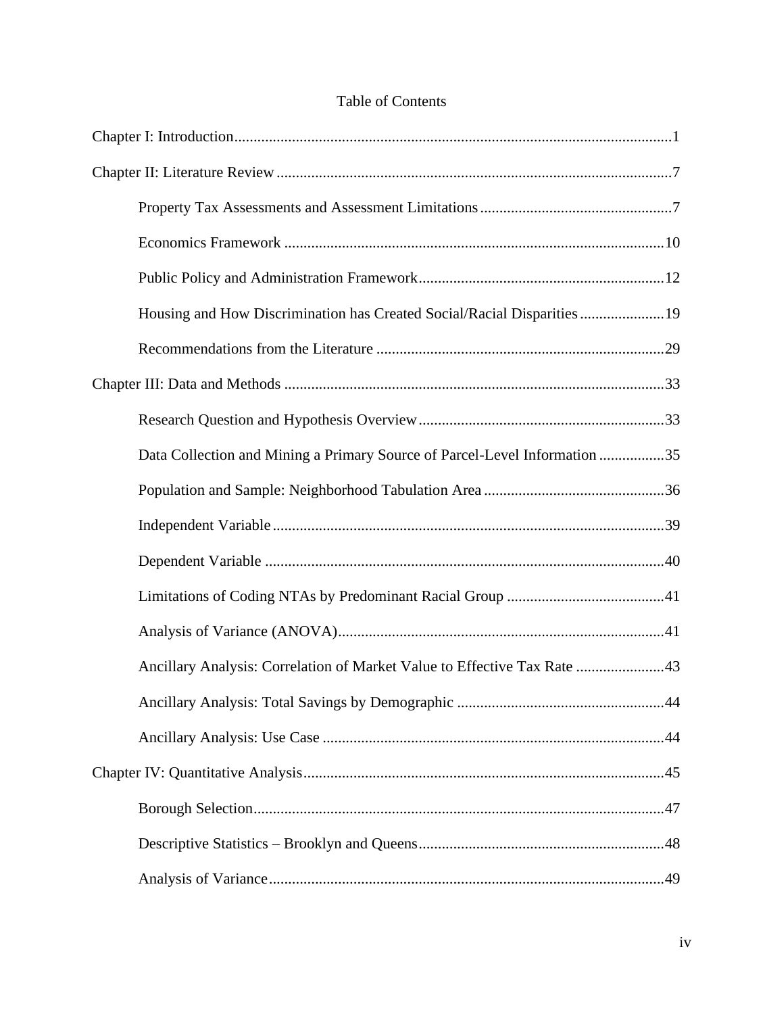## Table of Contents

| Housing and How Discrimination has Created Social/Racial Disparities 19    |  |
|----------------------------------------------------------------------------|--|
|                                                                            |  |
|                                                                            |  |
|                                                                            |  |
| Data Collection and Mining a Primary Source of Parcel-Level Information 35 |  |
|                                                                            |  |
|                                                                            |  |
|                                                                            |  |
|                                                                            |  |
|                                                                            |  |
| Ancillary Analysis: Correlation of Market Value to Effective Tax Rate 43   |  |
|                                                                            |  |
|                                                                            |  |
|                                                                            |  |
|                                                                            |  |
|                                                                            |  |
|                                                                            |  |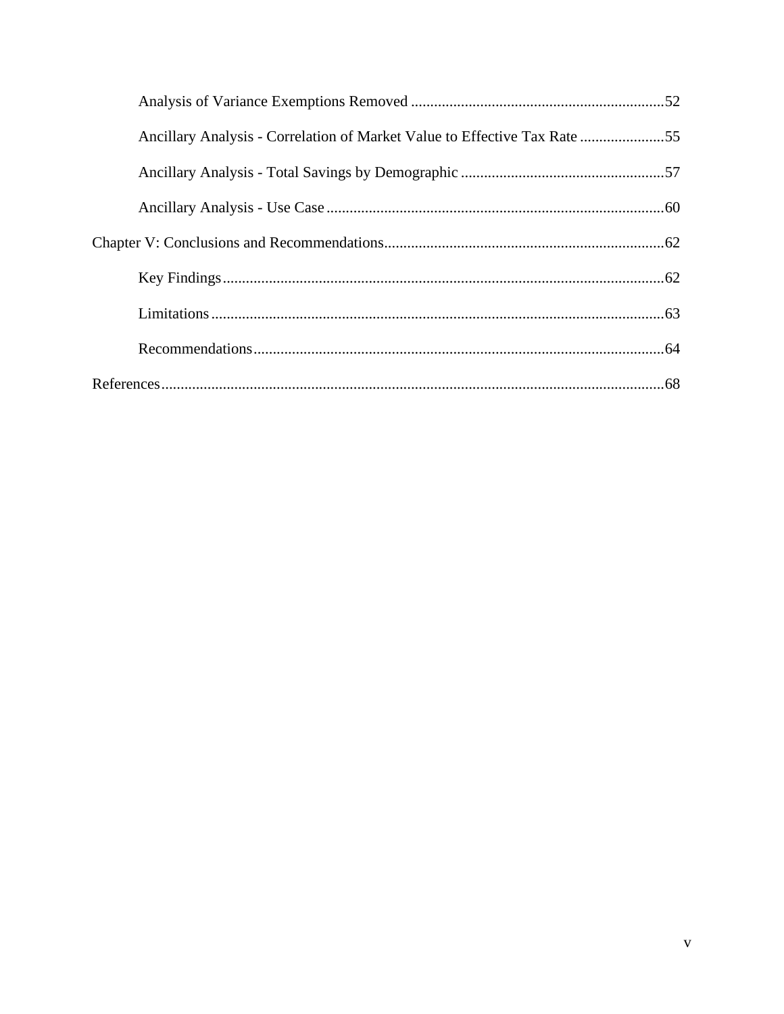| Ancillary Analysis - Correlation of Market Value to Effective Tax Rate 55 |  |
|---------------------------------------------------------------------------|--|
|                                                                           |  |
|                                                                           |  |
|                                                                           |  |
|                                                                           |  |
|                                                                           |  |
|                                                                           |  |
|                                                                           |  |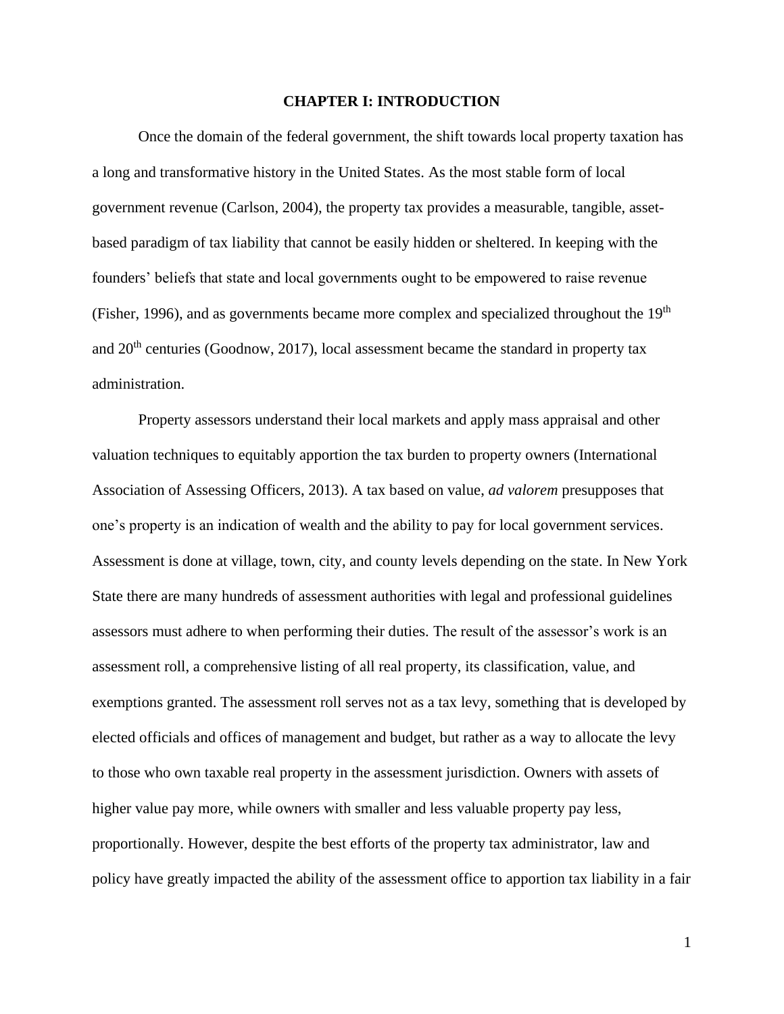#### **CHAPTER I: INTRODUCTION**

Once the domain of the federal government, the shift towards local property taxation has a long and transformative history in the United States. As the most stable form of local government revenue (Carlson, 2004), the property tax provides a measurable, tangible, assetbased paradigm of tax liability that cannot be easily hidden or sheltered. In keeping with the founders' beliefs that state and local governments ought to be empowered to raise revenue (Fisher, 1996), and as governments became more complex and specialized throughout the 19<sup>th</sup> and  $20<sup>th</sup>$  centuries (Goodnow, 2017), local assessment became the standard in property tax administration.

Property assessors understand their local markets and apply mass appraisal and other valuation techniques to equitably apportion the tax burden to property owners (International Association of Assessing Officers, 2013). A tax based on value, *ad valorem* presupposes that one's property is an indication of wealth and the ability to pay for local government services. Assessment is done at village, town, city, and county levels depending on the state. In New York State there are many hundreds of assessment authorities with legal and professional guidelines assessors must adhere to when performing their duties. The result of the assessor's work is an assessment roll, a comprehensive listing of all real property, its classification, value, and exemptions granted. The assessment roll serves not as a tax levy, something that is developed by elected officials and offices of management and budget, but rather as a way to allocate the levy to those who own taxable real property in the assessment jurisdiction. Owners with assets of higher value pay more, while owners with smaller and less valuable property pay less, proportionally. However, despite the best efforts of the property tax administrator, law and policy have greatly impacted the ability of the assessment office to apportion tax liability in a fair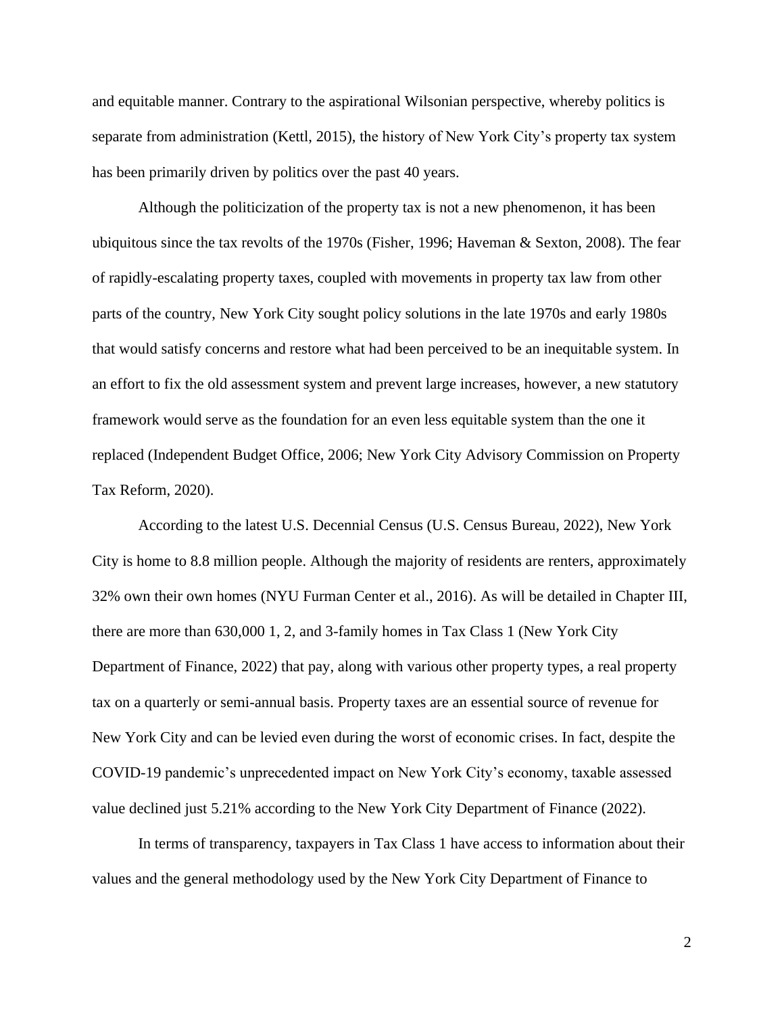and equitable manner. Contrary to the aspirational Wilsonian perspective, whereby politics is separate from administration (Kettl, 2015), the history of New York City's property tax system has been primarily driven by politics over the past 40 years.

Although the politicization of the property tax is not a new phenomenon, it has been ubiquitous since the tax revolts of the 1970s (Fisher, 1996; Haveman & Sexton, 2008). The fear of rapidly-escalating property taxes, coupled with movements in property tax law from other parts of the country, New York City sought policy solutions in the late 1970s and early 1980s that would satisfy concerns and restore what had been perceived to be an inequitable system. In an effort to fix the old assessment system and prevent large increases, however, a new statutory framework would serve as the foundation for an even less equitable system than the one it replaced (Independent Budget Office, 2006; New York City Advisory Commission on Property Tax Reform, 2020).

According to the latest U.S. Decennial Census (U.S. Census Bureau, 2022), New York City is home to 8.8 million people. Although the majority of residents are renters, approximately 32% own their own homes (NYU Furman Center et al., 2016). As will be detailed in Chapter III, there are more than 630,000 1, 2, and 3-family homes in Tax Class 1 (New York City Department of Finance, 2022) that pay, along with various other property types, a real property tax on a quarterly or semi-annual basis. Property taxes are an essential source of revenue for New York City and can be levied even during the worst of economic crises. In fact, despite the COVID-19 pandemic's unprecedented impact on New York City's economy, taxable assessed value declined just 5.21% according to the New York City Department of Finance (2022).

In terms of transparency, taxpayers in Tax Class 1 have access to information about their values and the general methodology used by the New York City Department of Finance to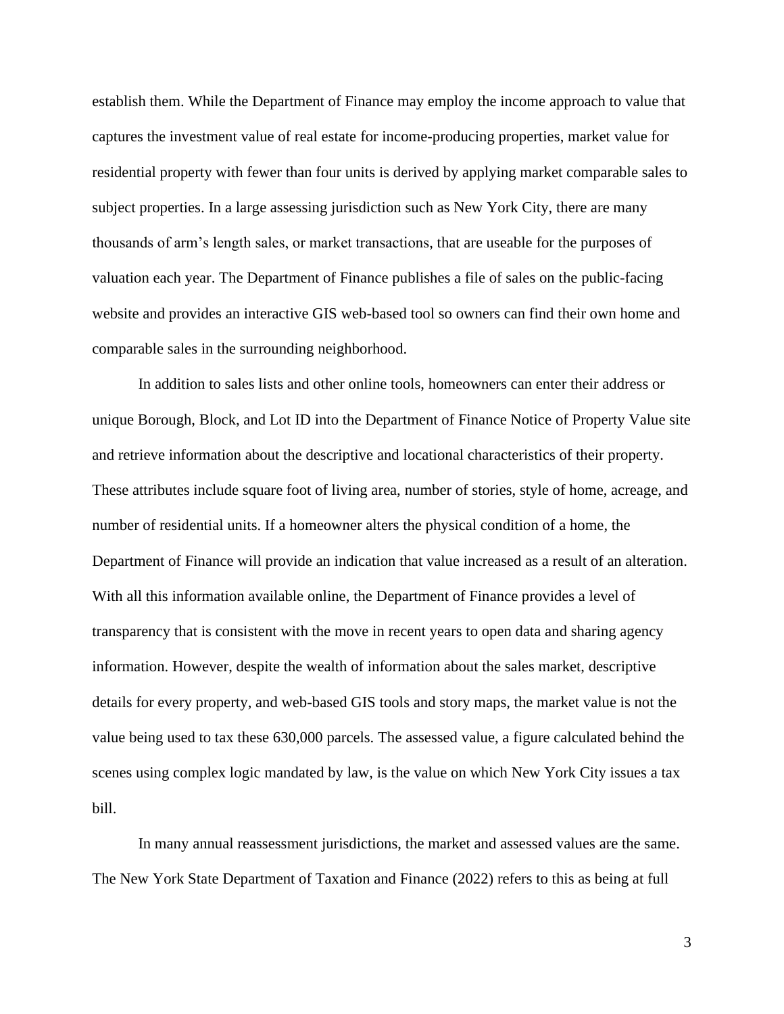establish them. While the Department of Finance may employ the income approach to value that captures the investment value of real estate for income-producing properties, market value for residential property with fewer than four units is derived by applying market comparable sales to subject properties. In a large assessing jurisdiction such as New York City, there are many thousands of arm's length sales, or market transactions, that are useable for the purposes of valuation each year. The Department of Finance publishes a file of sales on the public-facing website and provides an interactive GIS web-based tool so owners can find their own home and comparable sales in the surrounding neighborhood.

In addition to sales lists and other online tools, homeowners can enter their address or unique Borough, Block, and Lot ID into the Department of Finance Notice of Property Value site and retrieve information about the descriptive and locational characteristics of their property. These attributes include square foot of living area, number of stories, style of home, acreage, and number of residential units. If a homeowner alters the physical condition of a home, the Department of Finance will provide an indication that value increased as a result of an alteration. With all this information available online, the Department of Finance provides a level of transparency that is consistent with the move in recent years to open data and sharing agency information. However, despite the wealth of information about the sales market, descriptive details for every property, and web-based GIS tools and story maps, the market value is not the value being used to tax these 630,000 parcels. The assessed value, a figure calculated behind the scenes using complex logic mandated by law, is the value on which New York City issues a tax bill.

In many annual reassessment jurisdictions, the market and assessed values are the same. The New York State Department of Taxation and Finance (2022) refers to this as being at full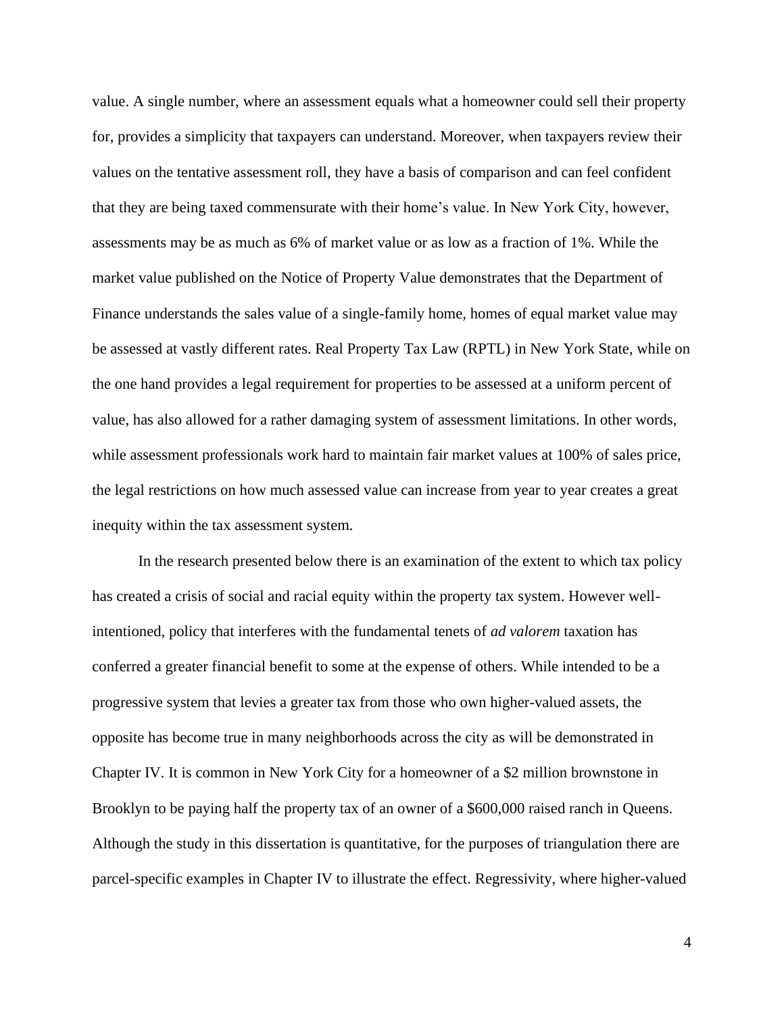value. A single number, where an assessment equals what a homeowner could sell their property for, provides a simplicity that taxpayers can understand. Moreover, when taxpayers review their values on the tentative assessment roll, they have a basis of comparison and can feel confident that they are being taxed commensurate with their home's value. In New York City, however, assessments may be as much as 6% of market value or as low as a fraction of 1%. While the market value published on the Notice of Property Value demonstrates that the Department of Finance understands the sales value of a single-family home, homes of equal market value may be assessed at vastly different rates. Real Property Tax Law (RPTL) in New York State, while on the one hand provides a legal requirement for properties to be assessed at a uniform percent of value, has also allowed for a rather damaging system of assessment limitations. In other words, while assessment professionals work hard to maintain fair market values at 100% of sales price, the legal restrictions on how much assessed value can increase from year to year creates a great inequity within the tax assessment system.

In the research presented below there is an examination of the extent to which tax policy has created a crisis of social and racial equity within the property tax system. However wellintentioned, policy that interferes with the fundamental tenets of *ad valorem* taxation has conferred a greater financial benefit to some at the expense of others. While intended to be a progressive system that levies a greater tax from those who own higher-valued assets, the opposite has become true in many neighborhoods across the city as will be demonstrated in Chapter IV. It is common in New York City for a homeowner of a \$2 million brownstone in Brooklyn to be paying half the property tax of an owner of a \$600,000 raised ranch in Queens. Although the study in this dissertation is quantitative, for the purposes of triangulation there are parcel-specific examples in Chapter IV to illustrate the effect. Regressivity, where higher-valued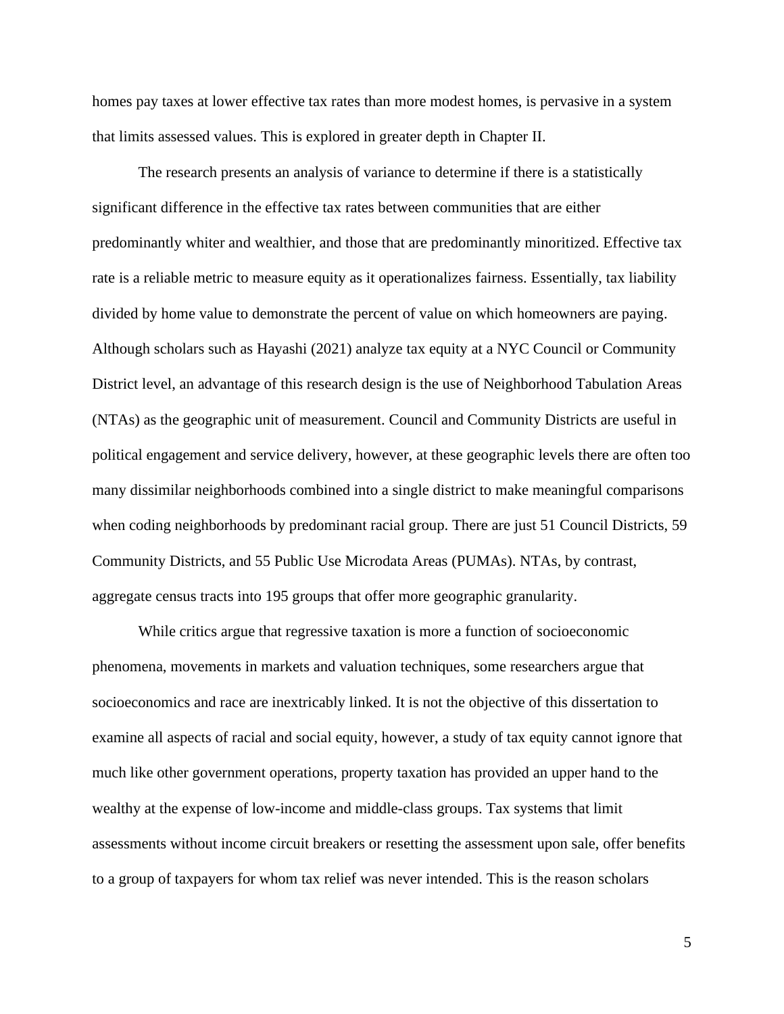homes pay taxes at lower effective tax rates than more modest homes, is pervasive in a system that limits assessed values. This is explored in greater depth in Chapter II.

The research presents an analysis of variance to determine if there is a statistically significant difference in the effective tax rates between communities that are either predominantly whiter and wealthier, and those that are predominantly minoritized. Effective tax rate is a reliable metric to measure equity as it operationalizes fairness. Essentially, tax liability divided by home value to demonstrate the percent of value on which homeowners are paying. Although scholars such as Hayashi (2021) analyze tax equity at a NYC Council or Community District level, an advantage of this research design is the use of Neighborhood Tabulation Areas (NTAs) as the geographic unit of measurement. Council and Community Districts are useful in political engagement and service delivery, however, at these geographic levels there are often too many dissimilar neighborhoods combined into a single district to make meaningful comparisons when coding neighborhoods by predominant racial group. There are just 51 Council Districts, 59 Community Districts, and 55 Public Use Microdata Areas (PUMAs). NTAs, by contrast, aggregate census tracts into 195 groups that offer more geographic granularity.

While critics argue that regressive taxation is more a function of socioeconomic phenomena, movements in markets and valuation techniques, some researchers argue that socioeconomics and race are inextricably linked. It is not the objective of this dissertation to examine all aspects of racial and social equity, however, a study of tax equity cannot ignore that much like other government operations, property taxation has provided an upper hand to the wealthy at the expense of low-income and middle-class groups. Tax systems that limit assessments without income circuit breakers or resetting the assessment upon sale, offer benefits to a group of taxpayers for whom tax relief was never intended. This is the reason scholars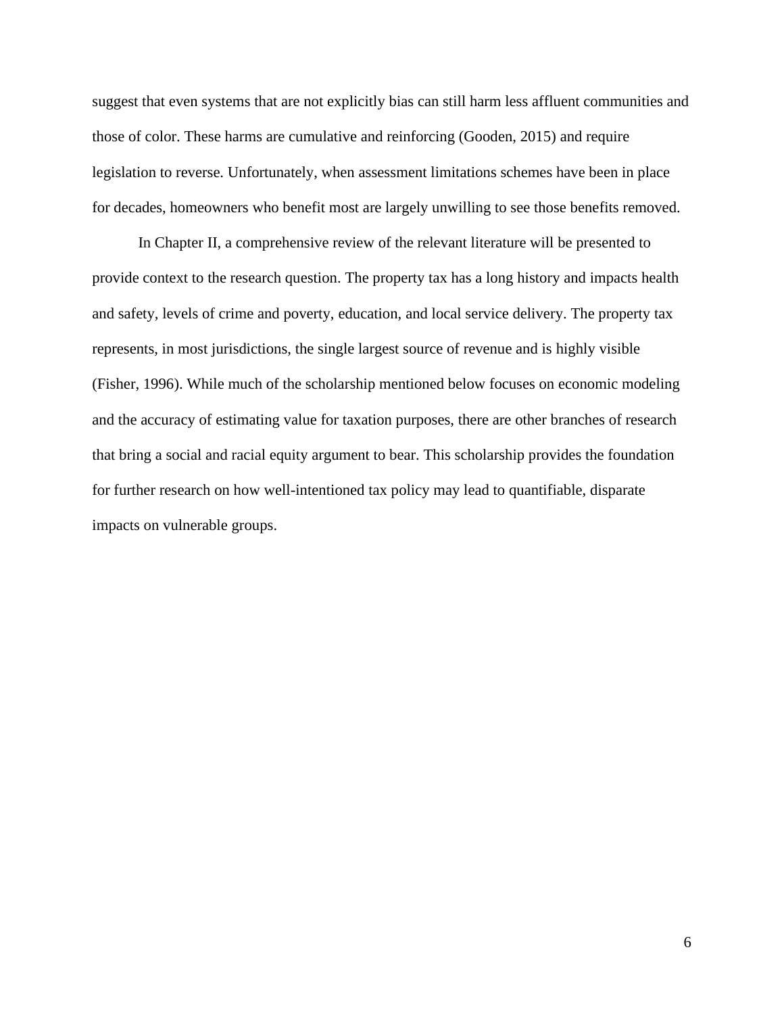suggest that even systems that are not explicitly bias can still harm less affluent communities and those of color. These harms are cumulative and reinforcing (Gooden, 2015) and require legislation to reverse. Unfortunately, when assessment limitations schemes have been in place for decades, homeowners who benefit most are largely unwilling to see those benefits removed.

In Chapter II, a comprehensive review of the relevant literature will be presented to provide context to the research question. The property tax has a long history and impacts health and safety, levels of crime and poverty, education, and local service delivery. The property tax represents, in most jurisdictions, the single largest source of revenue and is highly visible (Fisher, 1996). While much of the scholarship mentioned below focuses on economic modeling and the accuracy of estimating value for taxation purposes, there are other branches of research that bring a social and racial equity argument to bear. This scholarship provides the foundation for further research on how well-intentioned tax policy may lead to quantifiable, disparate impacts on vulnerable groups.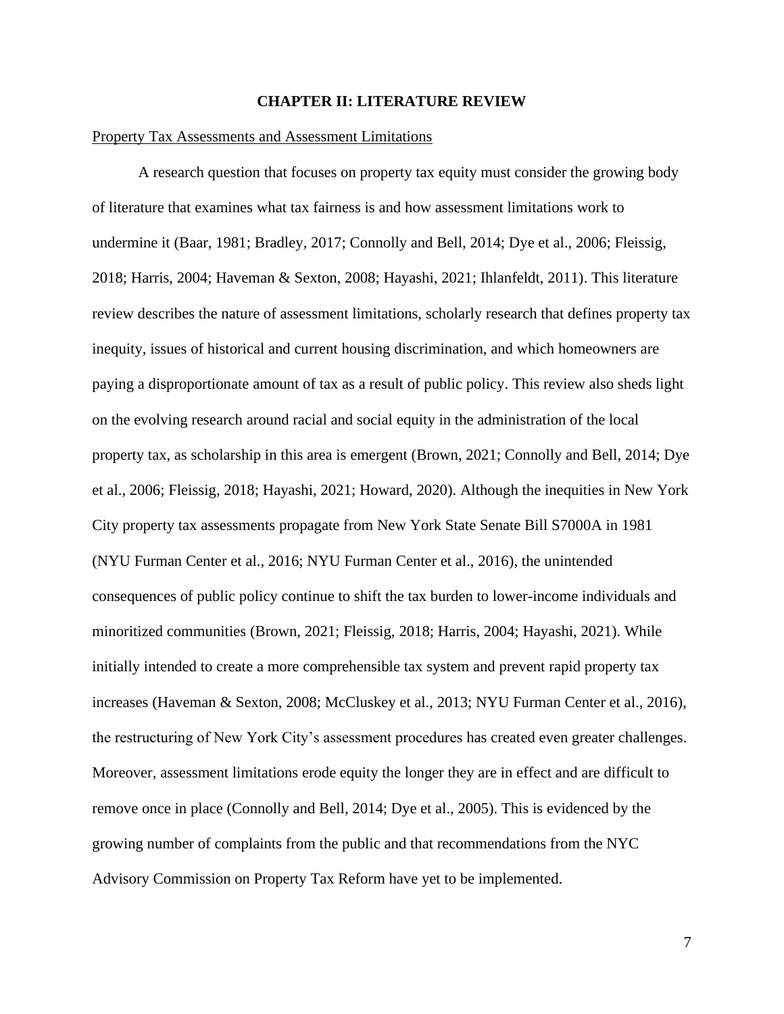#### **CHAPTER II: LITERATURE REVIEW**

#### Property Tax Assessments and Assessment Limitations

A research question that focuses on property tax equity must consider the growing body of literature that examines what tax fairness is and how assessment limitations work to undermine it (Baar, 1981; Bradley, 2017; Connolly and Bell, 2014; Dye et al., 2006; Fleissig, 2018; Harris, 2004; Haveman & Sexton, 2008; Hayashi, 2021; Ihlanfeldt, 2011). This literature review describes the nature of assessment limitations, scholarly research that defines property tax inequity, issues of historical and current housing discrimination, and which homeowners are paying a disproportionate amount of tax as a result of public policy. This review also sheds light on the evolving research around racial and social equity in the administration of the local property tax, as scholarship in this area is emergent (Brown, 2021; Connolly and Bell, 2014; Dye et al., 2006; Fleissig, 2018; Hayashi, 2021; Howard, 2020). Although the inequities in New York City property tax assessments propagate from New York State Senate Bill S7000A in 1981 (NYU Furman Center et al., 2016; NYU Furman Center et al., 2016), the unintended consequences of public policy continue to shift the tax burden to lower-income individuals and minoritized communities (Brown, 2021; Fleissig, 2018; Harris, 2004; Hayashi, 2021). While initially intended to create a more comprehensible tax system and prevent rapid property tax increases (Haveman & Sexton, 2008; McCluskey et al., 2013; NYU Furman Center et al., 2016), the restructuring of New York City's assessment procedures has created even greater challenges. Moreover, assessment limitations erode equity the longer they are in effect and are difficult to remove once in place (Connolly and Bell, 2014; Dye et al., 2005). This is evidenced by the growing number of complaints from the public and that recommendations from the NYC Advisory Commission on Property Tax Reform have yet to be implemented.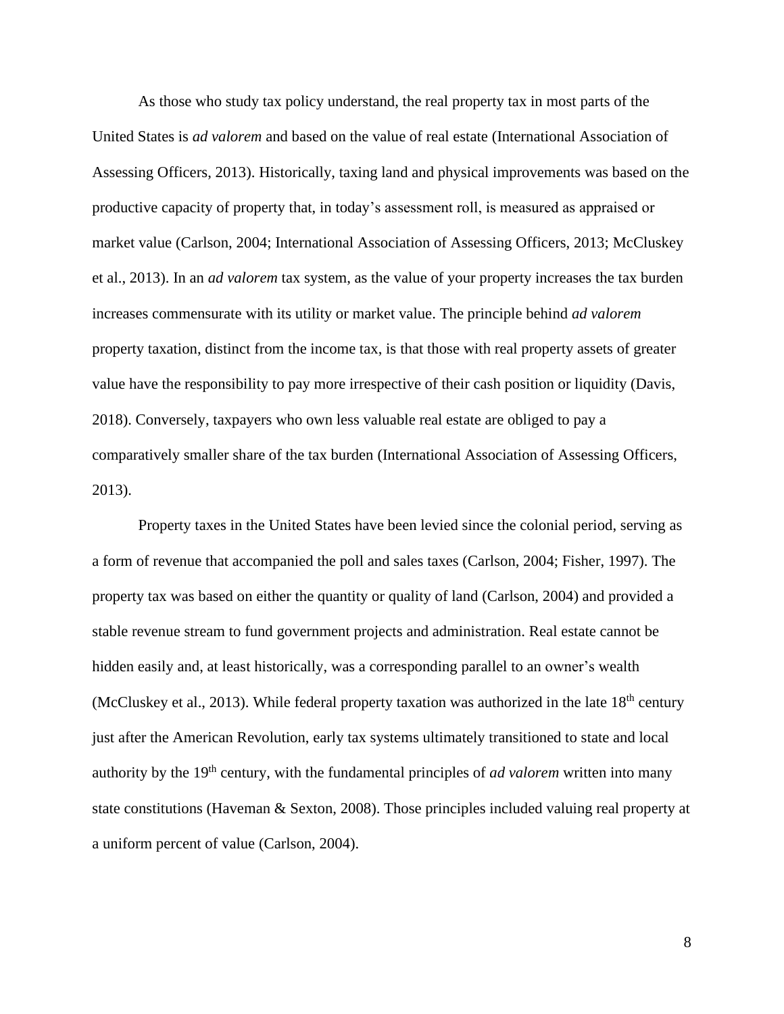As those who study tax policy understand, the real property tax in most parts of the United States is *ad valorem* and based on the value of real estate (International Association of Assessing Officers, 2013). Historically, taxing land and physical improvements was based on the productive capacity of property that, in today's assessment roll, is measured as appraised or market value (Carlson, 2004; International Association of Assessing Officers, 2013; McCluskey et al., 2013). In an *ad valorem* tax system, as the value of your property increases the tax burden increases commensurate with its utility or market value. The principle behind *ad valorem* property taxation, distinct from the income tax, is that those with real property assets of greater value have the responsibility to pay more irrespective of their cash position or liquidity (Davis, 2018). Conversely, taxpayers who own less valuable real estate are obliged to pay a comparatively smaller share of the tax burden (International Association of Assessing Officers, 2013).

Property taxes in the United States have been levied since the colonial period, serving as a form of revenue that accompanied the poll and sales taxes (Carlson, 2004; Fisher, 1997). The property tax was based on either the quantity or quality of land (Carlson, 2004) and provided a stable revenue stream to fund government projects and administration. Real estate cannot be hidden easily and, at least historically, was a corresponding parallel to an owner's wealth (McCluskey et al., 2013). While federal property taxation was authorized in the late  $18<sup>th</sup>$  century just after the American Revolution, early tax systems ultimately transitioned to state and local authority by the 19<sup>th</sup> century, with the fundamental principles of *ad valorem* written into many state constitutions (Haveman & Sexton, 2008). Those principles included valuing real property at a uniform percent of value (Carlson, 2004).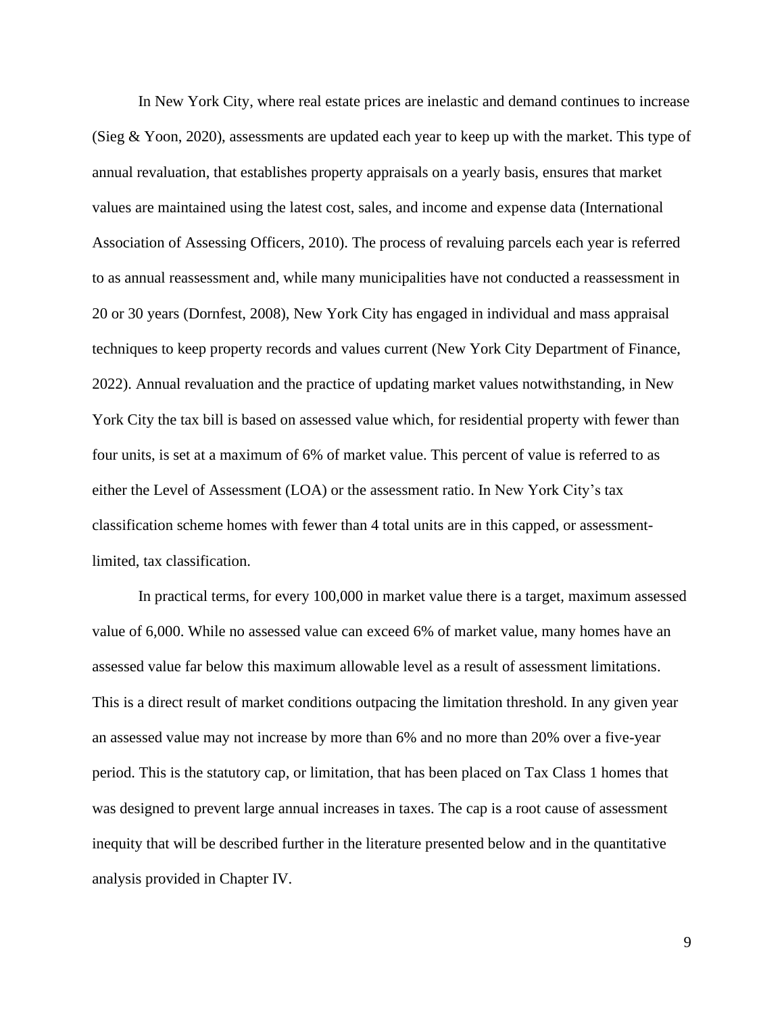In New York City, where real estate prices are inelastic and demand continues to increase (Sieg  $& Y$ oon, 2020), assessments are updated each year to keep up with the market. This type of annual revaluation, that establishes property appraisals on a yearly basis, ensures that market values are maintained using the latest cost, sales, and income and expense data (International Association of Assessing Officers, 2010). The process of revaluing parcels each year is referred to as annual reassessment and, while many municipalities have not conducted a reassessment in 20 or 30 years (Dornfest, 2008), New York City has engaged in individual and mass appraisal techniques to keep property records and values current (New York City Department of Finance, 2022). Annual revaluation and the practice of updating market values notwithstanding, in New York City the tax bill is based on assessed value which, for residential property with fewer than four units, is set at a maximum of 6% of market value. This percent of value is referred to as either the Level of Assessment (LOA) or the assessment ratio. In New York City's tax classification scheme homes with fewer than 4 total units are in this capped, or assessmentlimited, tax classification.

In practical terms, for every 100,000 in market value there is a target, maximum assessed value of 6,000. While no assessed value can exceed 6% of market value, many homes have an assessed value far below this maximum allowable level as a result of assessment limitations. This is a direct result of market conditions outpacing the limitation threshold. In any given year an assessed value may not increase by more than 6% and no more than 20% over a five-year period. This is the statutory cap, or limitation, that has been placed on Tax Class 1 homes that was designed to prevent large annual increases in taxes. The cap is a root cause of assessment inequity that will be described further in the literature presented below and in the quantitative analysis provided in Chapter IV.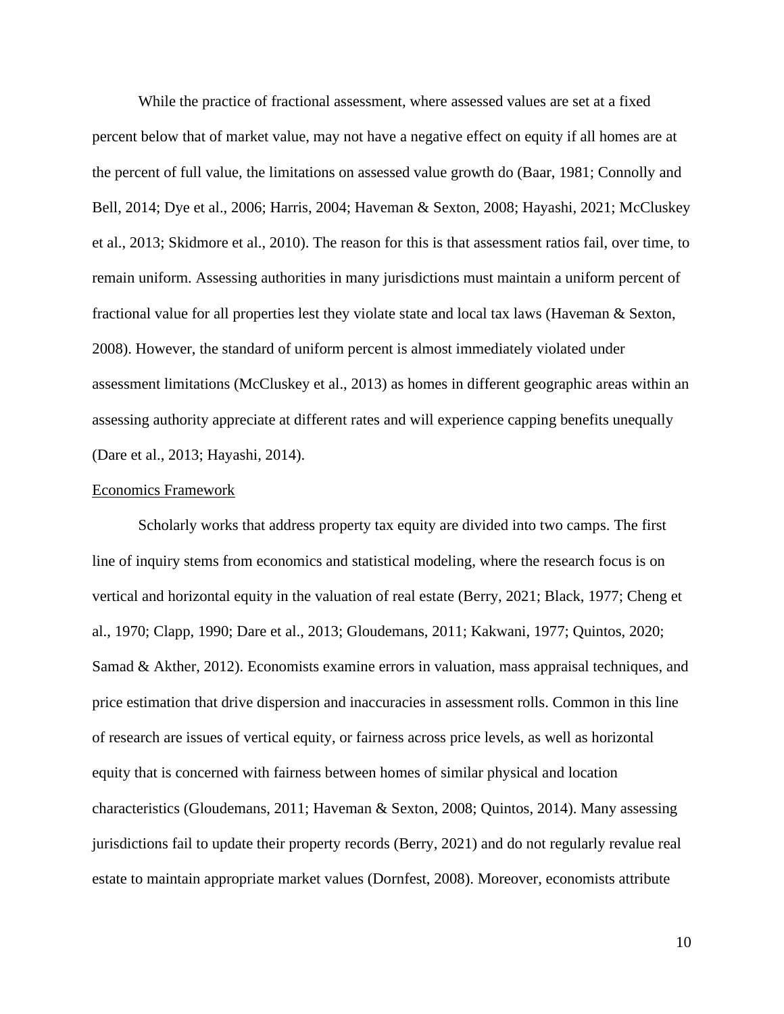While the practice of fractional assessment, where assessed values are set at a fixed percent below that of market value, may not have a negative effect on equity if all homes are at the percent of full value, the limitations on assessed value growth do (Baar, 1981; Connolly and Bell, 2014; Dye et al., 2006; Harris, 2004; Haveman & Sexton, 2008; Hayashi, 2021; McCluskey et al., 2013; Skidmore et al., 2010). The reason for this is that assessment ratios fail, over time, to remain uniform. Assessing authorities in many jurisdictions must maintain a uniform percent of fractional value for all properties lest they violate state and local tax laws (Haveman & Sexton, 2008). However, the standard of uniform percent is almost immediately violated under assessment limitations (McCluskey et al., 2013) as homes in different geographic areas within an assessing authority appreciate at different rates and will experience capping benefits unequally (Dare et al., 2013; Hayashi, 2014).

#### Economics Framework

Scholarly works that address property tax equity are divided into two camps. The first line of inquiry stems from economics and statistical modeling, where the research focus is on vertical and horizontal equity in the valuation of real estate (Berry, 2021; Black, 1977; Cheng et al., 1970; Clapp, 1990; Dare et al., 2013; Gloudemans, 2011; Kakwani, 1977; Quintos, 2020; Samad & Akther, 2012). Economists examine errors in valuation, mass appraisal techniques, and price estimation that drive dispersion and inaccuracies in assessment rolls. Common in this line of research are issues of vertical equity, or fairness across price levels, as well as horizontal equity that is concerned with fairness between homes of similar physical and location characteristics (Gloudemans, 2011; Haveman & Sexton, 2008; Quintos, 2014). Many assessing jurisdictions fail to update their property records (Berry, 2021) and do not regularly revalue real estate to maintain appropriate market values (Dornfest, 2008). Moreover, economists attribute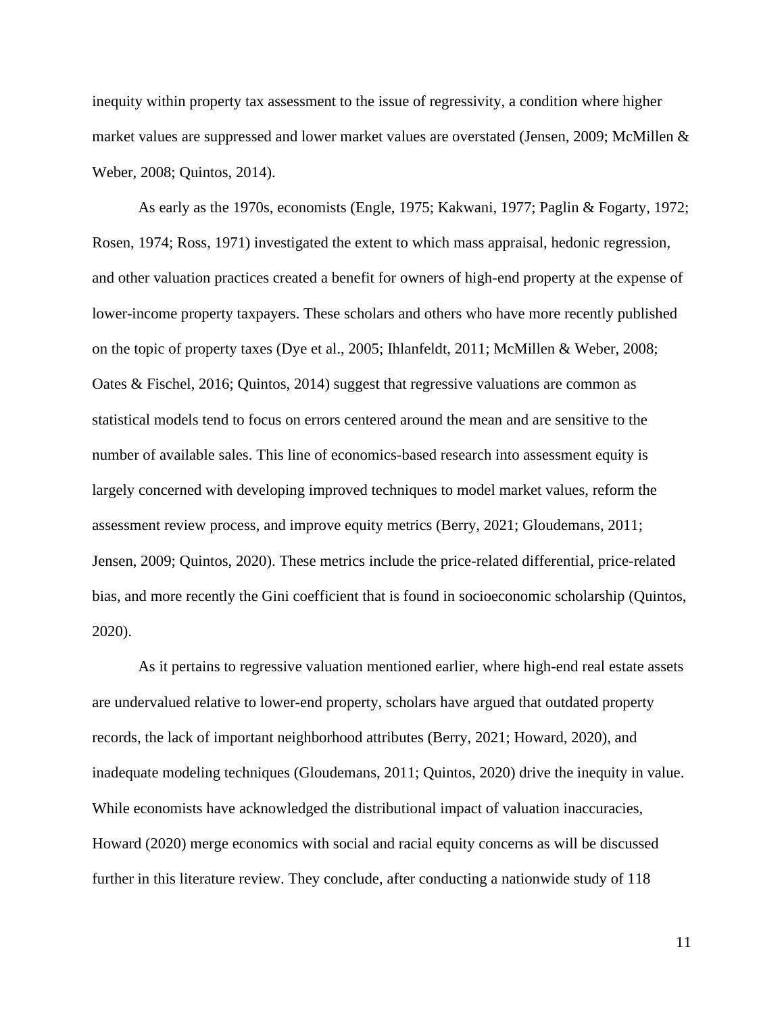inequity within property tax assessment to the issue of regressivity, a condition where higher market values are suppressed and lower market values are overstated (Jensen, 2009; McMillen & Weber, 2008; Quintos, 2014).

As early as the 1970s, economists (Engle, 1975; Kakwani, 1977; Paglin & Fogarty, 1972; Rosen, 1974; Ross, 1971) investigated the extent to which mass appraisal, hedonic regression, and other valuation practices created a benefit for owners of high-end property at the expense of lower-income property taxpayers. These scholars and others who have more recently published on the topic of property taxes (Dye et al., 2005; Ihlanfeldt, 2011; McMillen & Weber, 2008; Oates & Fischel, 2016; Quintos, 2014) suggest that regressive valuations are common as statistical models tend to focus on errors centered around the mean and are sensitive to the number of available sales. This line of economics-based research into assessment equity is largely concerned with developing improved techniques to model market values, reform the assessment review process, and improve equity metrics (Berry, 2021; Gloudemans, 2011; Jensen, 2009; Quintos, 2020). These metrics include the price-related differential, price-related bias, and more recently the Gini coefficient that is found in socioeconomic scholarship (Quintos, 2020).

As it pertains to regressive valuation mentioned earlier, where high-end real estate assets are undervalued relative to lower-end property, scholars have argued that outdated property records, the lack of important neighborhood attributes (Berry, 2021; Howard, 2020), and inadequate modeling techniques (Gloudemans, 2011; Quintos, 2020) drive the inequity in value. While economists have acknowledged the distributional impact of valuation inaccuracies, Howard (2020) merge economics with social and racial equity concerns as will be discussed further in this literature review. They conclude, after conducting a nationwide study of 118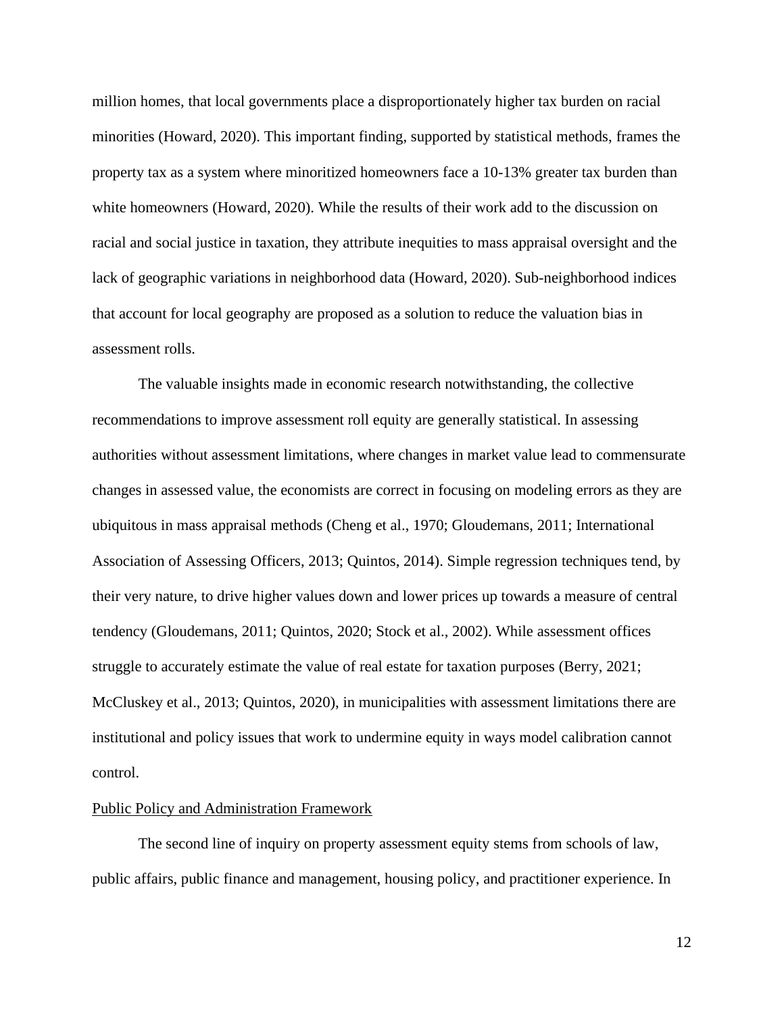million homes, that local governments place a disproportionately higher tax burden on racial minorities (Howard, 2020). This important finding, supported by statistical methods, frames the property tax as a system where minoritized homeowners face a 10-13% greater tax burden than white homeowners (Howard, 2020). While the results of their work add to the discussion on racial and social justice in taxation, they attribute inequities to mass appraisal oversight and the lack of geographic variations in neighborhood data (Howard, 2020). Sub-neighborhood indices that account for local geography are proposed as a solution to reduce the valuation bias in assessment rolls.

The valuable insights made in economic research notwithstanding, the collective recommendations to improve assessment roll equity are generally statistical. In assessing authorities without assessment limitations, where changes in market value lead to commensurate changes in assessed value, the economists are correct in focusing on modeling errors as they are ubiquitous in mass appraisal methods (Cheng et al., 1970; Gloudemans, 2011; International Association of Assessing Officers, 2013; Quintos, 2014). Simple regression techniques tend, by their very nature, to drive higher values down and lower prices up towards a measure of central tendency (Gloudemans, 2011; Quintos, 2020; Stock et al., 2002). While assessment offices struggle to accurately estimate the value of real estate for taxation purposes (Berry, 2021; McCluskey et al., 2013; Quintos, 2020), in municipalities with assessment limitations there are institutional and policy issues that work to undermine equity in ways model calibration cannot control.

#### Public Policy and Administration Framework

The second line of inquiry on property assessment equity stems from schools of law, public affairs, public finance and management, housing policy, and practitioner experience. In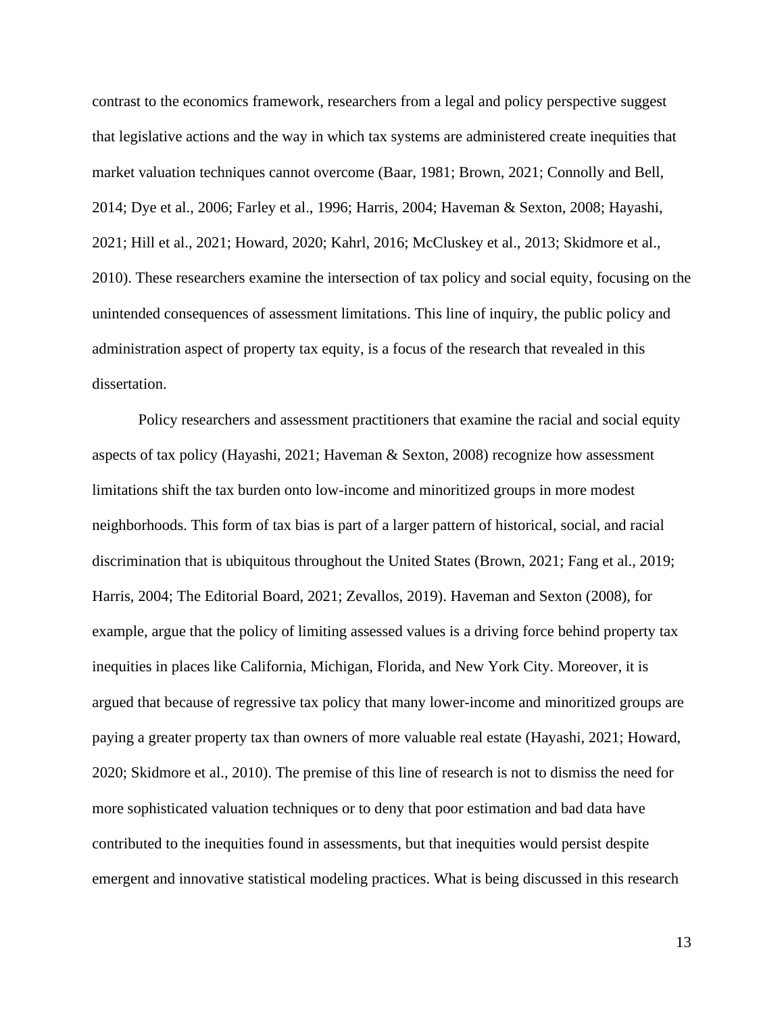contrast to the economics framework, researchers from a legal and policy perspective suggest that legislative actions and the way in which tax systems are administered create inequities that market valuation techniques cannot overcome (Baar, 1981; Brown, 2021; Connolly and Bell, 2014; Dye et al., 2006; Farley et al., 1996; Harris, 2004; Haveman & Sexton, 2008; Hayashi, 2021; Hill et al., 2021; Howard, 2020; Kahrl, 2016; McCluskey et al., 2013; Skidmore et al., 2010). These researchers examine the intersection of tax policy and social equity, focusing on the unintended consequences of assessment limitations. This line of inquiry, the public policy and administration aspect of property tax equity, is a focus of the research that revealed in this dissertation.

Policy researchers and assessment practitioners that examine the racial and social equity aspects of tax policy (Hayashi, 2021; Haveman & Sexton, 2008) recognize how assessment limitations shift the tax burden onto low-income and minoritized groups in more modest neighborhoods. This form of tax bias is part of a larger pattern of historical, social, and racial discrimination that is ubiquitous throughout the United States (Brown, 2021; Fang et al., 2019; Harris, 2004; The Editorial Board, 2021; Zevallos, 2019). Haveman and Sexton (2008), for example, argue that the policy of limiting assessed values is a driving force behind property tax inequities in places like California, Michigan, Florida, and New York City. Moreover, it is argued that because of regressive tax policy that many lower-income and minoritized groups are paying a greater property tax than owners of more valuable real estate (Hayashi, 2021; Howard, 2020; Skidmore et al., 2010). The premise of this line of research is not to dismiss the need for more sophisticated valuation techniques or to deny that poor estimation and bad data have contributed to the inequities found in assessments, but that inequities would persist despite emergent and innovative statistical modeling practices. What is being discussed in this research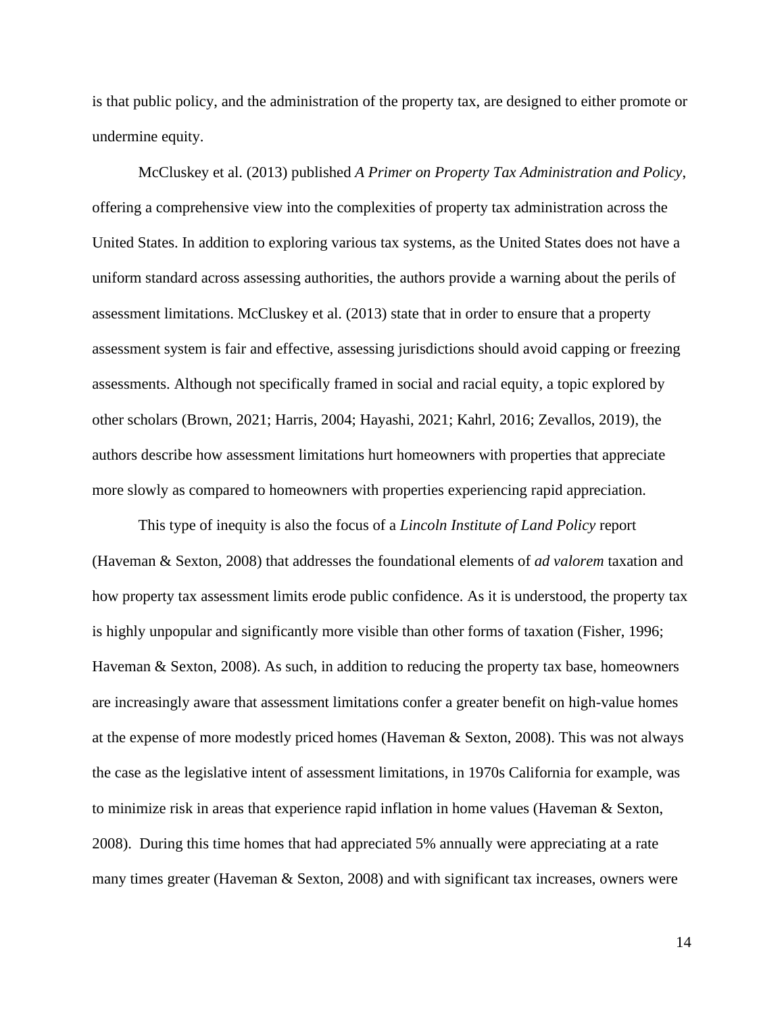is that public policy, and the administration of the property tax, are designed to either promote or undermine equity.

McCluskey et al. (2013) published *A Primer on Property Tax Administration and Policy*, offering a comprehensive view into the complexities of property tax administration across the United States. In addition to exploring various tax systems, as the United States does not have a uniform standard across assessing authorities, the authors provide a warning about the perils of assessment limitations. McCluskey et al. (2013) state that in order to ensure that a property assessment system is fair and effective, assessing jurisdictions should avoid capping or freezing assessments. Although not specifically framed in social and racial equity, a topic explored by other scholars (Brown, 2021; Harris, 2004; Hayashi, 2021; Kahrl, 2016; Zevallos, 2019), the authors describe how assessment limitations hurt homeowners with properties that appreciate more slowly as compared to homeowners with properties experiencing rapid appreciation.

This type of inequity is also the focus of a *Lincoln Institute of Land Policy* report (Haveman & Sexton, 2008) that addresses the foundational elements of *ad valorem* taxation and how property tax assessment limits erode public confidence. As it is understood, the property tax is highly unpopular and significantly more visible than other forms of taxation (Fisher, 1996; Haveman & Sexton, 2008). As such, in addition to reducing the property tax base, homeowners are increasingly aware that assessment limitations confer a greater benefit on high-value homes at the expense of more modestly priced homes (Haveman & Sexton, 2008). This was not always the case as the legislative intent of assessment limitations, in 1970s California for example, was to minimize risk in areas that experience rapid inflation in home values (Haveman & Sexton, 2008). During this time homes that had appreciated 5% annually were appreciating at a rate many times greater (Haveman & Sexton, 2008) and with significant tax increases, owners were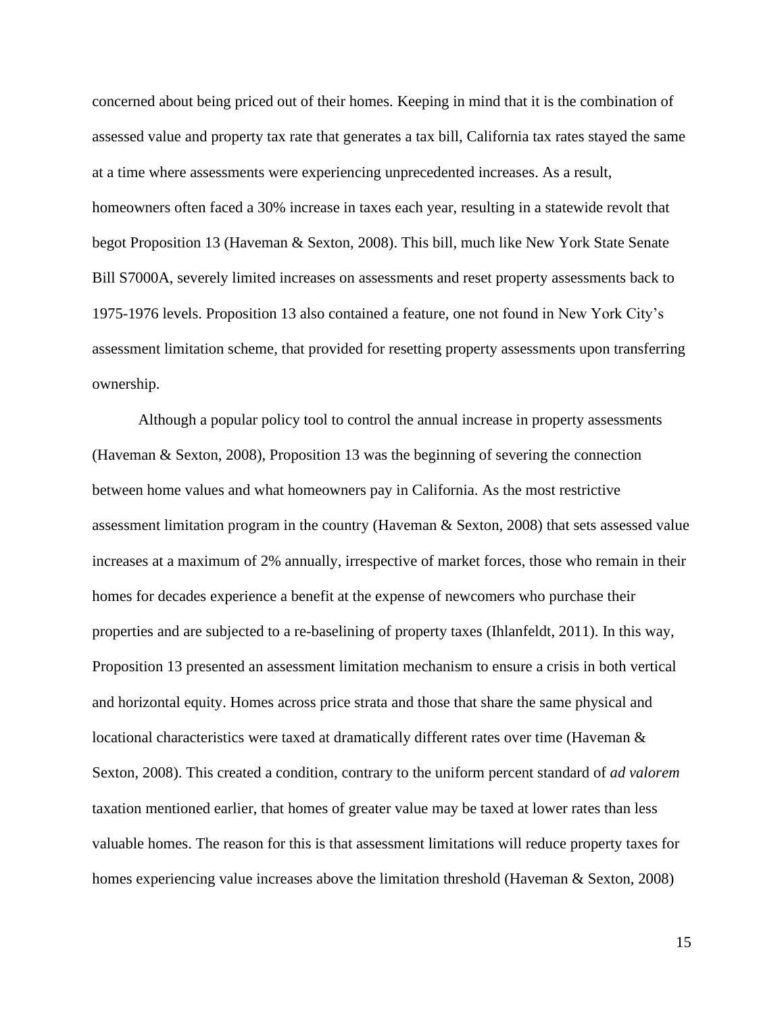concerned about being priced out of their homes. Keeping in mind that it is the combination of assessed value and property tax rate that generates a tax bill, California tax rates stayed the same at a time where assessments were experiencing unprecedented increases. As a result, homeowners often faced a 30% increase in taxes each year, resulting in a statewide revolt that begot Proposition 13 (Haveman & Sexton, 2008). This bill, much like New York State Senate Bill S7000A, severely limited increases on assessments and reset property assessments back to 1975-1976 levels. Proposition 13 also contained a feature, one not found in New York City's assessment limitation scheme, that provided for resetting property assessments upon transferring ownership.

Although a popular policy tool to control the annual increase in property assessments (Haveman & Sexton, 2008), Proposition 13 was the beginning of severing the connection between home values and what homeowners pay in California. As the most restrictive assessment limitation program in the country (Haveman & Sexton, 2008) that sets assessed value increases at a maximum of 2% annually, irrespective of market forces, those who remain in their homes for decades experience a benefit at the expense of newcomers who purchase their properties and are subjected to a re-baselining of property taxes (Ihlanfeldt, 2011). In this way, Proposition 13 presented an assessment limitation mechanism to ensure a crisis in both vertical and horizontal equity. Homes across price strata and those that share the same physical and locational characteristics were taxed at dramatically different rates over time (Haveman & Sexton, 2008). This created a condition, contrary to the uniform percent standard of *ad valorem* taxation mentioned earlier, that homes of greater value may be taxed at lower rates than less valuable homes. The reason for this is that assessment limitations will reduce property taxes for homes experiencing value increases above the limitation threshold (Haveman & Sexton, 2008)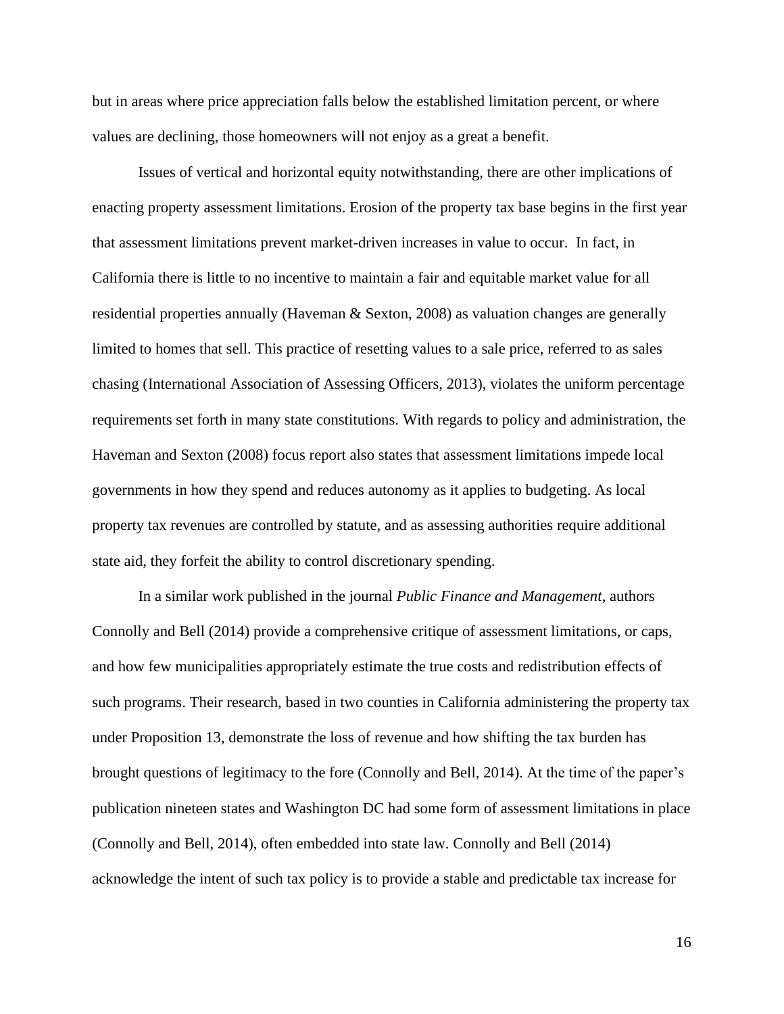but in areas where price appreciation falls below the established limitation percent, or where values are declining, those homeowners will not enjoy as a great a benefit.

Issues of vertical and horizontal equity notwithstanding, there are other implications of enacting property assessment limitations. Erosion of the property tax base begins in the first year that assessment limitations prevent market-driven increases in value to occur. In fact, in California there is little to no incentive to maintain a fair and equitable market value for all residential properties annually (Haveman & Sexton, 2008) as valuation changes are generally limited to homes that sell. This practice of resetting values to a sale price, referred to as sales chasing (International Association of Assessing Officers, 2013), violates the uniform percentage requirements set forth in many state constitutions. With regards to policy and administration, the Haveman and Sexton (2008) focus report also states that assessment limitations impede local governments in how they spend and reduces autonomy as it applies to budgeting. As local property tax revenues are controlled by statute, and as assessing authorities require additional state aid, they forfeit the ability to control discretionary spending.

In a similar work published in the journal *Public Finance and Management*, authors Connolly and Bell (2014) provide a comprehensive critique of assessment limitations, or caps, and how few municipalities appropriately estimate the true costs and redistribution effects of such programs. Their research, based in two counties in California administering the property tax under Proposition 13, demonstrate the loss of revenue and how shifting the tax burden has brought questions of legitimacy to the fore (Connolly and Bell, 2014). At the time of the paper's publication nineteen states and Washington DC had some form of assessment limitations in place (Connolly and Bell, 2014), often embedded into state law. Connolly and Bell (2014) acknowledge the intent of such tax policy is to provide a stable and predictable tax increase for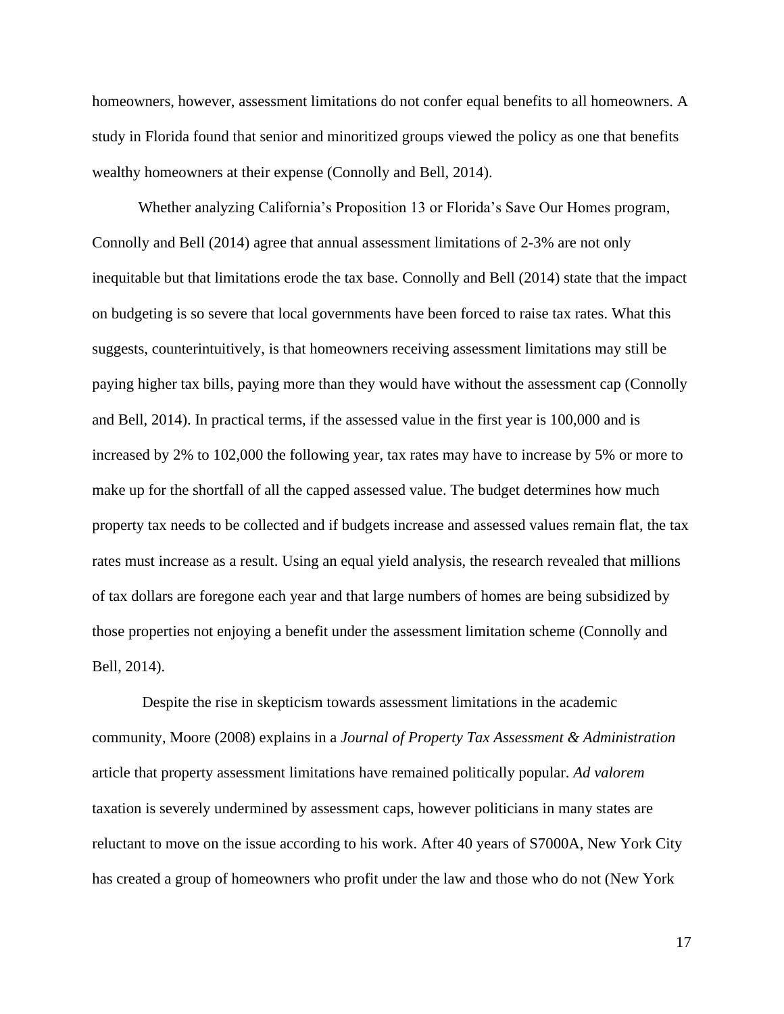homeowners, however, assessment limitations do not confer equal benefits to all homeowners. A study in Florida found that senior and minoritized groups viewed the policy as one that benefits wealthy homeowners at their expense (Connolly and Bell, 2014).

Whether analyzing California's Proposition 13 or Florida's Save Our Homes program, Connolly and Bell (2014) agree that annual assessment limitations of 2-3% are not only inequitable but that limitations erode the tax base. Connolly and Bell (2014) state that the impact on budgeting is so severe that local governments have been forced to raise tax rates. What this suggests, counterintuitively, is that homeowners receiving assessment limitations may still be paying higher tax bills, paying more than they would have without the assessment cap (Connolly and Bell, 2014). In practical terms, if the assessed value in the first year is 100,000 and is increased by 2% to 102,000 the following year, tax rates may have to increase by 5% or more to make up for the shortfall of all the capped assessed value. The budget determines how much property tax needs to be collected and if budgets increase and assessed values remain flat, the tax rates must increase as a result. Using an equal yield analysis, the research revealed that millions of tax dollars are foregone each year and that large numbers of homes are being subsidized by those properties not enjoying a benefit under the assessment limitation scheme (Connolly and Bell, 2014).

Despite the rise in skepticism towards assessment limitations in the academic community, Moore (2008) explains in a *Journal of Property Tax Assessment & Administration* article that property assessment limitations have remained politically popular. *Ad valorem* taxation is severely undermined by assessment caps, however politicians in many states are reluctant to move on the issue according to his work. After 40 years of S7000A, New York City has created a group of homeowners who profit under the law and those who do not (New York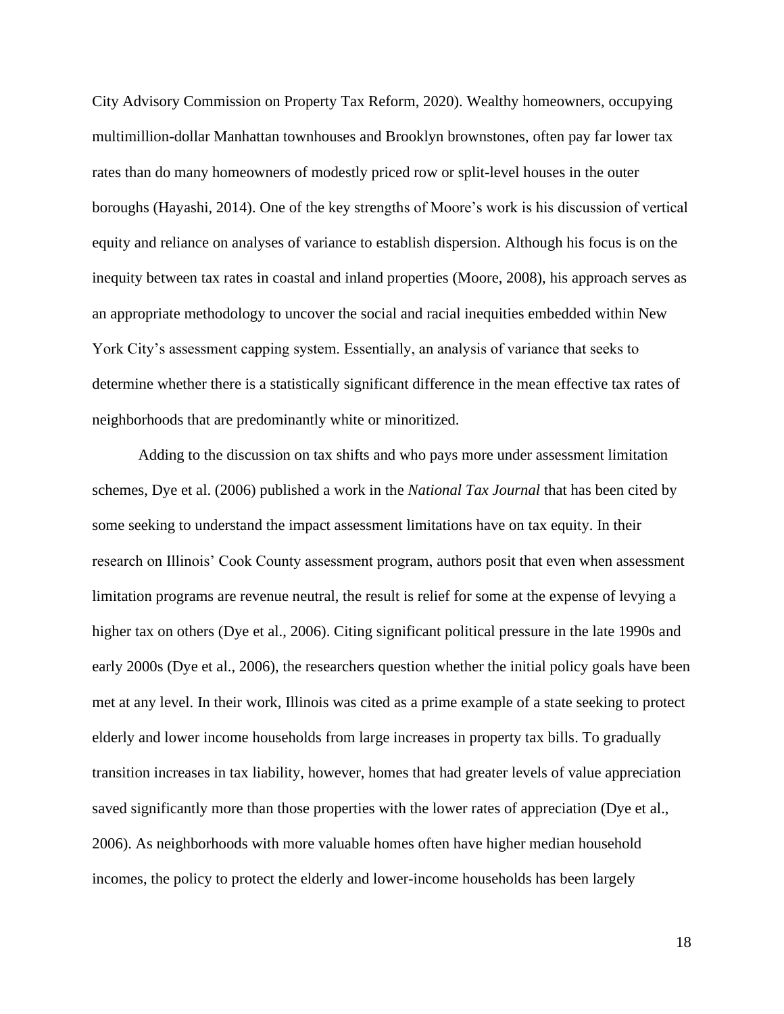City Advisory Commission on Property Tax Reform, 2020). Wealthy homeowners, occupying multimillion-dollar Manhattan townhouses and Brooklyn brownstones, often pay far lower tax rates than do many homeowners of modestly priced row or split-level houses in the outer boroughs (Hayashi, 2014). One of the key strengths of Moore's work is his discussion of vertical equity and reliance on analyses of variance to establish dispersion. Although his focus is on the inequity between tax rates in coastal and inland properties (Moore, 2008), his approach serves as an appropriate methodology to uncover the social and racial inequities embedded within New York City's assessment capping system. Essentially, an analysis of variance that seeks to determine whether there is a statistically significant difference in the mean effective tax rates of neighborhoods that are predominantly white or minoritized.

Adding to the discussion on tax shifts and who pays more under assessment limitation schemes, Dye et al. (2006) published a work in the *National Tax Journal* that has been cited by some seeking to understand the impact assessment limitations have on tax equity. In their research on Illinois' Cook County assessment program, authors posit that even when assessment limitation programs are revenue neutral, the result is relief for some at the expense of levying a higher tax on others (Dye et al., 2006). Citing significant political pressure in the late 1990s and early 2000s (Dye et al., 2006), the researchers question whether the initial policy goals have been met at any level. In their work, Illinois was cited as a prime example of a state seeking to protect elderly and lower income households from large increases in property tax bills. To gradually transition increases in tax liability, however, homes that had greater levels of value appreciation saved significantly more than those properties with the lower rates of appreciation (Dye et al., 2006). As neighborhoods with more valuable homes often have higher median household incomes, the policy to protect the elderly and lower-income households has been largely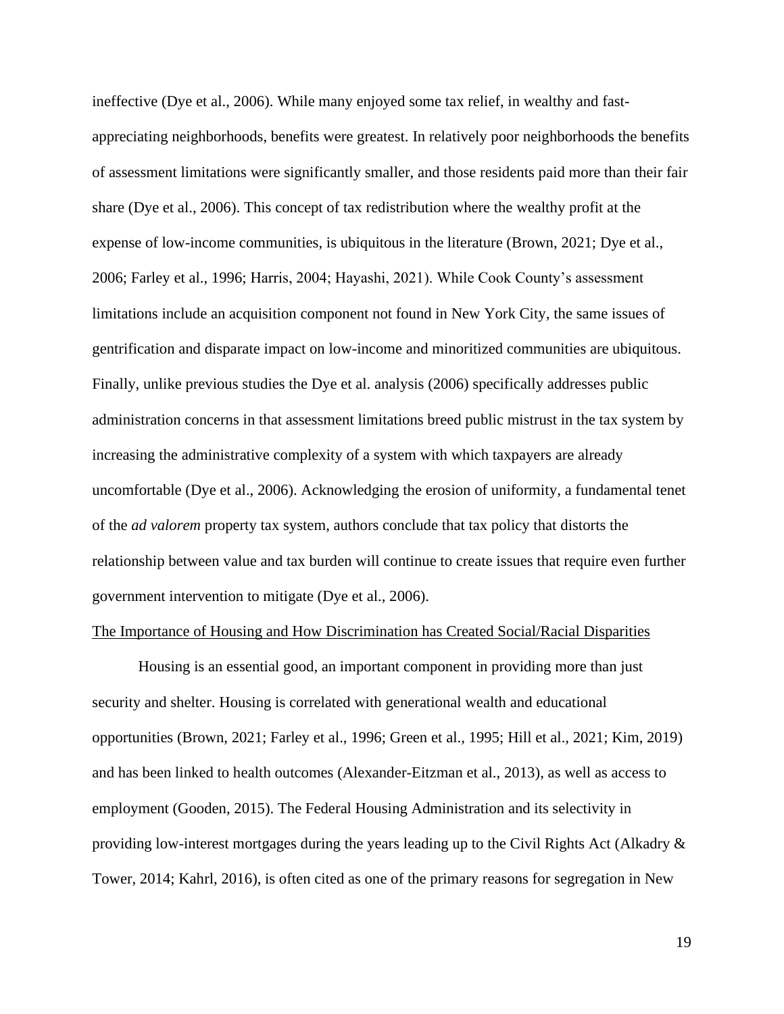ineffective (Dye et al., 2006). While many enjoyed some tax relief, in wealthy and fastappreciating neighborhoods, benefits were greatest. In relatively poor neighborhoods the benefits of assessment limitations were significantly smaller, and those residents paid more than their fair share (Dye et al., 2006). This concept of tax redistribution where the wealthy profit at the expense of low-income communities, is ubiquitous in the literature (Brown, 2021; Dye et al., 2006; Farley et al., 1996; Harris, 2004; Hayashi, 2021). While Cook County's assessment limitations include an acquisition component not found in New York City, the same issues of gentrification and disparate impact on low-income and minoritized communities are ubiquitous. Finally, unlike previous studies the Dye et al. analysis (2006) specifically addresses public administration concerns in that assessment limitations breed public mistrust in the tax system by increasing the administrative complexity of a system with which taxpayers are already uncomfortable (Dye et al., 2006). Acknowledging the erosion of uniformity, a fundamental tenet of the *ad valorem* property tax system, authors conclude that tax policy that distorts the relationship between value and tax burden will continue to create issues that require even further government intervention to mitigate (Dye et al., 2006).

#### The Importance of Housing and How Discrimination has Created Social/Racial Disparities

Housing is an essential good, an important component in providing more than just security and shelter. Housing is correlated with generational wealth and educational opportunities (Brown, 2021; Farley et al., 1996; Green et al., 1995; Hill et al., 2021; Kim, 2019) and has been linked to health outcomes (Alexander-Eitzman et al., 2013), as well as access to employment (Gooden, 2015). The Federal Housing Administration and its selectivity in providing low-interest mortgages during the years leading up to the Civil Rights Act (Alkadry & Tower, 2014; Kahrl, 2016), is often cited as one of the primary reasons for segregation in New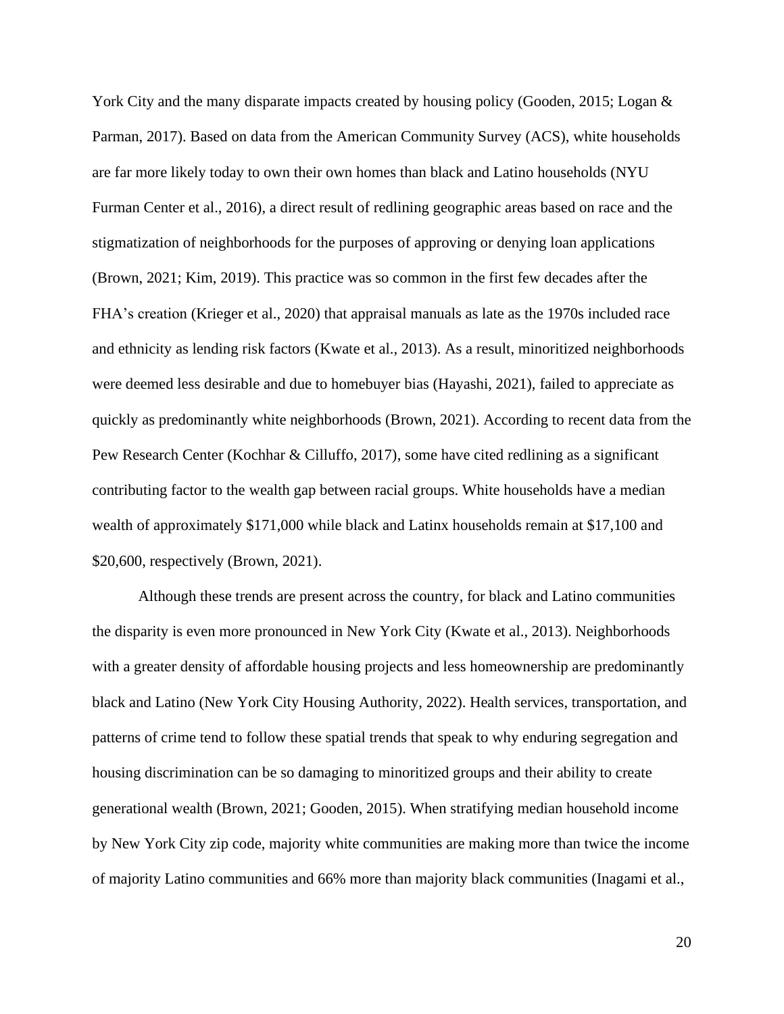York City and the many disparate impacts created by housing policy (Gooden, 2015; Logan & Parman, 2017). Based on data from the American Community Survey (ACS), white households are far more likely today to own their own homes than black and Latino households (NYU Furman Center et al., 2016), a direct result of redlining geographic areas based on race and the stigmatization of neighborhoods for the purposes of approving or denying loan applications (Brown, 2021; Kim, 2019). This practice was so common in the first few decades after the FHA's creation (Krieger et al., 2020) that appraisal manuals as late as the 1970s included race and ethnicity as lending risk factors (Kwate et al., 2013). As a result, minoritized neighborhoods were deemed less desirable and due to homebuyer bias (Hayashi, 2021), failed to appreciate as quickly as predominantly white neighborhoods (Brown, 2021). According to recent data from the Pew Research Center (Kochhar & Cilluffo, 2017), some have cited redlining as a significant contributing factor to the wealth gap between racial groups. White households have a median wealth of approximately \$171,000 while black and Latinx households remain at \$17,100 and \$20,600, respectively (Brown, 2021).

Although these trends are present across the country, for black and Latino communities the disparity is even more pronounced in New York City (Kwate et al., 2013). Neighborhoods with a greater density of affordable housing projects and less homeownership are predominantly black and Latino (New York City Housing Authority, 2022). Health services, transportation, and patterns of crime tend to follow these spatial trends that speak to why enduring segregation and housing discrimination can be so damaging to minoritized groups and their ability to create generational wealth (Brown, 2021; Gooden, 2015). When stratifying median household income by New York City zip code, majority white communities are making more than twice the income of majority Latino communities and 66% more than majority black communities (Inagami et al.,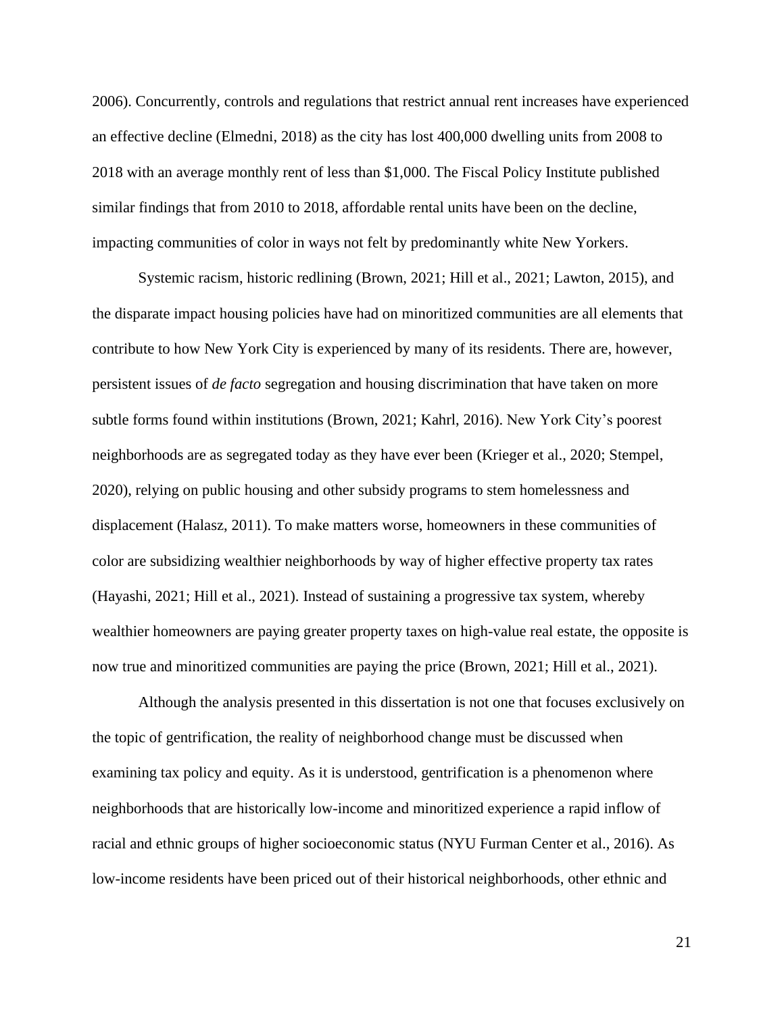2006). Concurrently, controls and regulations that restrict annual rent increases have experienced an effective decline (Elmedni, 2018) as the city has lost 400,000 dwelling units from 2008 to 2018 with an average monthly rent of less than \$1,000. The Fiscal Policy Institute published similar findings that from 2010 to 2018, affordable rental units have been on the decline, impacting communities of color in ways not felt by predominantly white New Yorkers.

Systemic racism, historic redlining (Brown, 2021; Hill et al., 2021; Lawton, 2015), and the disparate impact housing policies have had on minoritized communities are all elements that contribute to how New York City is experienced by many of its residents. There are, however, persistent issues of *de facto* segregation and housing discrimination that have taken on more subtle forms found within institutions (Brown, 2021; Kahrl, 2016). New York City's poorest neighborhoods are as segregated today as they have ever been (Krieger et al., 2020; Stempel, 2020), relying on public housing and other subsidy programs to stem homelessness and displacement (Halasz, 2011). To make matters worse, homeowners in these communities of color are subsidizing wealthier neighborhoods by way of higher effective property tax rates (Hayashi, 2021; Hill et al., 2021). Instead of sustaining a progressive tax system, whereby wealthier homeowners are paying greater property taxes on high-value real estate, the opposite is now true and minoritized communities are paying the price (Brown, 2021; Hill et al., 2021).

Although the analysis presented in this dissertation is not one that focuses exclusively on the topic of gentrification, the reality of neighborhood change must be discussed when examining tax policy and equity. As it is understood, gentrification is a phenomenon where neighborhoods that are historically low-income and minoritized experience a rapid inflow of racial and ethnic groups of higher socioeconomic status (NYU Furman Center et al., 2016). As low-income residents have been priced out of their historical neighborhoods, other ethnic and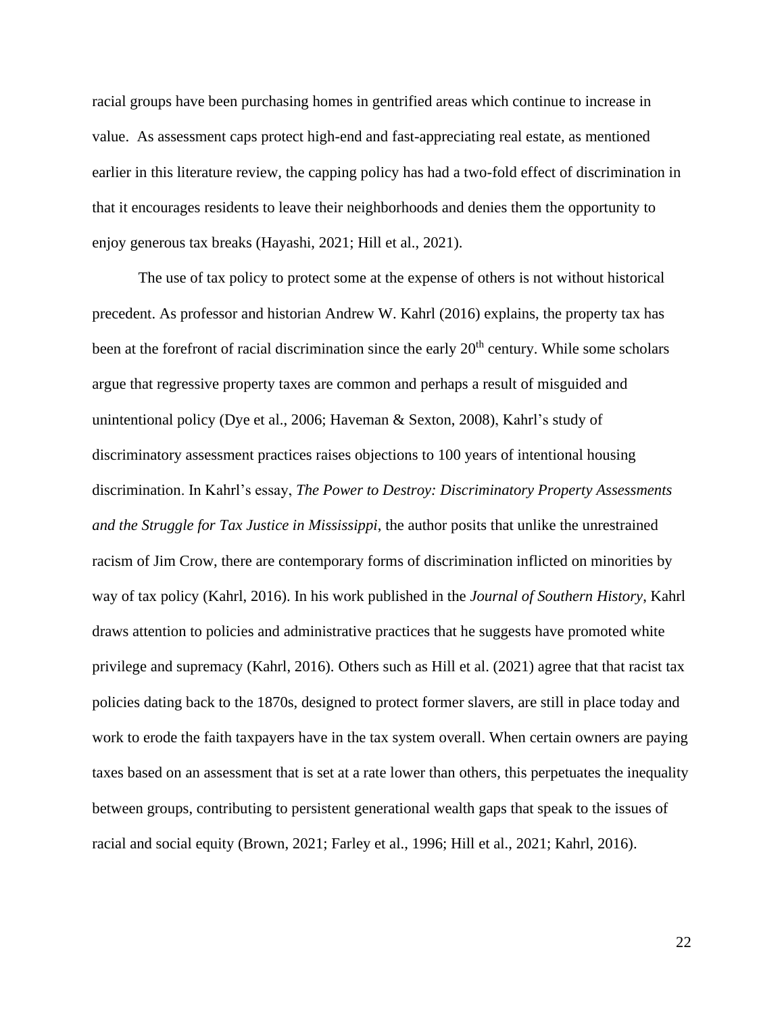racial groups have been purchasing homes in gentrified areas which continue to increase in value. As assessment caps protect high-end and fast-appreciating real estate, as mentioned earlier in this literature review, the capping policy has had a two-fold effect of discrimination in that it encourages residents to leave their neighborhoods and denies them the opportunity to enjoy generous tax breaks (Hayashi, 2021; Hill et al., 2021).

The use of tax policy to protect some at the expense of others is not without historical precedent. As professor and historian Andrew W. Kahrl (2016) explains, the property tax has been at the forefront of racial discrimination since the early 20<sup>th</sup> century. While some scholars argue that regressive property taxes are common and perhaps a result of misguided and unintentional policy (Dye et al., 2006; Haveman & Sexton, 2008), Kahrl's study of discriminatory assessment practices raises objections to 100 years of intentional housing discrimination. In Kahrl's essay, *The Power to Destroy: Discriminatory Property Assessments and the Struggle for Tax Justice in Mississippi*, the author posits that unlike the unrestrained racism of Jim Crow, there are contemporary forms of discrimination inflicted on minorities by way of tax policy (Kahrl, 2016). In his work published in the *Journal of Southern History*, Kahrl draws attention to policies and administrative practices that he suggests have promoted white privilege and supremacy (Kahrl, 2016). Others such as Hill et al. (2021) agree that that racist tax policies dating back to the 1870s, designed to protect former slavers, are still in place today and work to erode the faith taxpayers have in the tax system overall. When certain owners are paying taxes based on an assessment that is set at a rate lower than others, this perpetuates the inequality between groups, contributing to persistent generational wealth gaps that speak to the issues of racial and social equity (Brown, 2021; Farley et al., 1996; Hill et al., 2021; Kahrl, 2016).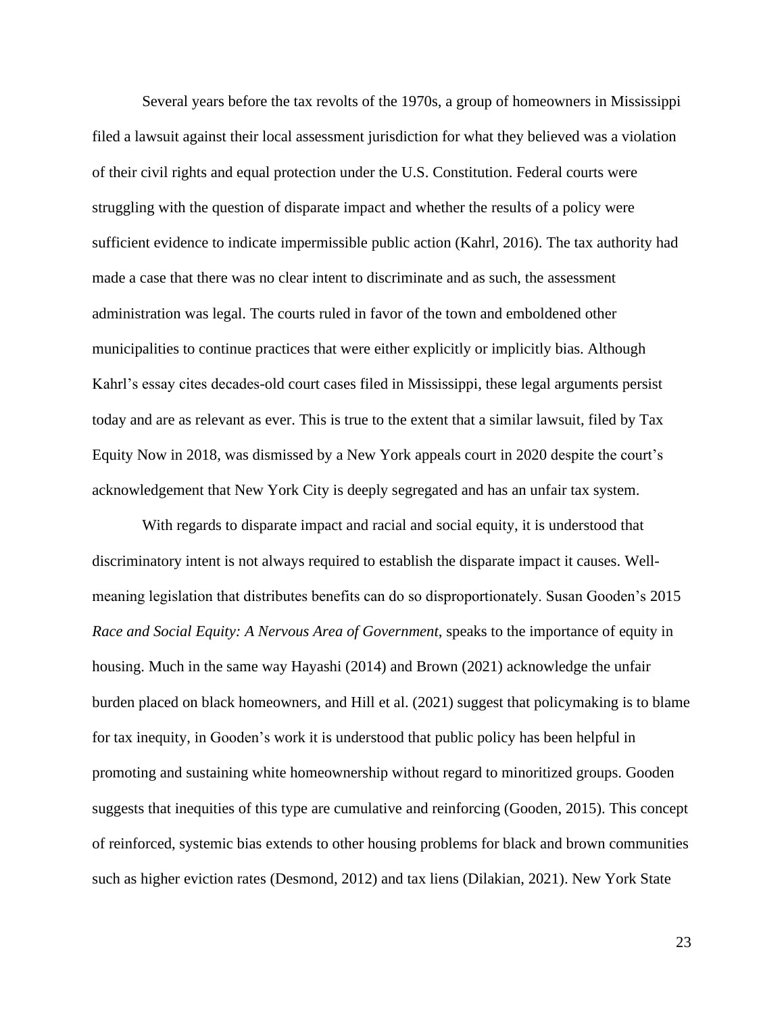Several years before the tax revolts of the 1970s, a group of homeowners in Mississippi filed a lawsuit against their local assessment jurisdiction for what they believed was a violation of their civil rights and equal protection under the U.S. Constitution. Federal courts were struggling with the question of disparate impact and whether the results of a policy were sufficient evidence to indicate impermissible public action (Kahrl, 2016). The tax authority had made a case that there was no clear intent to discriminate and as such, the assessment administration was legal. The courts ruled in favor of the town and emboldened other municipalities to continue practices that were either explicitly or implicitly bias. Although Kahrl's essay cites decades-old court cases filed in Mississippi, these legal arguments persist today and are as relevant as ever. This is true to the extent that a similar lawsuit, filed by Tax Equity Now in 2018, was dismissed by a New York appeals court in 2020 despite the court's acknowledgement that New York City is deeply segregated and has an unfair tax system.

With regards to disparate impact and racial and social equity, it is understood that discriminatory intent is not always required to establish the disparate impact it causes. Wellmeaning legislation that distributes benefits can do so disproportionately. Susan Gooden's 2015 *Race and Social Equity: A Nervous Area of Government*, speaks to the importance of equity in housing. Much in the same way Hayashi (2014) and Brown (2021) acknowledge the unfair burden placed on black homeowners, and Hill et al. (2021) suggest that policymaking is to blame for tax inequity, in Gooden's work it is understood that public policy has been helpful in promoting and sustaining white homeownership without regard to minoritized groups. Gooden suggests that inequities of this type are cumulative and reinforcing (Gooden, 2015). This concept of reinforced, systemic bias extends to other housing problems for black and brown communities such as higher eviction rates (Desmond, 2012) and tax liens (Dilakian, 2021). New York State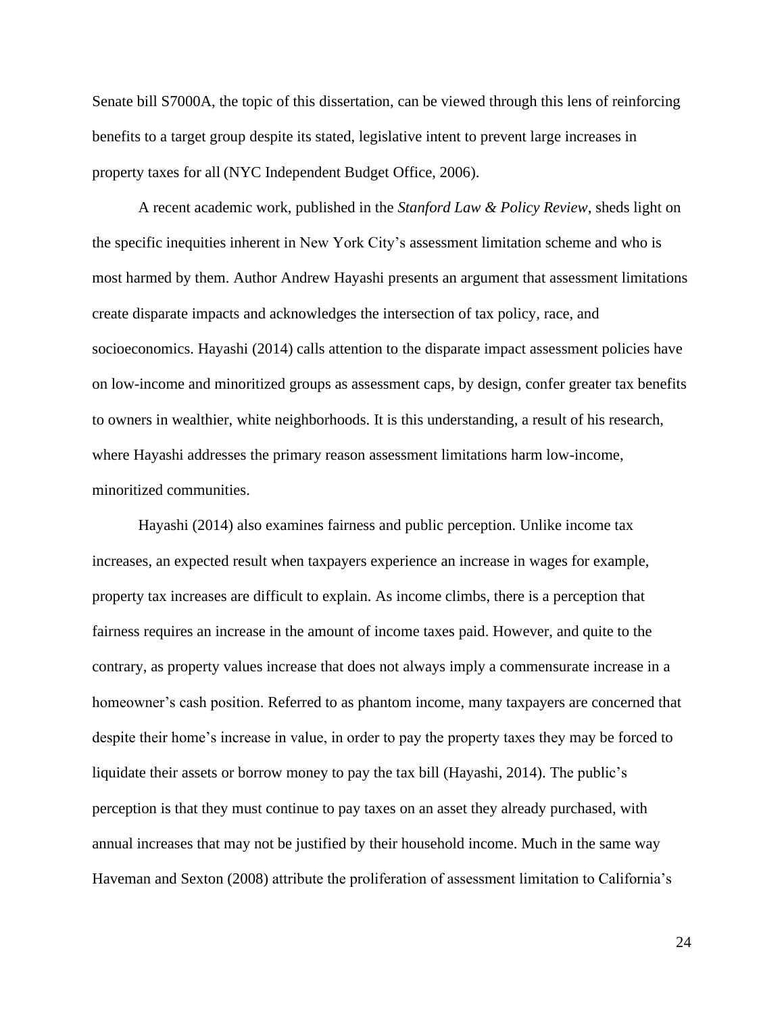Senate bill S7000A, the topic of this dissertation, can be viewed through this lens of reinforcing benefits to a target group despite its stated, legislative intent to prevent large increases in property taxes for all (NYC Independent Budget Office, 2006).

A recent academic work, published in the *Stanford Law & Policy Review*, sheds light on the specific inequities inherent in New York City's assessment limitation scheme and who is most harmed by them. Author Andrew Hayashi presents an argument that assessment limitations create disparate impacts and acknowledges the intersection of tax policy, race, and socioeconomics. Hayashi (2014) calls attention to the disparate impact assessment policies have on low-income and minoritized groups as assessment caps, by design, confer greater tax benefits to owners in wealthier, white neighborhoods. It is this understanding, a result of his research, where Hayashi addresses the primary reason assessment limitations harm low-income, minoritized communities.

Hayashi (2014) also examines fairness and public perception. Unlike income tax increases, an expected result when taxpayers experience an increase in wages for example, property tax increases are difficult to explain. As income climbs, there is a perception that fairness requires an increase in the amount of income taxes paid. However, and quite to the contrary, as property values increase that does not always imply a commensurate increase in a homeowner's cash position. Referred to as phantom income, many taxpayers are concerned that despite their home's increase in value, in order to pay the property taxes they may be forced to liquidate their assets or borrow money to pay the tax bill (Hayashi, 2014). The public's perception is that they must continue to pay taxes on an asset they already purchased, with annual increases that may not be justified by their household income. Much in the same way Haveman and Sexton (2008) attribute the proliferation of assessment limitation to California's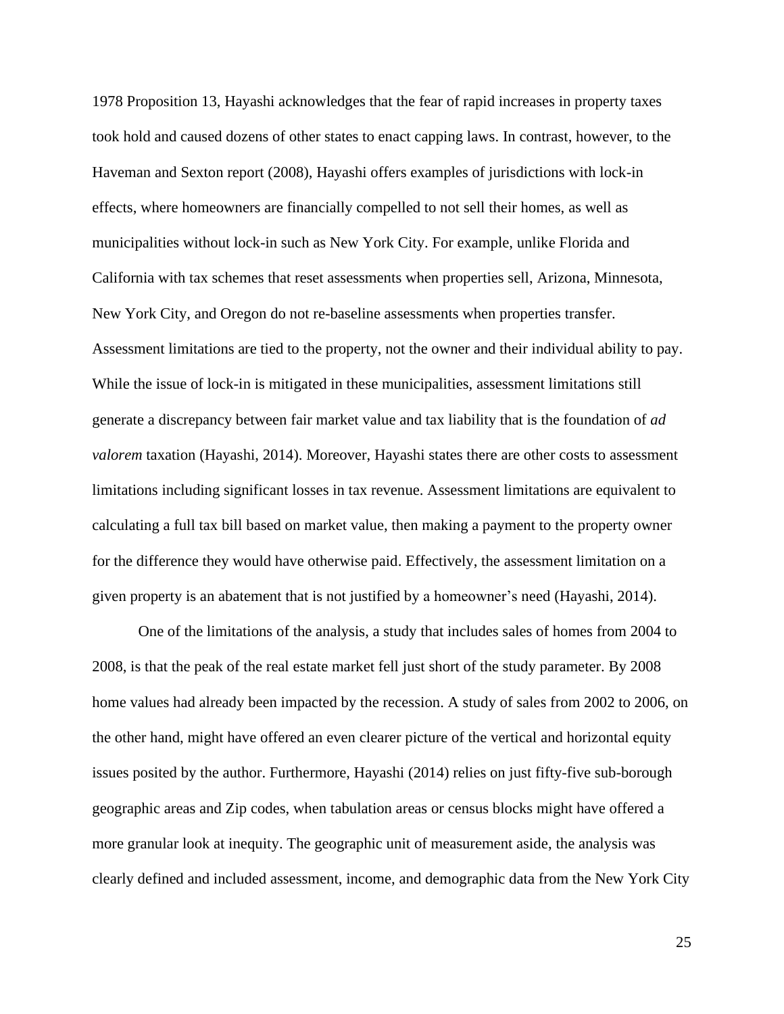1978 Proposition 13, Hayashi acknowledges that the fear of rapid increases in property taxes took hold and caused dozens of other states to enact capping laws. In contrast, however, to the Haveman and Sexton report (2008), Hayashi offers examples of jurisdictions with lock-in effects, where homeowners are financially compelled to not sell their homes, as well as municipalities without lock-in such as New York City. For example, unlike Florida and California with tax schemes that reset assessments when properties sell, Arizona, Minnesota, New York City, and Oregon do not re-baseline assessments when properties transfer. Assessment limitations are tied to the property, not the owner and their individual ability to pay. While the issue of lock-in is mitigated in these municipalities, assessment limitations still generate a discrepancy between fair market value and tax liability that is the foundation of *ad valorem* taxation (Hayashi, 2014). Moreover, Hayashi states there are other costs to assessment limitations including significant losses in tax revenue. Assessment limitations are equivalent to calculating a full tax bill based on market value, then making a payment to the property owner for the difference they would have otherwise paid. Effectively, the assessment limitation on a given property is an abatement that is not justified by a homeowner's need (Hayashi, 2014).

One of the limitations of the analysis, a study that includes sales of homes from 2004 to 2008, is that the peak of the real estate market fell just short of the study parameter. By 2008 home values had already been impacted by the recession. A study of sales from 2002 to 2006, on the other hand, might have offered an even clearer picture of the vertical and horizontal equity issues posited by the author. Furthermore, Hayashi (2014) relies on just fifty-five sub-borough geographic areas and Zip codes, when tabulation areas or census blocks might have offered a more granular look at inequity. The geographic unit of measurement aside, the analysis was clearly defined and included assessment, income, and demographic data from the New York City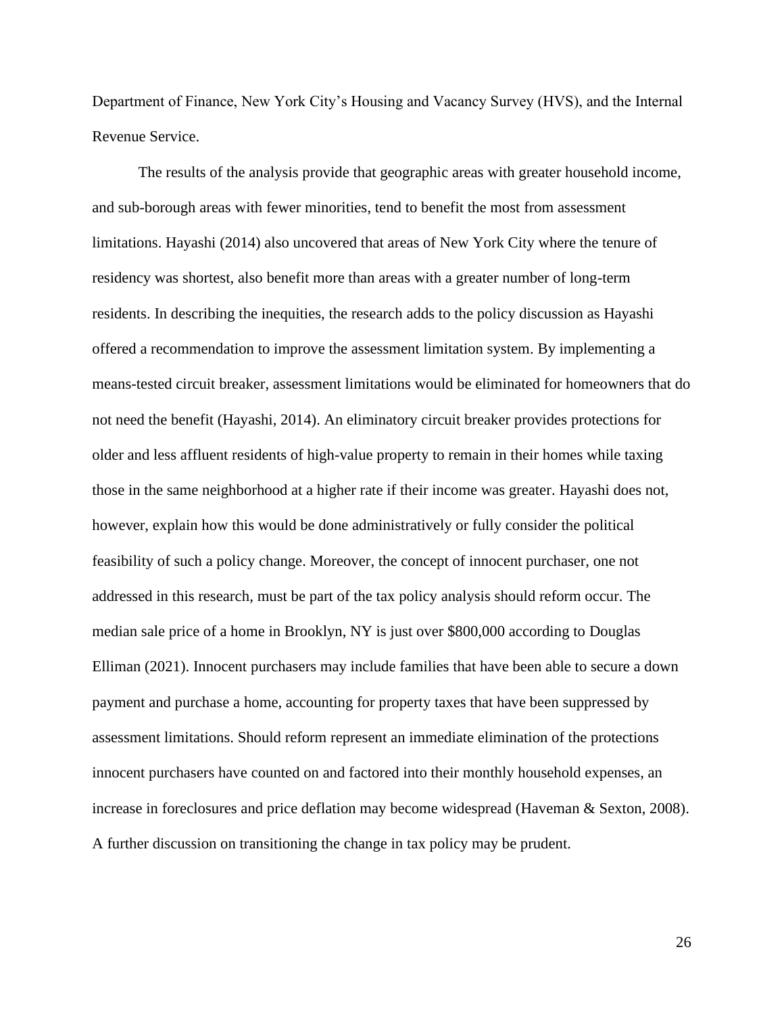Department of Finance, New York City's Housing and Vacancy Survey (HVS), and the Internal Revenue Service.

The results of the analysis provide that geographic areas with greater household income, and sub-borough areas with fewer minorities, tend to benefit the most from assessment limitations. Hayashi (2014) also uncovered that areas of New York City where the tenure of residency was shortest, also benefit more than areas with a greater number of long-term residents. In describing the inequities, the research adds to the policy discussion as Hayashi offered a recommendation to improve the assessment limitation system. By implementing a means-tested circuit breaker, assessment limitations would be eliminated for homeowners that do not need the benefit (Hayashi, 2014). An eliminatory circuit breaker provides protections for older and less affluent residents of high-value property to remain in their homes while taxing those in the same neighborhood at a higher rate if their income was greater. Hayashi does not, however, explain how this would be done administratively or fully consider the political feasibility of such a policy change. Moreover, the concept of innocent purchaser, one not addressed in this research, must be part of the tax policy analysis should reform occur. The median sale price of a home in Brooklyn, NY is just over \$800,000 according to Douglas Elliman (2021). Innocent purchasers may include families that have been able to secure a down payment and purchase a home, accounting for property taxes that have been suppressed by assessment limitations. Should reform represent an immediate elimination of the protections innocent purchasers have counted on and factored into their monthly household expenses, an increase in foreclosures and price deflation may become widespread (Haveman & Sexton, 2008). A further discussion on transitioning the change in tax policy may be prudent.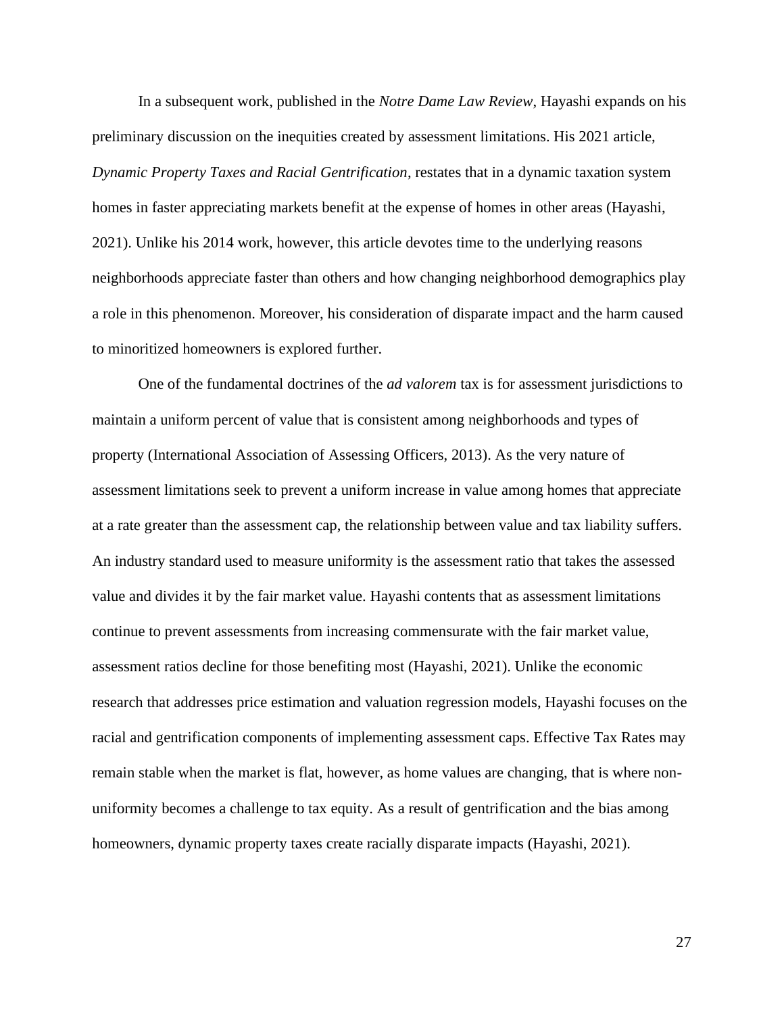In a subsequent work, published in the *Notre Dame Law Review*, Hayashi expands on his preliminary discussion on the inequities created by assessment limitations. His 2021 article, *Dynamic Property Taxes and Racial Gentrification*, restates that in a dynamic taxation system homes in faster appreciating markets benefit at the expense of homes in other areas (Hayashi, 2021). Unlike his 2014 work, however, this article devotes time to the underlying reasons neighborhoods appreciate faster than others and how changing neighborhood demographics play a role in this phenomenon. Moreover, his consideration of disparate impact and the harm caused to minoritized homeowners is explored further.

One of the fundamental doctrines of the *ad valorem* tax is for assessment jurisdictions to maintain a uniform percent of value that is consistent among neighborhoods and types of property (International Association of Assessing Officers, 2013). As the very nature of assessment limitations seek to prevent a uniform increase in value among homes that appreciate at a rate greater than the assessment cap, the relationship between value and tax liability suffers. An industry standard used to measure uniformity is the assessment ratio that takes the assessed value and divides it by the fair market value. Hayashi contents that as assessment limitations continue to prevent assessments from increasing commensurate with the fair market value, assessment ratios decline for those benefiting most (Hayashi, 2021). Unlike the economic research that addresses price estimation and valuation regression models, Hayashi focuses on the racial and gentrification components of implementing assessment caps. Effective Tax Rates may remain stable when the market is flat, however, as home values are changing, that is where nonuniformity becomes a challenge to tax equity. As a result of gentrification and the bias among homeowners, dynamic property taxes create racially disparate impacts (Hayashi, 2021).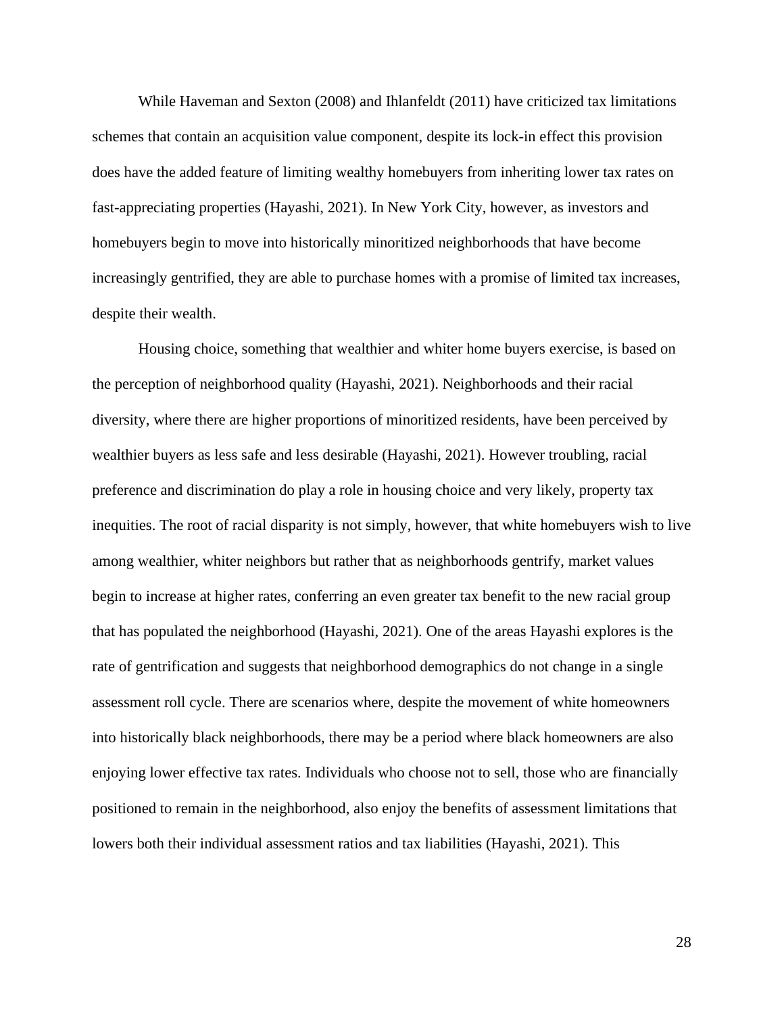While Haveman and Sexton (2008) and Ihlanfeldt (2011) have criticized tax limitations schemes that contain an acquisition value component, despite its lock-in effect this provision does have the added feature of limiting wealthy homebuyers from inheriting lower tax rates on fast-appreciating properties (Hayashi, 2021). In New York City, however, as investors and homebuyers begin to move into historically minoritized neighborhoods that have become increasingly gentrified, they are able to purchase homes with a promise of limited tax increases, despite their wealth.

Housing choice, something that wealthier and whiter home buyers exercise, is based on the perception of neighborhood quality (Hayashi, 2021). Neighborhoods and their racial diversity, where there are higher proportions of minoritized residents, have been perceived by wealthier buyers as less safe and less desirable (Hayashi, 2021). However troubling, racial preference and discrimination do play a role in housing choice and very likely, property tax inequities. The root of racial disparity is not simply, however, that white homebuyers wish to live among wealthier, whiter neighbors but rather that as neighborhoods gentrify, market values begin to increase at higher rates, conferring an even greater tax benefit to the new racial group that has populated the neighborhood (Hayashi, 2021). One of the areas Hayashi explores is the rate of gentrification and suggests that neighborhood demographics do not change in a single assessment roll cycle. There are scenarios where, despite the movement of white homeowners into historically black neighborhoods, there may be a period where black homeowners are also enjoying lower effective tax rates. Individuals who choose not to sell, those who are financially positioned to remain in the neighborhood, also enjoy the benefits of assessment limitations that lowers both their individual assessment ratios and tax liabilities (Hayashi, 2021). This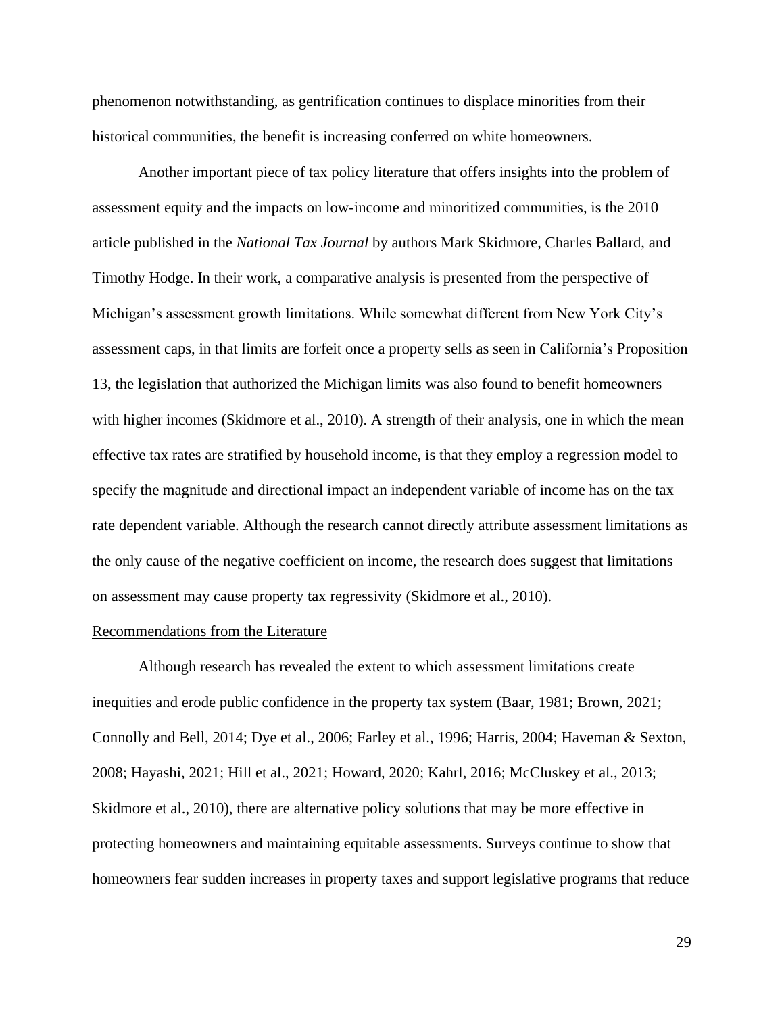phenomenon notwithstanding, as gentrification continues to displace minorities from their historical communities, the benefit is increasing conferred on white homeowners.

Another important piece of tax policy literature that offers insights into the problem of assessment equity and the impacts on low-income and minoritized communities, is the 2010 article published in the *National Tax Journal* by authors Mark Skidmore, Charles Ballard, and Timothy Hodge. In their work, a comparative analysis is presented from the perspective of Michigan's assessment growth limitations. While somewhat different from New York City's assessment caps, in that limits are forfeit once a property sells as seen in California's Proposition 13, the legislation that authorized the Michigan limits was also found to benefit homeowners with higher incomes (Skidmore et al., 2010). A strength of their analysis, one in which the mean effective tax rates are stratified by household income, is that they employ a regression model to specify the magnitude and directional impact an independent variable of income has on the tax rate dependent variable. Although the research cannot directly attribute assessment limitations as the only cause of the negative coefficient on income, the research does suggest that limitations on assessment may cause property tax regressivity (Skidmore et al., 2010).

#### Recommendations from the Literature

Although research has revealed the extent to which assessment limitations create inequities and erode public confidence in the property tax system (Baar, 1981; Brown, 2021; Connolly and Bell, 2014; Dye et al., 2006; Farley et al., 1996; Harris, 2004; Haveman & Sexton, 2008; Hayashi, 2021; Hill et al., 2021; Howard, 2020; Kahrl, 2016; McCluskey et al., 2013; Skidmore et al., 2010), there are alternative policy solutions that may be more effective in protecting homeowners and maintaining equitable assessments. Surveys continue to show that homeowners fear sudden increases in property taxes and support legislative programs that reduce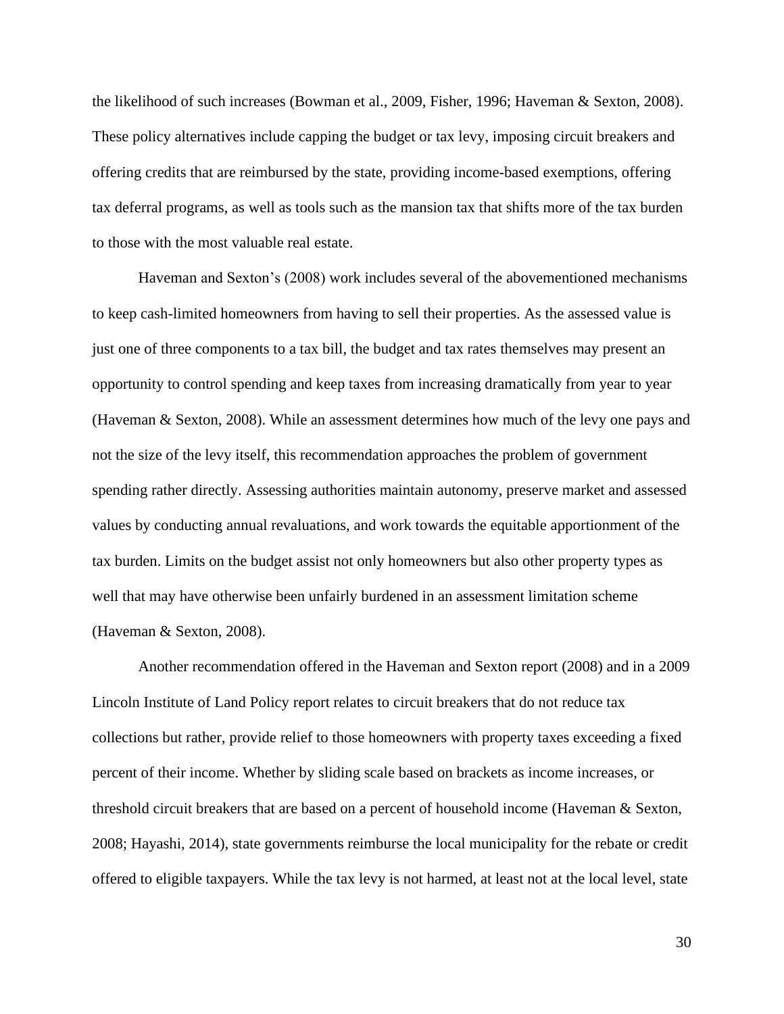the likelihood of such increases (Bowman et al., 2009, Fisher, 1996; Haveman & Sexton, 2008). These policy alternatives include capping the budget or tax levy, imposing circuit breakers and offering credits that are reimbursed by the state, providing income-based exemptions, offering tax deferral programs, as well as tools such as the mansion tax that shifts more of the tax burden to those with the most valuable real estate.

Haveman and Sexton's (2008) work includes several of the abovementioned mechanisms to keep cash-limited homeowners from having to sell their properties. As the assessed value is just one of three components to a tax bill, the budget and tax rates themselves may present an opportunity to control spending and keep taxes from increasing dramatically from year to year (Haveman & Sexton, 2008). While an assessment determines how much of the levy one pays and not the size of the levy itself, this recommendation approaches the problem of government spending rather directly. Assessing authorities maintain autonomy, preserve market and assessed values by conducting annual revaluations, and work towards the equitable apportionment of the tax burden. Limits on the budget assist not only homeowners but also other property types as well that may have otherwise been unfairly burdened in an assessment limitation scheme (Haveman & Sexton, 2008).

Another recommendation offered in the Haveman and Sexton report (2008) and in a 2009 Lincoln Institute of Land Policy report relates to circuit breakers that do not reduce tax collections but rather, provide relief to those homeowners with property taxes exceeding a fixed percent of their income. Whether by sliding scale based on brackets as income increases, or threshold circuit breakers that are based on a percent of household income (Haveman & Sexton, 2008; Hayashi, 2014), state governments reimburse the local municipality for the rebate or credit offered to eligible taxpayers. While the tax levy is not harmed, at least not at the local level, state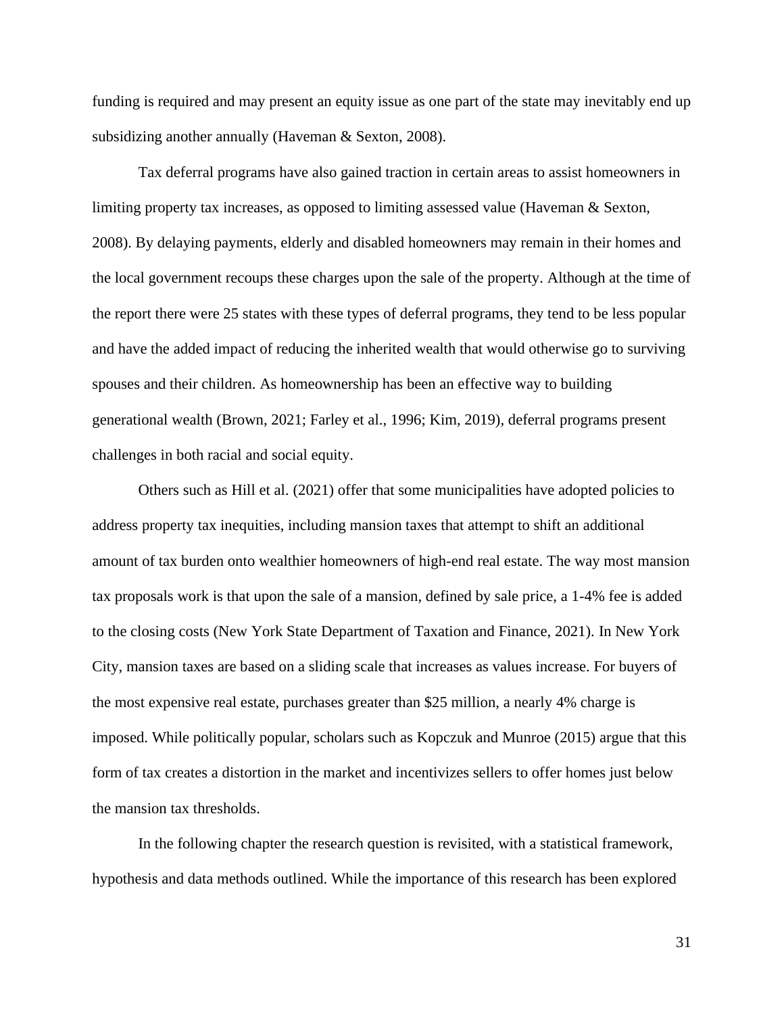funding is required and may present an equity issue as one part of the state may inevitably end up subsidizing another annually (Haveman & Sexton, 2008).

Tax deferral programs have also gained traction in certain areas to assist homeowners in limiting property tax increases, as opposed to limiting assessed value (Haveman & Sexton, 2008). By delaying payments, elderly and disabled homeowners may remain in their homes and the local government recoups these charges upon the sale of the property. Although at the time of the report there were 25 states with these types of deferral programs, they tend to be less popular and have the added impact of reducing the inherited wealth that would otherwise go to surviving spouses and their children. As homeownership has been an effective way to building generational wealth (Brown, 2021; Farley et al., 1996; Kim, 2019), deferral programs present challenges in both racial and social equity.

Others such as Hill et al. (2021) offer that some municipalities have adopted policies to address property tax inequities, including mansion taxes that attempt to shift an additional amount of tax burden onto wealthier homeowners of high-end real estate. The way most mansion tax proposals work is that upon the sale of a mansion, defined by sale price, a 1-4% fee is added to the closing costs (New York State Department of Taxation and Finance, 2021). In New York City, mansion taxes are based on a sliding scale that increases as values increase. For buyers of the most expensive real estate, purchases greater than \$25 million, a nearly 4% charge is imposed. While politically popular, scholars such as Kopczuk and Munroe (2015) argue that this form of tax creates a distortion in the market and incentivizes sellers to offer homes just below the mansion tax thresholds.

In the following chapter the research question is revisited, with a statistical framework, hypothesis and data methods outlined. While the importance of this research has been explored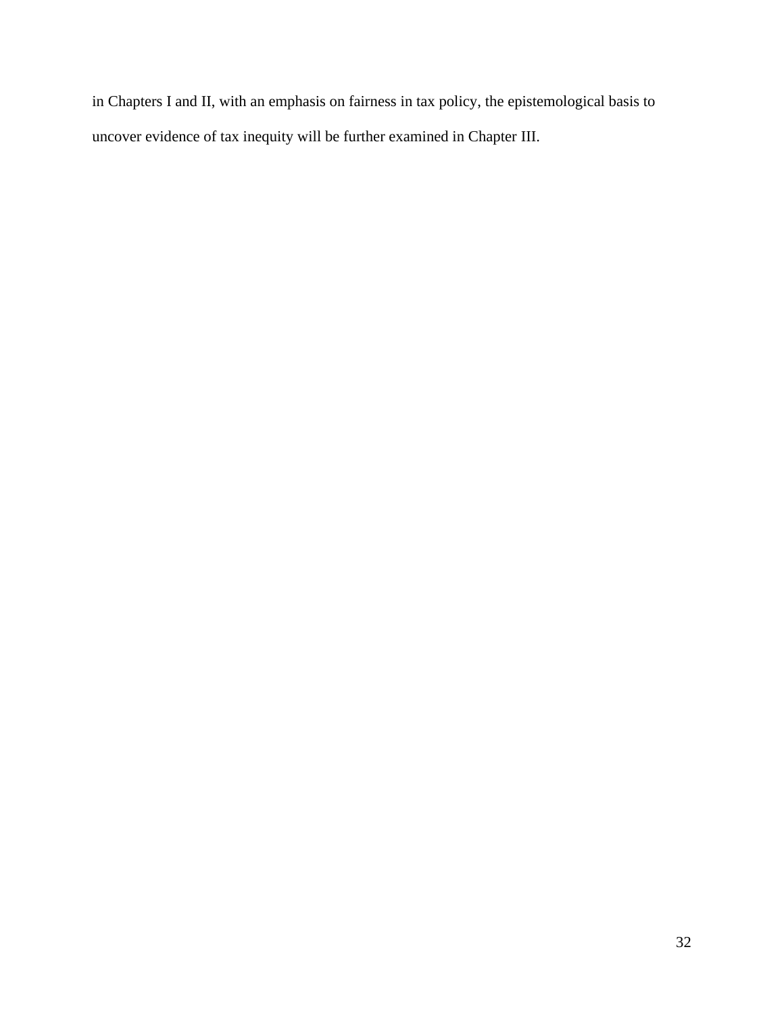in Chapters I and II, with an emphasis on fairness in tax policy, the epistemological basis to uncover evidence of tax inequity will be further examined in Chapter III.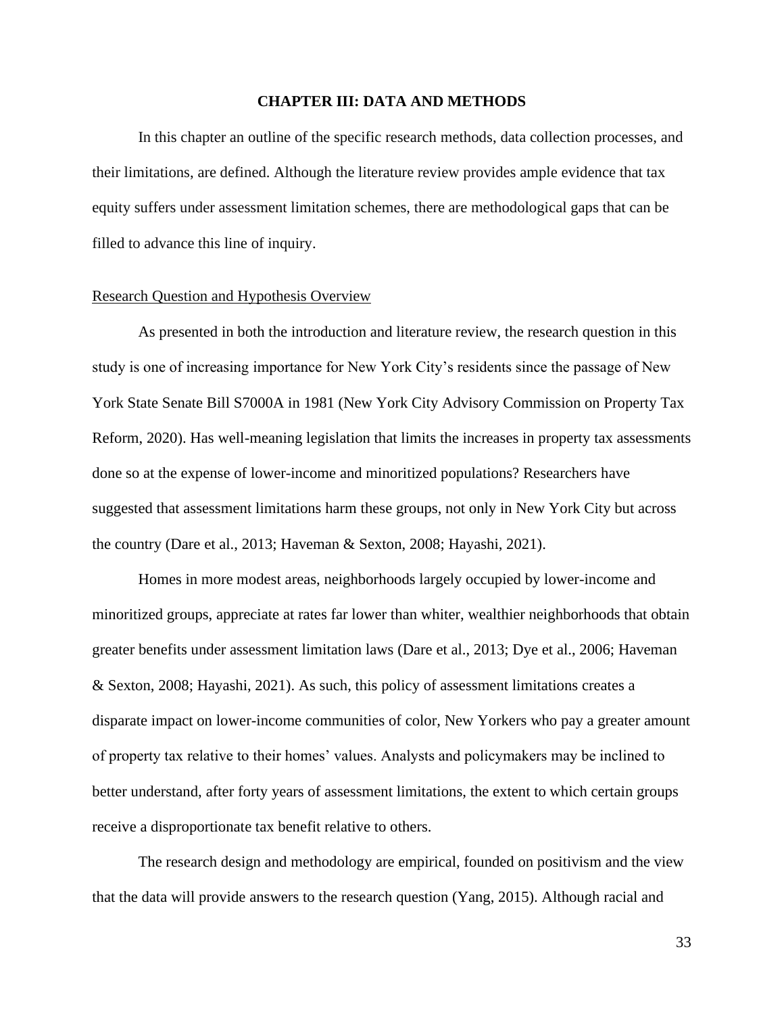## **CHAPTER III: DATA AND METHODS**

In this chapter an outline of the specific research methods, data collection processes, and their limitations, are defined. Although the literature review provides ample evidence that tax equity suffers under assessment limitation schemes, there are methodological gaps that can be filled to advance this line of inquiry.

## Research Question and Hypothesis Overview

As presented in both the introduction and literature review, the research question in this study is one of increasing importance for New York City's residents since the passage of New York State Senate Bill S7000A in 1981 (New York City Advisory Commission on Property Tax Reform, 2020). Has well-meaning legislation that limits the increases in property tax assessments done so at the expense of lower-income and minoritized populations? Researchers have suggested that assessment limitations harm these groups, not only in New York City but across the country (Dare et al., 2013; Haveman & Sexton, 2008; Hayashi, 2021).

Homes in more modest areas, neighborhoods largely occupied by lower-income and minoritized groups, appreciate at rates far lower than whiter, wealthier neighborhoods that obtain greater benefits under assessment limitation laws (Dare et al., 2013; Dye et al., 2006; Haveman & Sexton, 2008; Hayashi, 2021). As such, this policy of assessment limitations creates a disparate impact on lower-income communities of color, New Yorkers who pay a greater amount of property tax relative to their homes' values. Analysts and policymakers may be inclined to better understand, after forty years of assessment limitations, the extent to which certain groups receive a disproportionate tax benefit relative to others.

The research design and methodology are empirical, founded on positivism and the view that the data will provide answers to the research question (Yang, 2015). Although racial and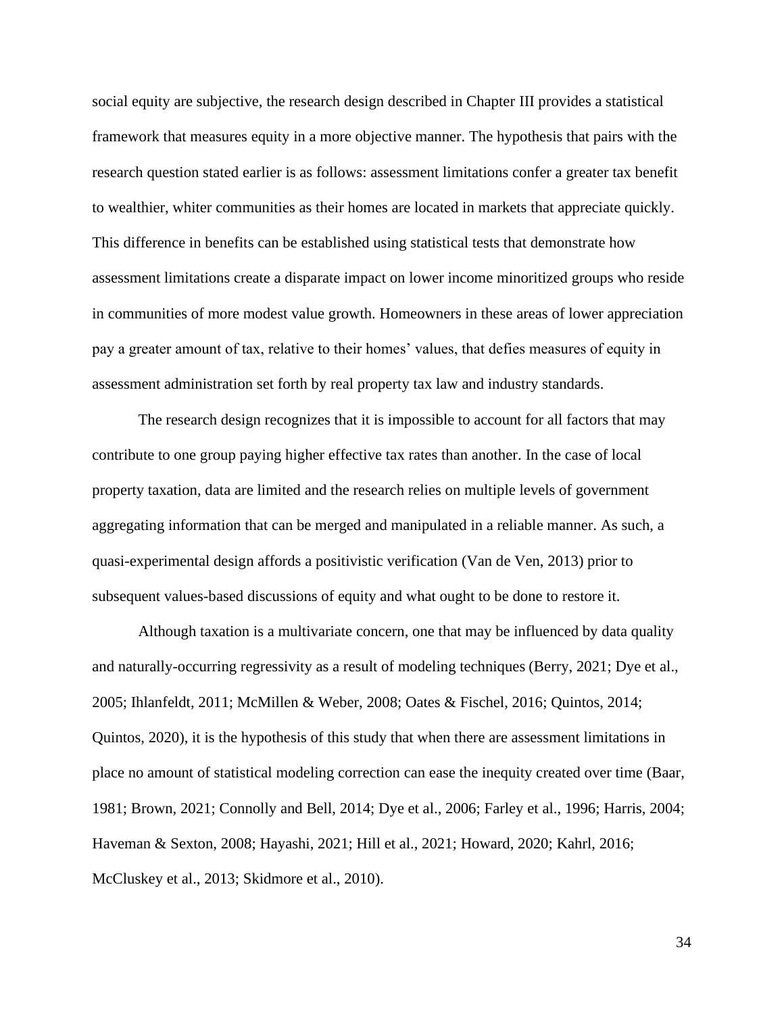social equity are subjective, the research design described in Chapter III provides a statistical framework that measures equity in a more objective manner. The hypothesis that pairs with the research question stated earlier is as follows: assessment limitations confer a greater tax benefit to wealthier, whiter communities as their homes are located in markets that appreciate quickly. This difference in benefits can be established using statistical tests that demonstrate how assessment limitations create a disparate impact on lower income minoritized groups who reside in communities of more modest value growth. Homeowners in these areas of lower appreciation pay a greater amount of tax, relative to their homes' values, that defies measures of equity in assessment administration set forth by real property tax law and industry standards.

The research design recognizes that it is impossible to account for all factors that may contribute to one group paying higher effective tax rates than another. In the case of local property taxation, data are limited and the research relies on multiple levels of government aggregating information that can be merged and manipulated in a reliable manner. As such, a quasi-experimental design affords a positivistic verification (Van de Ven, 2013) prior to subsequent values-based discussions of equity and what ought to be done to restore it.

Although taxation is a multivariate concern, one that may be influenced by data quality and naturally-occurring regressivity as a result of modeling techniques (Berry, 2021; Dye et al., 2005; Ihlanfeldt, 2011; McMillen & Weber, 2008; Oates & Fischel, 2016; Quintos, 2014; Quintos, 2020), it is the hypothesis of this study that when there are assessment limitations in place no amount of statistical modeling correction can ease the inequity created over time (Baar, 1981; Brown, 2021; Connolly and Bell, 2014; Dye et al., 2006; Farley et al., 1996; Harris, 2004; Haveman & Sexton, 2008; Hayashi, 2021; Hill et al., 2021; Howard, 2020; Kahrl, 2016; McCluskey et al., 2013; Skidmore et al., 2010).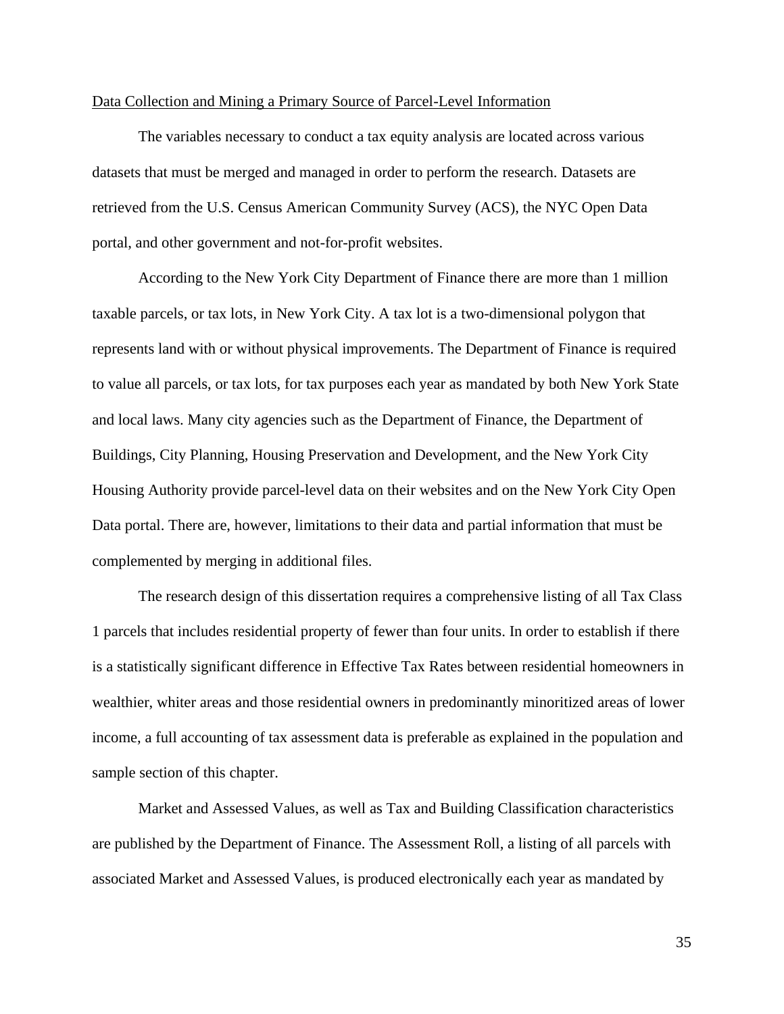## Data Collection and Mining a Primary Source of Parcel-Level Information

The variables necessary to conduct a tax equity analysis are located across various datasets that must be merged and managed in order to perform the research. Datasets are retrieved from the U.S. Census American Community Survey (ACS), the NYC Open Data portal, and other government and not-for-profit websites.

According to the New York City Department of Finance there are more than 1 million taxable parcels, or tax lots, in New York City. A tax lot is a two-dimensional polygon that represents land with or without physical improvements. The Department of Finance is required to value all parcels, or tax lots, for tax purposes each year as mandated by both New York State and local laws. Many city agencies such as the Department of Finance, the Department of Buildings, City Planning, Housing Preservation and Development, and the New York City Housing Authority provide parcel-level data on their websites and on the New York City Open Data portal. There are, however, limitations to their data and partial information that must be complemented by merging in additional files.

The research design of this dissertation requires a comprehensive listing of all Tax Class 1 parcels that includes residential property of fewer than four units. In order to establish if there is a statistically significant difference in Effective Tax Rates between residential homeowners in wealthier, whiter areas and those residential owners in predominantly minoritized areas of lower income, a full accounting of tax assessment data is preferable as explained in the population and sample section of this chapter.

Market and Assessed Values, as well as Tax and Building Classification characteristics are published by the Department of Finance. The Assessment Roll, a listing of all parcels with associated Market and Assessed Values, is produced electronically each year as mandated by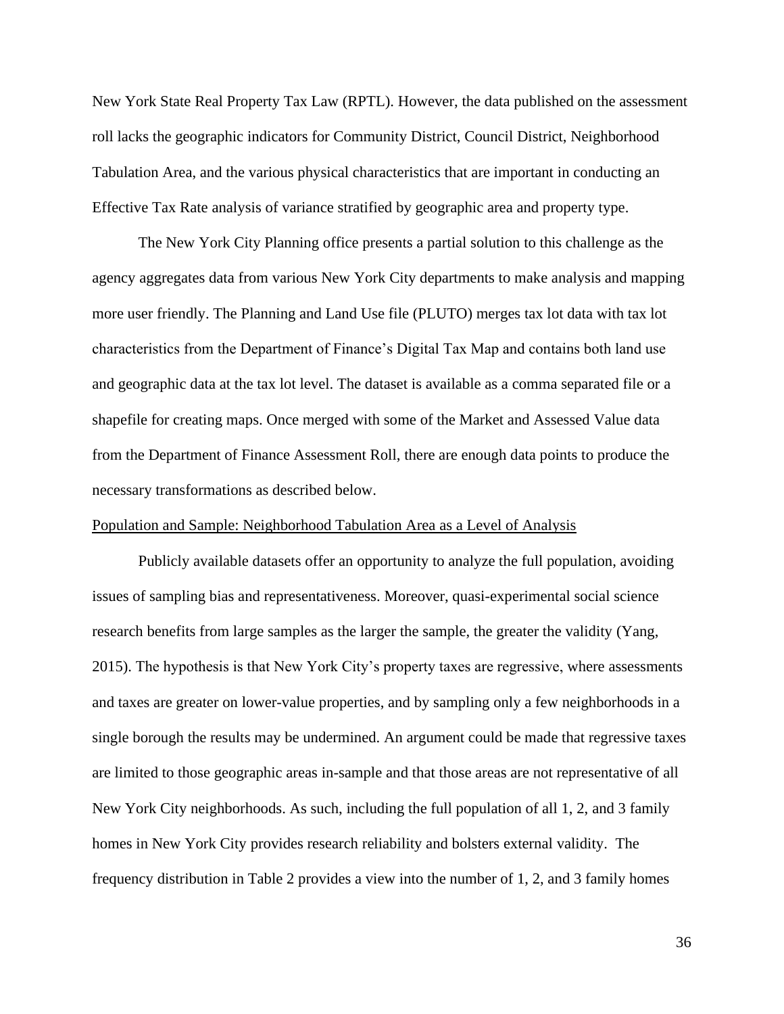New York State Real Property Tax Law (RPTL). However, the data published on the assessment roll lacks the geographic indicators for Community District, Council District, Neighborhood Tabulation Area, and the various physical characteristics that are important in conducting an Effective Tax Rate analysis of variance stratified by geographic area and property type.

The New York City Planning office presents a partial solution to this challenge as the agency aggregates data from various New York City departments to make analysis and mapping more user friendly. The Planning and Land Use file (PLUTO) merges tax lot data with tax lot characteristics from the Department of Finance's Digital Tax Map and contains both land use and geographic data at the tax lot level. The dataset is available as a comma separated file or a shapefile for creating maps. Once merged with some of the Market and Assessed Value data from the Department of Finance Assessment Roll, there are enough data points to produce the necessary transformations as described below.

## Population and Sample: Neighborhood Tabulation Area as a Level of Analysis

Publicly available datasets offer an opportunity to analyze the full population, avoiding issues of sampling bias and representativeness. Moreover, quasi-experimental social science research benefits from large samples as the larger the sample, the greater the validity (Yang, 2015). The hypothesis is that New York City's property taxes are regressive, where assessments and taxes are greater on lower-value properties, and by sampling only a few neighborhoods in a single borough the results may be undermined. An argument could be made that regressive taxes are limited to those geographic areas in-sample and that those areas are not representative of all New York City neighborhoods. As such, including the full population of all 1, 2, and 3 family homes in New York City provides research reliability and bolsters external validity. The frequency distribution in Table 2 provides a view into the number of 1, 2, and 3 family homes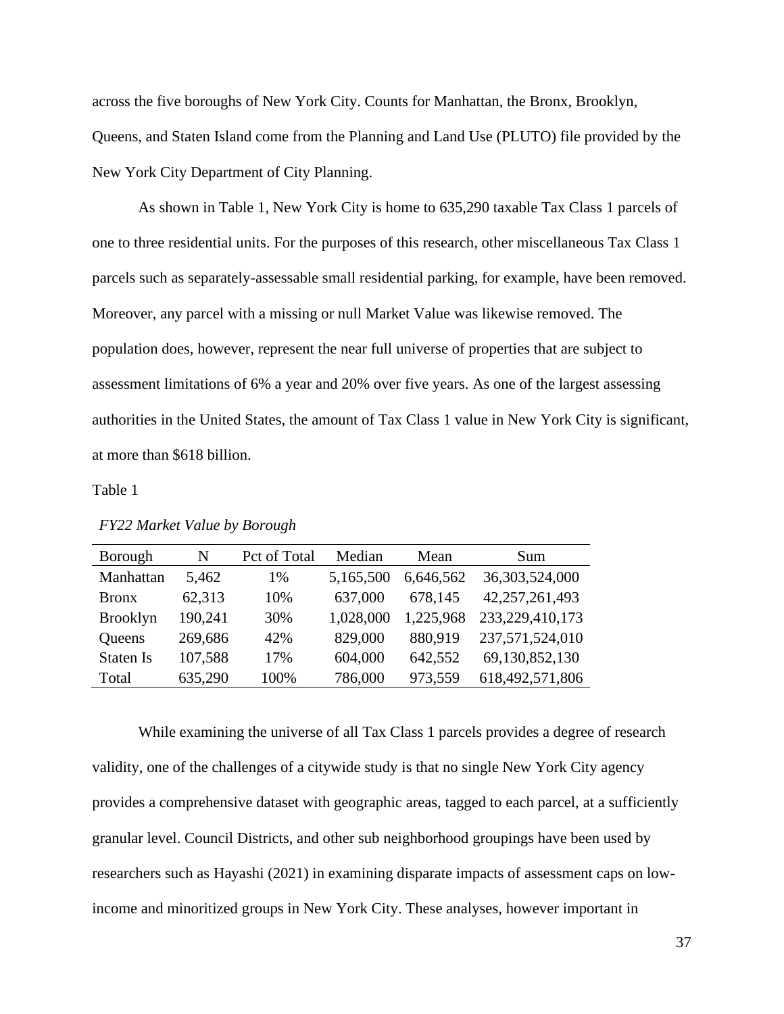across the five boroughs of New York City. Counts for Manhattan, the Bronx, Brooklyn, Queens, and Staten Island come from the Planning and Land Use (PLUTO) file provided by the New York City Department of City Planning.

As shown in Table 1, New York City is home to 635,290 taxable Tax Class 1 parcels of one to three residential units. For the purposes of this research, other miscellaneous Tax Class 1 parcels such as separately-assessable small residential parking, for example, have been removed. Moreover, any parcel with a missing or null Market Value was likewise removed. The population does, however, represent the near full universe of properties that are subject to assessment limitations of 6% a year and 20% over five years. As one of the largest assessing authorities in the United States, the amount of Tax Class 1 value in New York City is significant, at more than \$618 billion.

## Table 1

| Borough          | N       | Pct of Total | Median    | Mean      | <b>Sum</b>      |
|------------------|---------|--------------|-----------|-----------|-----------------|
| Manhattan        | 5,462   | 1%           | 5,165,500 | 6,646,562 | 36,303,524,000  |
| <b>Bronx</b>     | 62,313  | 10%          | 637,000   | 678,145   | 42,257,261,493  |
| <b>Brooklyn</b>  | 190,241 | 30%          | 1,028,000 | 1,225,968 | 233,229,410,173 |
| <b>Queens</b>    | 269,686 | 42%          | 829,000   | 880,919   | 237,571,524,010 |
| <b>Staten Is</b> | 107,588 | 17%          | 604,000   | 642,552   | 69,130,852,130  |
| Total            | 635,290 | 100%         | 786,000   | 973,559   | 618,492,571,806 |

*FY22 Market Value by Borough*

While examining the universe of all Tax Class 1 parcels provides a degree of research validity, one of the challenges of a citywide study is that no single New York City agency provides a comprehensive dataset with geographic areas, tagged to each parcel, at a sufficiently granular level. Council Districts, and other sub neighborhood groupings have been used by researchers such as Hayashi (2021) in examining disparate impacts of assessment caps on lowincome and minoritized groups in New York City. These analyses, however important in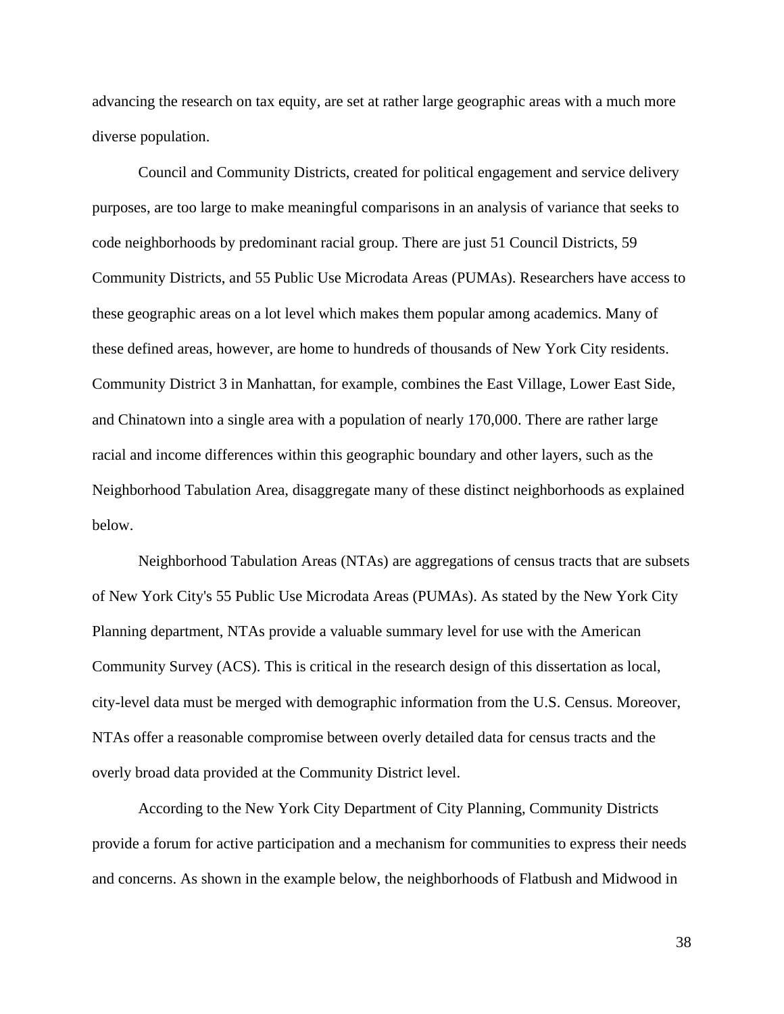advancing the research on tax equity, are set at rather large geographic areas with a much more diverse population.

Council and Community Districts, created for political engagement and service delivery purposes, are too large to make meaningful comparisons in an analysis of variance that seeks to code neighborhoods by predominant racial group. There are just 51 Council Districts, 59 Community Districts, and 55 Public Use Microdata Areas (PUMAs). Researchers have access to these geographic areas on a lot level which makes them popular among academics. Many of these defined areas, however, are home to hundreds of thousands of New York City residents. Community District 3 in Manhattan, for example, combines the East Village, Lower East Side, and Chinatown into a single area with a population of nearly 170,000. There are rather large racial and income differences within this geographic boundary and other layers, such as the Neighborhood Tabulation Area, disaggregate many of these distinct neighborhoods as explained below.

Neighborhood Tabulation Areas (NTAs) are aggregations of census tracts that are subsets of New York City's 55 Public Use Microdata Areas (PUMAs). As stated by the New York City Planning department, NTAs provide a valuable summary level for use with the American Community Survey (ACS). This is critical in the research design of this dissertation as local, city-level data must be merged with demographic information from the U.S. Census. Moreover, NTAs offer a reasonable compromise between overly detailed data for census tracts and the overly broad data provided at the Community District level.

According to the New York City Department of City Planning, Community Districts provide a forum for active participation and a mechanism for communities to express their needs and concerns. As shown in the example below, the neighborhoods of Flatbush and Midwood in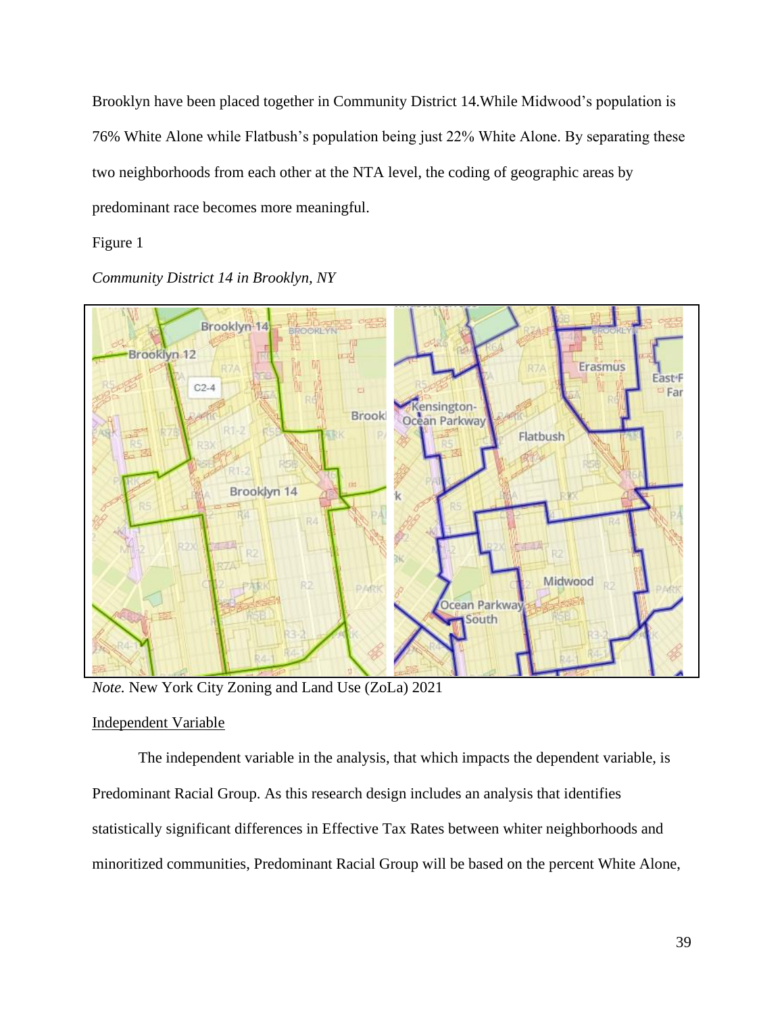Brooklyn have been placed together in Community District 14.While Midwood's population is 76% White Alone while Flatbush's population being just 22% White Alone. By separating these two neighborhoods from each other at the NTA level, the coding of geographic areas by predominant race becomes more meaningful.

# Figure 1

*Community District 14 in Brooklyn, NY*



*Note.* New York City Zoning and Land Use (ZoLa) 2021

# Independent Variable

The independent variable in the analysis, that which impacts the dependent variable, is Predominant Racial Group. As this research design includes an analysis that identifies statistically significant differences in Effective Tax Rates between whiter neighborhoods and minoritized communities, Predominant Racial Group will be based on the percent White Alone,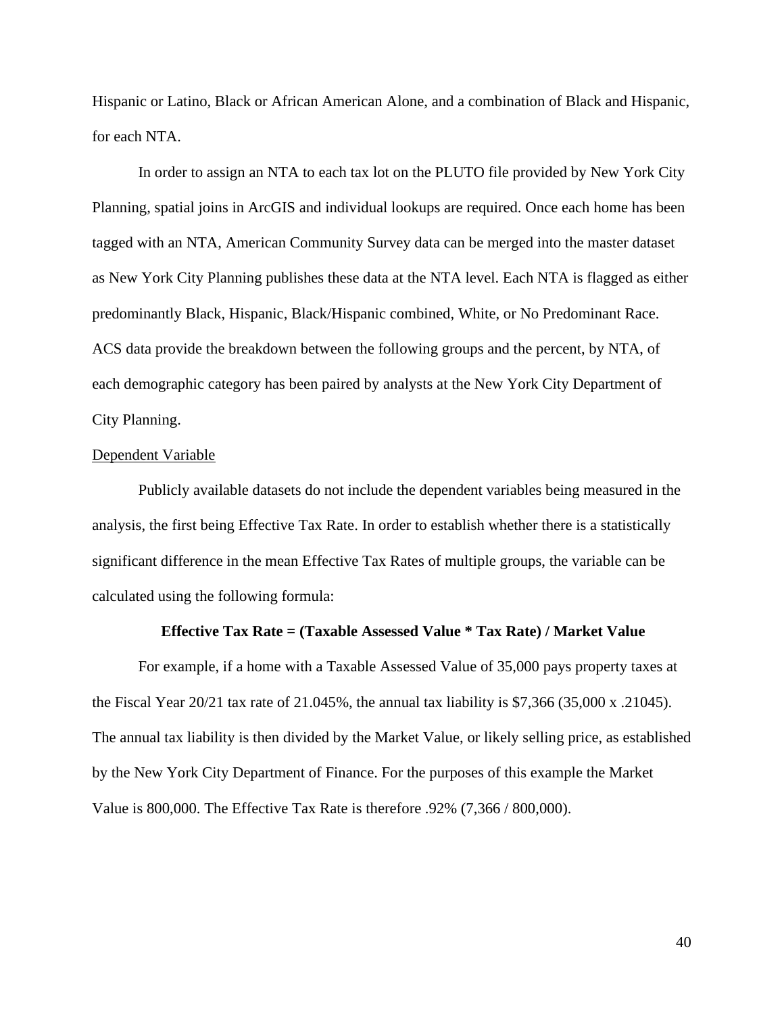Hispanic or Latino, Black or African American Alone, and a combination of Black and Hispanic, for each NTA.

In order to assign an NTA to each tax lot on the PLUTO file provided by New York City Planning, spatial joins in ArcGIS and individual lookups are required. Once each home has been tagged with an NTA, American Community Survey data can be merged into the master dataset as New York City Planning publishes these data at the NTA level. Each NTA is flagged as either predominantly Black, Hispanic, Black/Hispanic combined, White, or No Predominant Race. ACS data provide the breakdown between the following groups and the percent, by NTA, of each demographic category has been paired by analysts at the New York City Department of City Planning.

## Dependent Variable

Publicly available datasets do not include the dependent variables being measured in the analysis, the first being Effective Tax Rate. In order to establish whether there is a statistically significant difference in the mean Effective Tax Rates of multiple groups, the variable can be calculated using the following formula:

#### **Effective Tax Rate = (Taxable Assessed Value \* Tax Rate) / Market Value**

For example, if a home with a Taxable Assessed Value of 35,000 pays property taxes at the Fiscal Year 20/21 tax rate of 21.045%, the annual tax liability is \$7,366 (35,000 x .21045). The annual tax liability is then divided by the Market Value, or likely selling price, as established by the New York City Department of Finance. For the purposes of this example the Market Value is 800,000. The Effective Tax Rate is therefore .92% (7,366 / 800,000).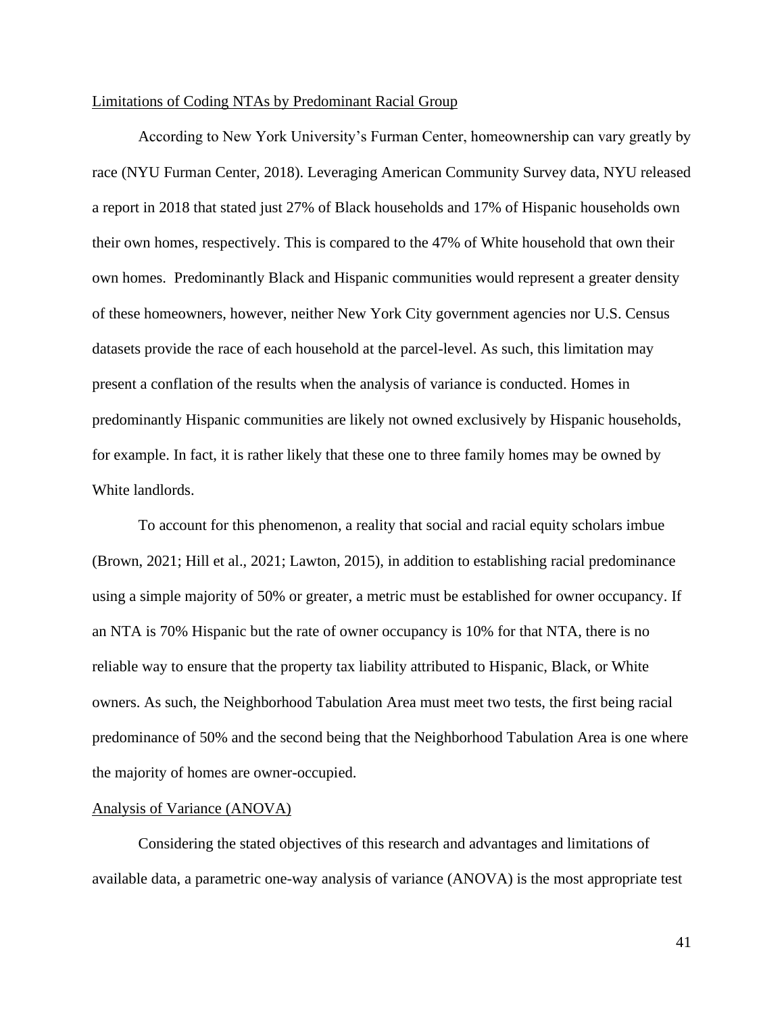## Limitations of Coding NTAs by Predominant Racial Group

According to New York University's Furman Center, homeownership can vary greatly by race (NYU Furman Center, 2018). Leveraging American Community Survey data, NYU released a report in 2018 that stated just 27% of Black households and 17% of Hispanic households own their own homes, respectively. This is compared to the 47% of White household that own their own homes. Predominantly Black and Hispanic communities would represent a greater density of these homeowners, however, neither New York City government agencies nor U.S. Census datasets provide the race of each household at the parcel-level. As such, this limitation may present a conflation of the results when the analysis of variance is conducted. Homes in predominantly Hispanic communities are likely not owned exclusively by Hispanic households, for example. In fact, it is rather likely that these one to three family homes may be owned by White landlords.

To account for this phenomenon, a reality that social and racial equity scholars imbue (Brown, 2021; Hill et al., 2021; Lawton, 2015), in addition to establishing racial predominance using a simple majority of 50% or greater, a metric must be established for owner occupancy. If an NTA is 70% Hispanic but the rate of owner occupancy is 10% for that NTA, there is no reliable way to ensure that the property tax liability attributed to Hispanic, Black, or White owners. As such, the Neighborhood Tabulation Area must meet two tests, the first being racial predominance of 50% and the second being that the Neighborhood Tabulation Area is one where the majority of homes are owner-occupied.

#### Analysis of Variance (ANOVA)

Considering the stated objectives of this research and advantages and limitations of available data, a parametric one-way analysis of variance (ANOVA) is the most appropriate test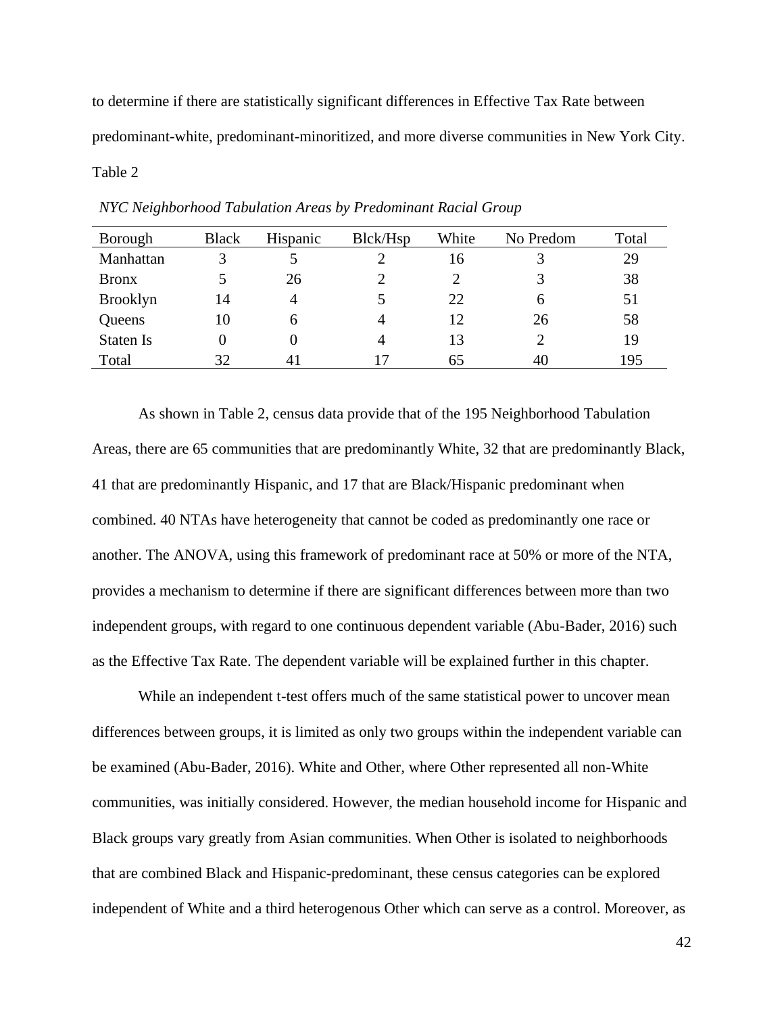to determine if there are statistically significant differences in Effective Tax Rate between predominant-white, predominant-minoritized, and more diverse communities in New York City. Table 2

| Borough          | <b>Black</b> | Hispanic | Blck/Hsp | White | No Predom | Total |
|------------------|--------------|----------|----------|-------|-----------|-------|
| Manhattan        |              |          |          | 16    |           | 29    |
| <b>Bronx</b>     |              | 26       |          |       |           | 38    |
| <b>Brooklyn</b>  | 14           | 4        |          | 22    | 6         | 51    |
| Queens           | 10           | 6        | 4        | 12    | 26        | 58    |
| <b>Staten Is</b> |              |          | 4        | 13    | っ         | 19    |
| Total            | 32           | 41       |          | 65    | 40        | 195   |

*NYC Neighborhood Tabulation Areas by Predominant Racial Group*

As shown in Table 2, census data provide that of the 195 Neighborhood Tabulation Areas, there are 65 communities that are predominantly White, 32 that are predominantly Black, 41 that are predominantly Hispanic, and 17 that are Black/Hispanic predominant when combined. 40 NTAs have heterogeneity that cannot be coded as predominantly one race or another. The ANOVA, using this framework of predominant race at 50% or more of the NTA, provides a mechanism to determine if there are significant differences between more than two independent groups, with regard to one continuous dependent variable (Abu-Bader, 2016) such as the Effective Tax Rate. The dependent variable will be explained further in this chapter.

While an independent t-test offers much of the same statistical power to uncover mean differences between groups, it is limited as only two groups within the independent variable can be examined (Abu-Bader, 2016). White and Other, where Other represented all non-White communities, was initially considered. However, the median household income for Hispanic and Black groups vary greatly from Asian communities. When Other is isolated to neighborhoods that are combined Black and Hispanic-predominant, these census categories can be explored independent of White and a third heterogenous Other which can serve as a control. Moreover, as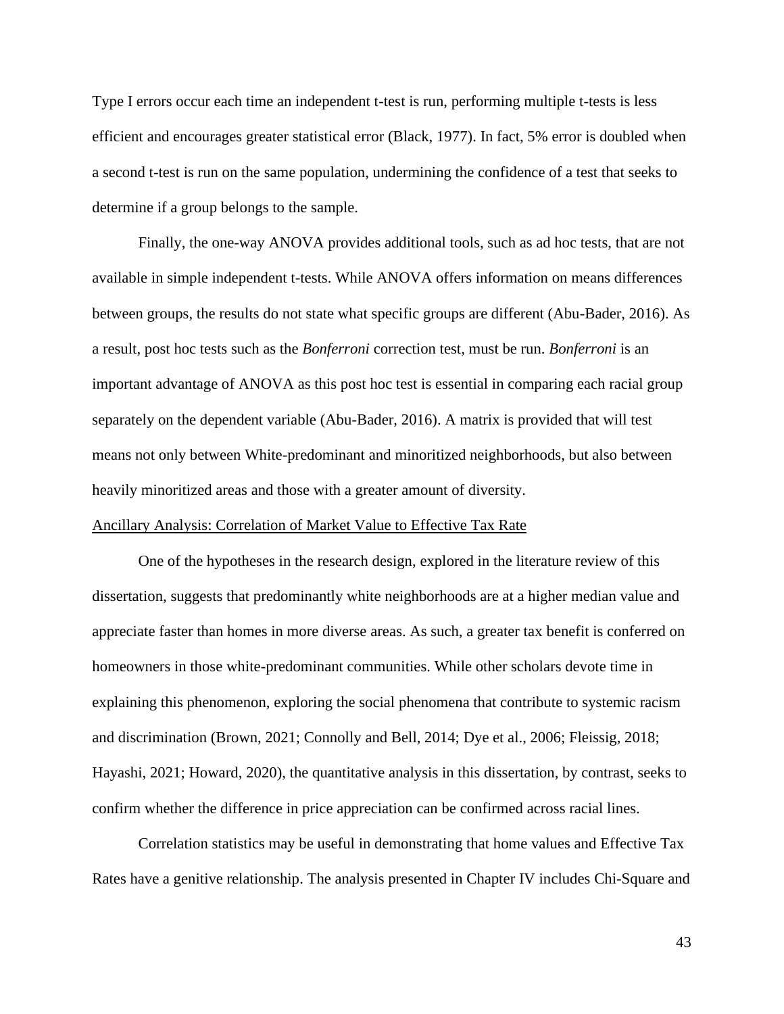Type I errors occur each time an independent t-test is run, performing multiple t-tests is less efficient and encourages greater statistical error (Black, 1977). In fact, 5% error is doubled when a second t-test is run on the same population, undermining the confidence of a test that seeks to determine if a group belongs to the sample.

Finally, the one-way ANOVA provides additional tools, such as ad hoc tests, that are not available in simple independent t-tests. While ANOVA offers information on means differences between groups, the results do not state what specific groups are different (Abu-Bader, 2016). As a result, post hoc tests such as the *Bonferroni* correction test, must be run. *Bonferroni* is an important advantage of ANOVA as this post hoc test is essential in comparing each racial group separately on the dependent variable (Abu-Bader, 2016). A matrix is provided that will test means not only between White-predominant and minoritized neighborhoods, but also between heavily minoritized areas and those with a greater amount of diversity.

# Ancillary Analysis: Correlation of Market Value to Effective Tax Rate

One of the hypotheses in the research design, explored in the literature review of this dissertation, suggests that predominantly white neighborhoods are at a higher median value and appreciate faster than homes in more diverse areas. As such, a greater tax benefit is conferred on homeowners in those white-predominant communities. While other scholars devote time in explaining this phenomenon, exploring the social phenomena that contribute to systemic racism and discrimination (Brown, 2021; Connolly and Bell, 2014; Dye et al., 2006; Fleissig, 2018; Hayashi, 2021; Howard, 2020), the quantitative analysis in this dissertation, by contrast, seeks to confirm whether the difference in price appreciation can be confirmed across racial lines.

Correlation statistics may be useful in demonstrating that home values and Effective Tax Rates have a genitive relationship. The analysis presented in Chapter IV includes Chi-Square and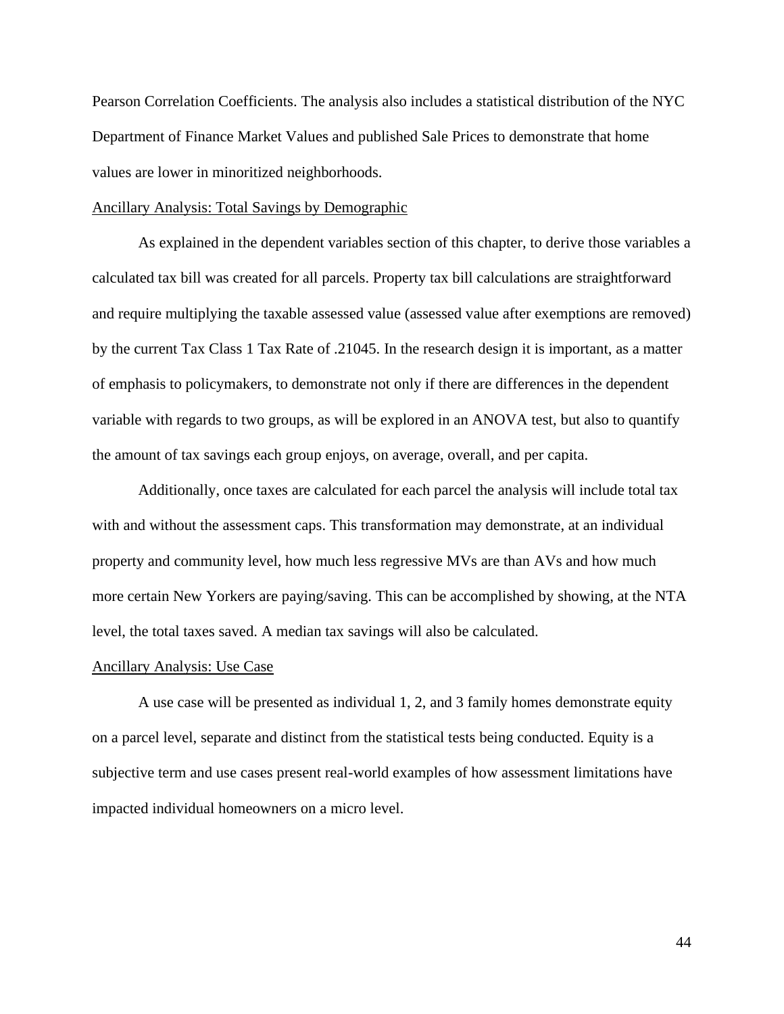Pearson Correlation Coefficients. The analysis also includes a statistical distribution of the NYC Department of Finance Market Values and published Sale Prices to demonstrate that home values are lower in minoritized neighborhoods.

#### Ancillary Analysis: Total Savings by Demographic

As explained in the dependent variables section of this chapter, to derive those variables a calculated tax bill was created for all parcels. Property tax bill calculations are straightforward and require multiplying the taxable assessed value (assessed value after exemptions are removed) by the current Tax Class 1 Tax Rate of .21045. In the research design it is important, as a matter of emphasis to policymakers, to demonstrate not only if there are differences in the dependent variable with regards to two groups, as will be explored in an ANOVA test, but also to quantify the amount of tax savings each group enjoys, on average, overall, and per capita.

Additionally, once taxes are calculated for each parcel the analysis will include total tax with and without the assessment caps. This transformation may demonstrate, at an individual property and community level, how much less regressive MVs are than AVs and how much more certain New Yorkers are paying/saving. This can be accomplished by showing, at the NTA level, the total taxes saved. A median tax savings will also be calculated.

#### Ancillary Analysis: Use Case

A use case will be presented as individual 1, 2, and 3 family homes demonstrate equity on a parcel level, separate and distinct from the statistical tests being conducted. Equity is a subjective term and use cases present real-world examples of how assessment limitations have impacted individual homeowners on a micro level.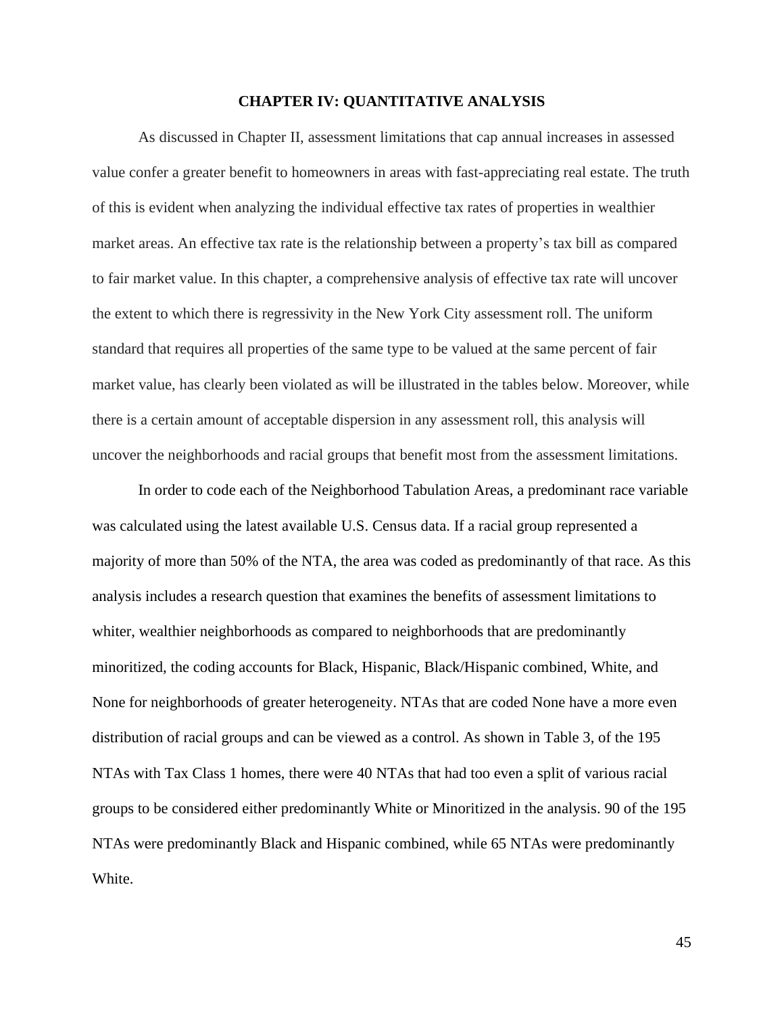# **CHAPTER IV: QUANTITATIVE ANALYSIS**

As discussed in Chapter II, assessment limitations that cap annual increases in assessed value confer a greater benefit to homeowners in areas with fast-appreciating real estate. The truth of this is evident when analyzing the individual effective tax rates of properties in wealthier market areas. An effective tax rate is the relationship between a property's tax bill as compared to fair market value. In this chapter, a comprehensive analysis of effective tax rate will uncover the extent to which there is regressivity in the New York City assessment roll. The uniform standard that requires all properties of the same type to be valued at the same percent of fair market value, has clearly been violated as will be illustrated in the tables below. Moreover, while there is a certain amount of acceptable dispersion in any assessment roll, this analysis will uncover the neighborhoods and racial groups that benefit most from the assessment limitations.

In order to code each of the Neighborhood Tabulation Areas, a predominant race variable was calculated using the latest available U.S. Census data. If a racial group represented a majority of more than 50% of the NTA, the area was coded as predominantly of that race. As this analysis includes a research question that examines the benefits of assessment limitations to whiter, wealthier neighborhoods as compared to neighborhoods that are predominantly minoritized, the coding accounts for Black, Hispanic, Black/Hispanic combined, White, and None for neighborhoods of greater heterogeneity. NTAs that are coded None have a more even distribution of racial groups and can be viewed as a control. As shown in Table 3, of the 195 NTAs with Tax Class 1 homes, there were 40 NTAs that had too even a split of various racial groups to be considered either predominantly White or Minoritized in the analysis. 90 of the 195 NTAs were predominantly Black and Hispanic combined, while 65 NTAs were predominantly White.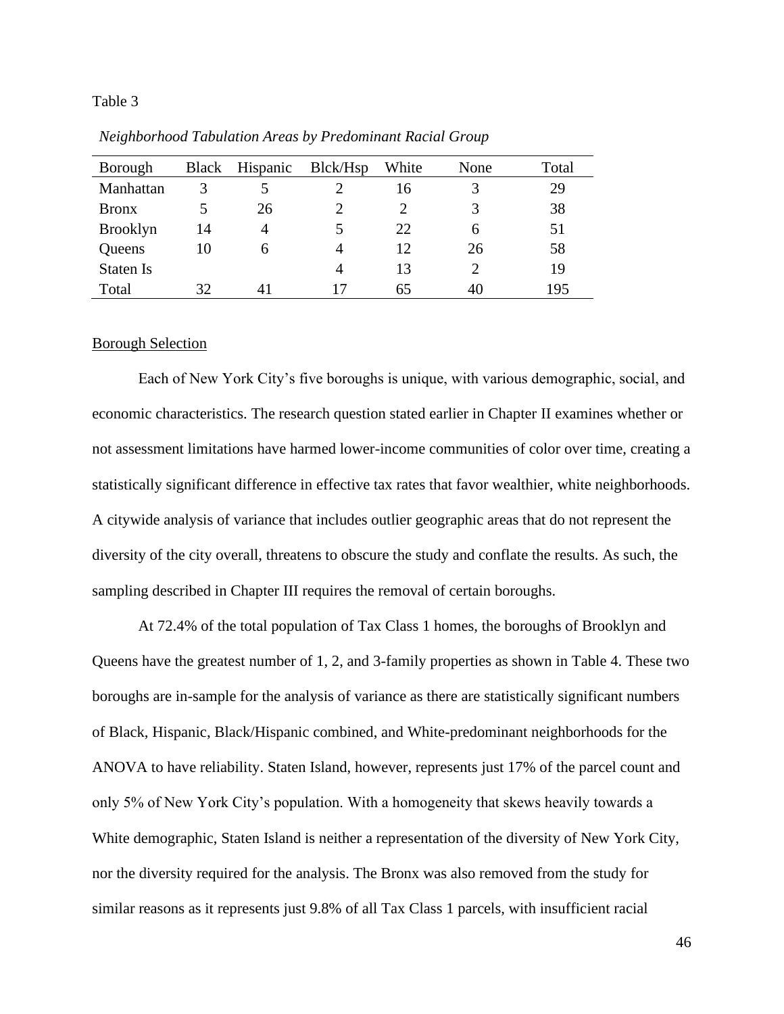## Table 3

| Borough          | <b>Black</b> | Hispanic     | Blck/Hsp | White | None | Total |
|------------------|--------------|--------------|----------|-------|------|-------|
| Manhattan        | 3            |              |          | 16    | 3    | 29    |
| <b>Bronx</b>     |              | 26           |          |       | 3    | 38    |
| <b>Brooklyn</b>  | 14           |              |          | 22    | 6    | 51    |
| Queens           | 10           | <sub>6</sub> | 4        | 12    | 26   | 58    |
| <b>Staten Is</b> |              |              | 4        | 13    | C    | 19    |
| Total            | 32.          |              |          | 65    | 40   | 195   |

*Neighborhood Tabulation Areas by Predominant Racial Group*

## Borough Selection

Each of New York City's five boroughs is unique, with various demographic, social, and economic characteristics. The research question stated earlier in Chapter II examines whether or not assessment limitations have harmed lower-income communities of color over time, creating a statistically significant difference in effective tax rates that favor wealthier, white neighborhoods. A citywide analysis of variance that includes outlier geographic areas that do not represent the diversity of the city overall, threatens to obscure the study and conflate the results. As such, the sampling described in Chapter III requires the removal of certain boroughs.

At 72.4% of the total population of Tax Class 1 homes, the boroughs of Brooklyn and Queens have the greatest number of 1, 2, and 3-family properties as shown in Table 4. These two boroughs are in-sample for the analysis of variance as there are statistically significant numbers of Black, Hispanic, Black/Hispanic combined, and White-predominant neighborhoods for the ANOVA to have reliability. Staten Island, however, represents just 17% of the parcel count and only 5% of New York City's population. With a homogeneity that skews heavily towards a White demographic, Staten Island is neither a representation of the diversity of New York City, nor the diversity required for the analysis. The Bronx was also removed from the study for similar reasons as it represents just 9.8% of all Tax Class 1 parcels, with insufficient racial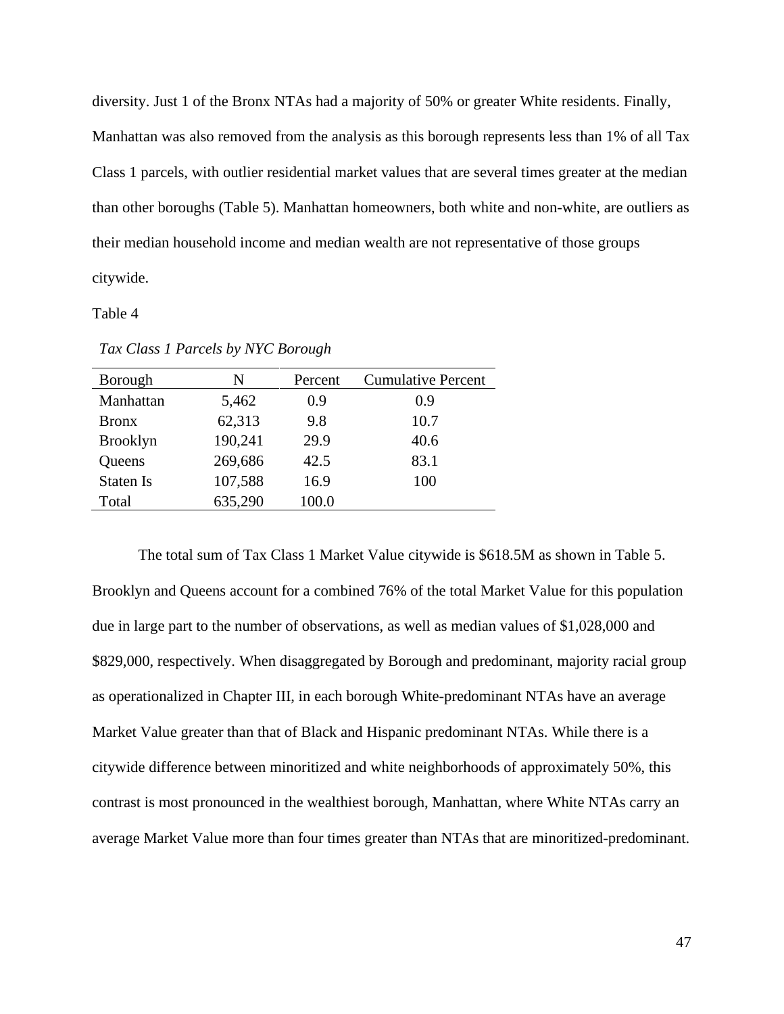diversity. Just 1 of the Bronx NTAs had a majority of 50% or greater White residents. Finally, Manhattan was also removed from the analysis as this borough represents less than 1% of all Tax Class 1 parcels, with outlier residential market values that are several times greater at the median than other boroughs (Table 5). Manhattan homeowners, both white and non-white, are outliers as their median household income and median wealth are not representative of those groups citywide.

## Table 4

| N       | Percent | <b>Cumulative Percent</b> |
|---------|---------|---------------------------|
| 5,462   | 0.9     | 0.9                       |
| 62,313  | 9.8     | 10.7                      |
| 190,241 | 29.9    | 40.6                      |
| 269,686 | 42.5    | 83.1                      |
| 107,588 | 16.9    | 100                       |
| 635,290 | 100.0   |                           |
|         |         |                           |

*Tax Class 1 Parcels by NYC Borough*

The total sum of Tax Class 1 Market Value citywide is \$618.5M as shown in Table 5. Brooklyn and Queens account for a combined 76% of the total Market Value for this population due in large part to the number of observations, as well as median values of \$1,028,000 and \$829,000, respectively. When disaggregated by Borough and predominant, majority racial group as operationalized in Chapter III, in each borough White-predominant NTAs have an average Market Value greater than that of Black and Hispanic predominant NTAs. While there is a citywide difference between minoritized and white neighborhoods of approximately 50%, this contrast is most pronounced in the wealthiest borough, Manhattan, where White NTAs carry an average Market Value more than four times greater than NTAs that are minoritized-predominant.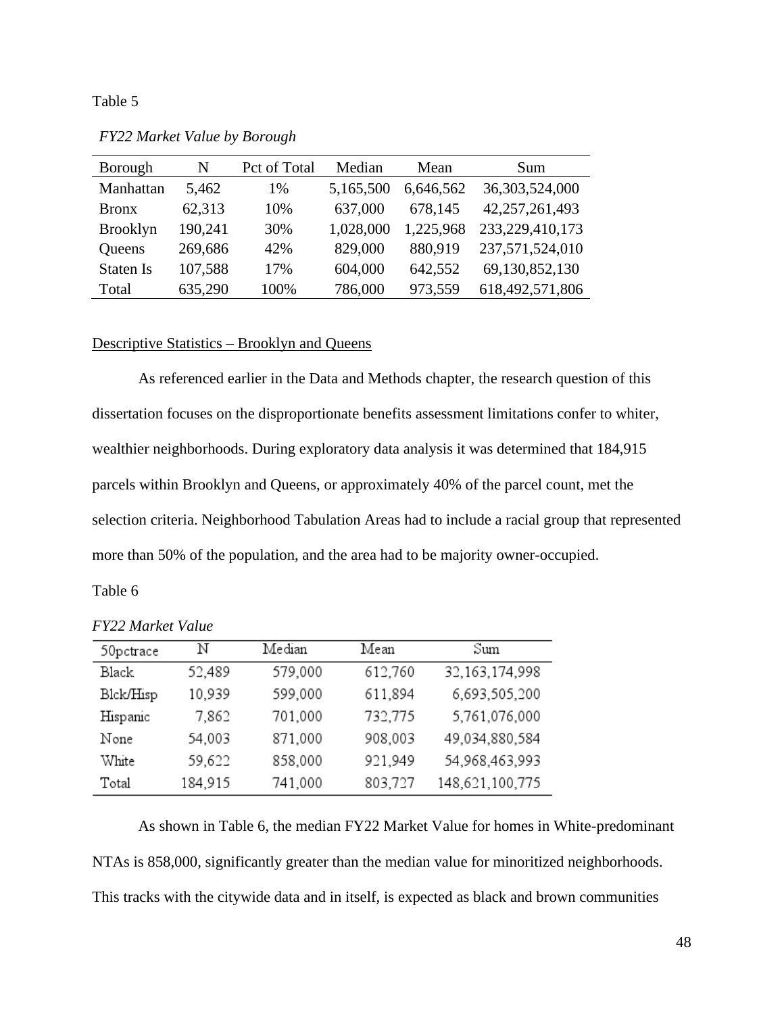Table 5

| Borough          | N       | Pct of Total | Median    | Mean      | Sum             |
|------------------|---------|--------------|-----------|-----------|-----------------|
| Manhattan        | 5,462   | 1%           | 5,165,500 | 6,646,562 | 36,303,524,000  |
| <b>Bronx</b>     | 62,313  | 10%          | 637,000   | 678,145   | 42,257,261,493  |
| <b>Brooklyn</b>  | 190,241 | 30%          | 1,028,000 | 1,225,968 | 233,229,410,173 |
| Queens           | 269,686 | 42%          | 829,000   | 880,919   | 237,571,524,010 |
| <b>Staten Is</b> | 107,588 | 17%          | 604,000   | 642,552   | 69,130,852,130  |
| Total            | 635,290 | 100%         | 786,000   | 973,559   | 618,492,571,806 |

*FY22 Market Value by Borough*

# Descriptive Statistics – Brooklyn and Queens

As referenced earlier in the Data and Methods chapter, the research question of this dissertation focuses on the disproportionate benefits assessment limitations confer to whiter, wealthier neighborhoods. During exploratory data analysis it was determined that 184,915 parcels within Brooklyn and Queens, or approximately 40% of the parcel count, met the selection criteria. Neighborhood Tabulation Areas had to include a racial group that represented more than 50% of the population, and the area had to be majority owner-occupied.

Table 6

| 50pctrace | N       | Median  | Mean    | Sum               |
|-----------|---------|---------|---------|-------------------|
| Black     | 52,489  | 579,000 | 612,760 | 32, 163, 174, 998 |
| Blck/Hisp | 10,939  | 599,000 | 611,894 | 6,693,505,200     |
| Hispanic  | 7,862   | 701,000 | 732,775 | 5,761,076,000     |
| None      | 54,003  | 871,000 | 908,003 | 49,034,880,584    |
| White     | 59,622  | 858,000 | 921,949 | 54,968,463,993    |
| Total     | 184,915 | 741,000 | 803,727 | 148,621,100,775   |

*FY22 Market Value*

As shown in Table 6, the median FY22 Market Value for homes in White-predominant NTAs is 858,000, significantly greater than the median value for minoritized neighborhoods. This tracks with the citywide data and in itself, is expected as black and brown communities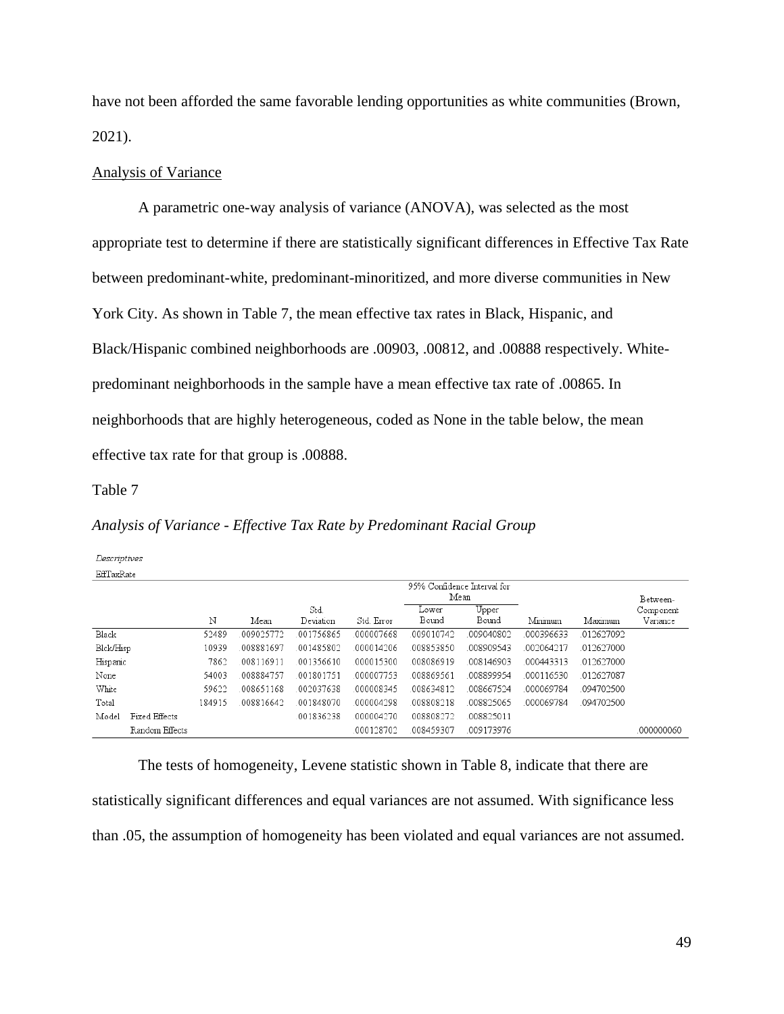have not been afforded the same favorable lending opportunities as white communities (Brown, 2021).

## Analysis of Variance

A parametric one-way analysis of variance (ANOVA), was selected as the most appropriate test to determine if there are statistically significant differences in Effective Tax Rate between predominant-white, predominant-minoritized, and more diverse communities in New York City. As shown in Table 7, the mean effective tax rates in Black, Hispanic, and Black/Hispanic combined neighborhoods are .00903, .00812, and .00888 respectively. Whitepredominant neighborhoods in the sample have a mean effective tax rate of .00865. In neighborhoods that are highly heterogeneous, coded as None in the table below, the mean effective tax rate for that group is .00888.

Table 7

Decriptives

# *Analysis of Variance - Effective Tax Rate by Predominant Racial Group*

| Descriptives |                |        |           |           |            |                             |            |           |           |            |
|--------------|----------------|--------|-----------|-----------|------------|-----------------------------|------------|-----------|-----------|------------|
| EffTaxRate   |                |        |           |           |            |                             |            |           |           |            |
|              |                |        |           |           |            | 95% Confidence Interval for |            |           |           |            |
|              |                |        |           |           |            |                             | Mean       |           |           | Between-   |
|              |                |        |           | Std.      |            | Lower                       | Upper      |           |           | Component  |
|              |                | Ν      | Mean      | Deviation | Std. Error | Bound                       | Bound      | Minimum   | Maximum   | Variance   |
| Black        |                | 52489  | 009025772 | 001756865 | 000007668  | 009010742                   | 009040802  | 000396633 | 012627092 |            |
| Blck/Hisp    |                | 10939  | 008881697 | 001485802 | 000014206  | 008853850                   | 008909543  | 002064217 | 012627000 |            |
| Hispanic     |                | 7862   | 008116911 | 001356610 | 000015300  | 008086919                   | 008146903  | 000443313 | 012627000 |            |
| None         |                | 54003  | 008884757 | 001801751 | 000007753  | 008869561                   | 008899954  | 000116530 | 012627087 |            |
| White        |                | 59622  | 008651168 | 002037638 | 000008345  | 008634812                   | 008667524  | 000069784 | 094702500 |            |
| Total        |                | 184915 | 008816642 | 001848070 | 000004298  | 008808218                   | 008825065  | 000069784 | 094702500 |            |
| Model        | Fixed Effects  |        |           | 001836238 | 000004270  | 008808272                   | .008825011 |           |           |            |
|              | Random Effects |        |           |           | 000128702  | 008459307                   | 009173976  |           |           | .000000060 |

The tests of homogeneity, Levene statistic shown in Table 8, indicate that there are statistically significant differences and equal variances are not assumed. With significance less than .05, the assumption of homogeneity has been violated and equal variances are not assumed.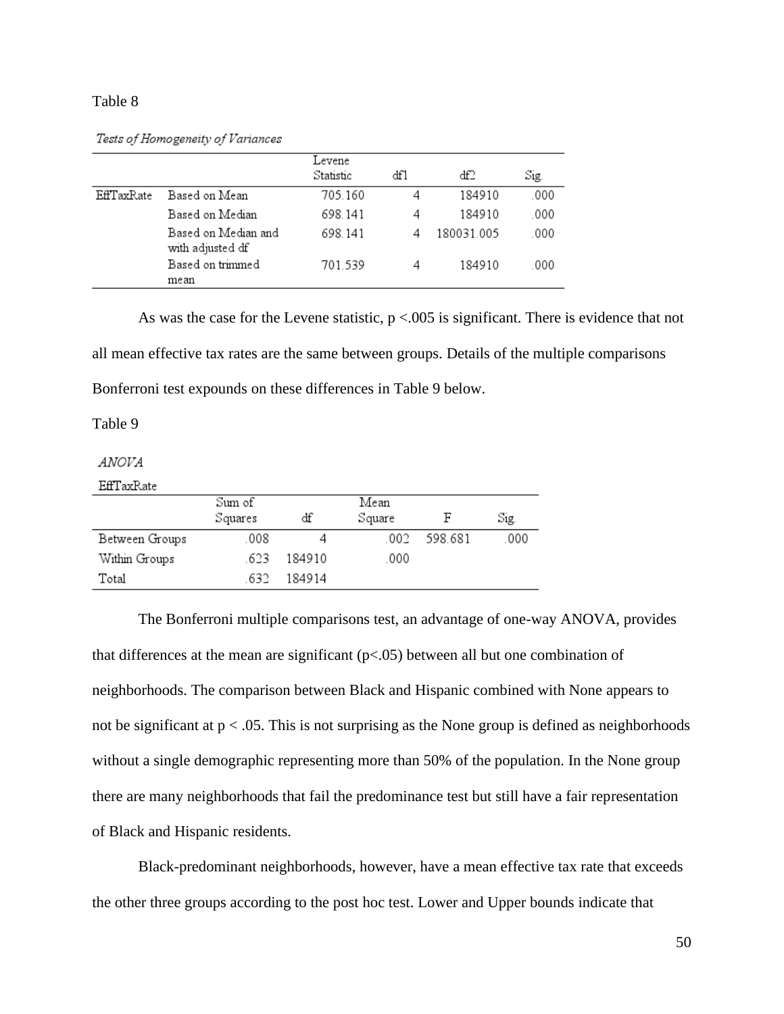## Table 8

Tests of Homogeneity of Variances

|            |                                         | Levene<br>Statistic | dfl | df2        | Sig. |
|------------|-----------------------------------------|---------------------|-----|------------|------|
| EffTaxRate | Based on Mean                           | 705.160             | 4   | 184910     | .000 |
|            | Based on Median                         | 698.141             | 4   | 184910     | .000 |
|            | Based on Median and<br>with adjusted df | 698.141             | 4   | 180031.005 | .000 |
|            | Based on trimmed<br>mean                | 701.539             |     | 184910     | .000 |

As was the case for the Levene statistic,  $p < 0.005$  is significant. There is evidence that not all mean effective tax rates are the same between groups. Details of the multiple comparisons Bonferroni test expounds on these differences in Table 9 below.

Table 9

*ANOVA* 

EffTaxRate

|                | Sum of  |        | Mean   |         |      |
|----------------|---------|--------|--------|---------|------|
|                | Squares | df     | Square | F       | Sig. |
| Between Groups | .008    |        | 002    | 598.681 | 000  |
| Within Groups  | .623    | 184910 | 000    |         |      |
| Total          | 632     | 184914 |        |         |      |

The Bonferroni multiple comparisons test, an advantage of one-way ANOVA, provides that differences at the mean are significant (p<.05) between all but one combination of neighborhoods. The comparison between Black and Hispanic combined with None appears to not be significant at  $p < .05$ . This is not surprising as the None group is defined as neighborhoods without a single demographic representing more than 50% of the population. In the None group there are many neighborhoods that fail the predominance test but still have a fair representation of Black and Hispanic residents.

Black-predominant neighborhoods, however, have a mean effective tax rate that exceeds the other three groups according to the post hoc test. Lower and Upper bounds indicate that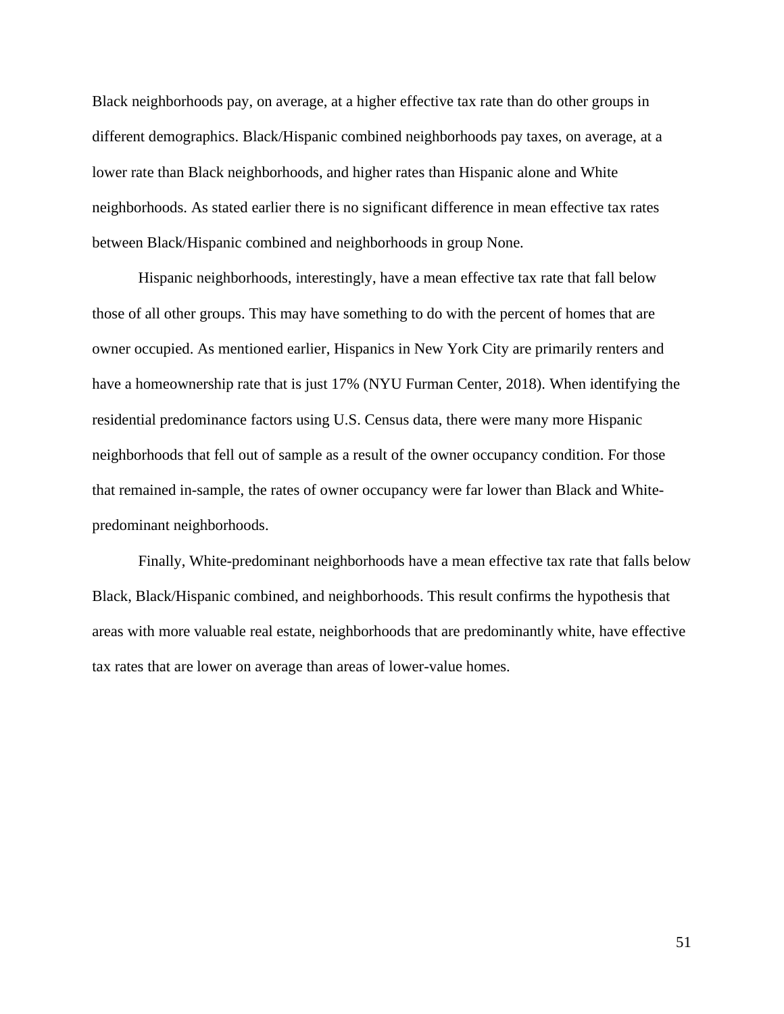Black neighborhoods pay, on average, at a higher effective tax rate than do other groups in different demographics. Black/Hispanic combined neighborhoods pay taxes, on average, at a lower rate than Black neighborhoods, and higher rates than Hispanic alone and White neighborhoods. As stated earlier there is no significant difference in mean effective tax rates between Black/Hispanic combined and neighborhoods in group None.

Hispanic neighborhoods, interestingly, have a mean effective tax rate that fall below those of all other groups. This may have something to do with the percent of homes that are owner occupied. As mentioned earlier, Hispanics in New York City are primarily renters and have a homeownership rate that is just 17% (NYU Furman Center, 2018). When identifying the residential predominance factors using U.S. Census data, there were many more Hispanic neighborhoods that fell out of sample as a result of the owner occupancy condition. For those that remained in-sample, the rates of owner occupancy were far lower than Black and Whitepredominant neighborhoods.

Finally, White-predominant neighborhoods have a mean effective tax rate that falls below Black, Black/Hispanic combined, and neighborhoods. This result confirms the hypothesis that areas with more valuable real estate, neighborhoods that are predominantly white, have effective tax rates that are lower on average than areas of lower-value homes.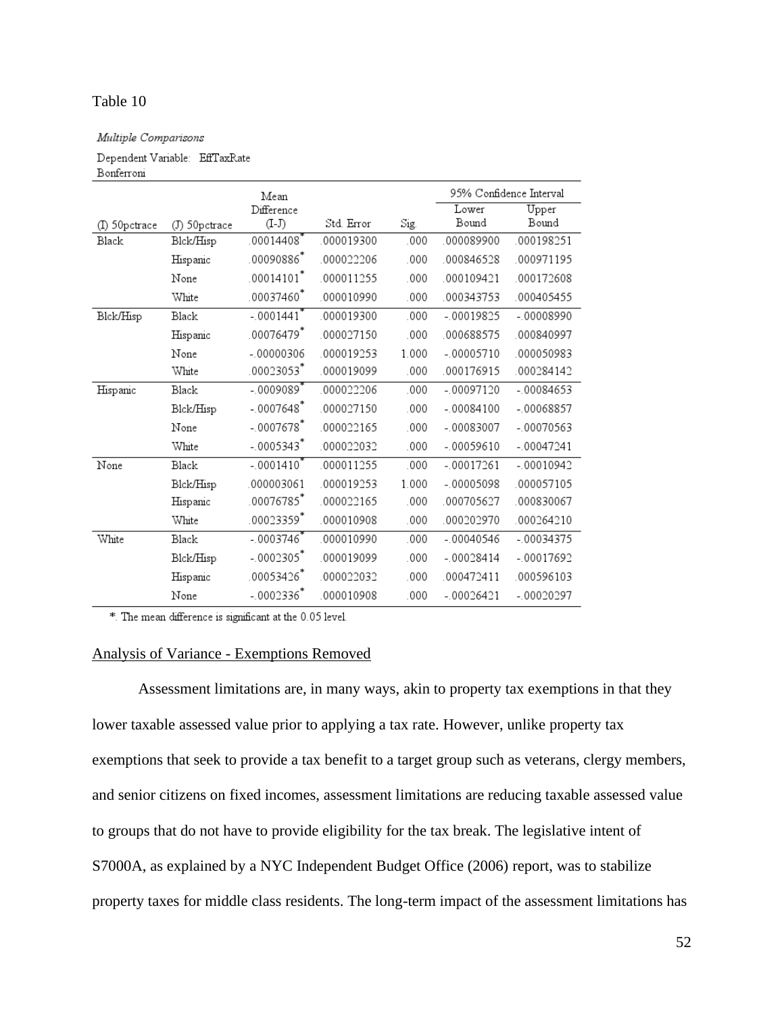# Table 10

Multiple Comparisons

Dependent Variable: EffTaxRate

Bonferroni

|               |               | Mean         |            |       | 95% Confidence Interval |             |
|---------------|---------------|--------------|------------|-------|-------------------------|-------------|
|               |               | Difference   |            |       | Lower                   | Upper       |
| (I) 50pctrace | (J) 50pctrace | $(I-J)$      | Std. Error | Sig.  | Bound                   | Bound       |
| <b>Black</b>  | Blck/Hisp     | .00014408    | 000019300  | .000  | 000089900               | 000198251   |
|               | Hispanic      | .00090886*   | 000022206  | .000  | 000846528               | 000971195   |
|               | None          | $.00014101*$ | .000011255 | .000  | 000109421               | 000172608   |
|               | White         | 00037460*    | 000010990  | .000  | 000343753               | 000405455   |
| Blck/Hisp     | Black         | $-.0001441'$ | 000019300  | .000  | $-00019825$             | $-00008990$ |
|               | Hispanic      | 00076479*    | 000027150  | .000  | 000688575               | 000840997   |
|               | None          | $-00000306$  | 000019253  | 1.000 | $-00005710$             | 000050983   |
|               | White         | 00023053     | 000019099  | .000  | 000176915               | 000284142   |
| Hispanic      | <b>Black</b>  | -.0009089    | 000022206  | .000  | $-00097120$             | $-00084653$ |
|               | Blck/Hisp     | $-.0007648*$ | 000027150  | .000  | $-00084100$             | $-00068857$ |
|               | None          | $-.0007678$  | .000022165 | .000  | $-00083007$             | $-00070563$ |
|               | White         | $-.0005343*$ | 000022032  | .000  | $-00059610$             | $-00047241$ |
| None          | <b>Black</b>  | $-.0001410$  | 000011255  | .000  | $-00017261$             | $-00010942$ |
|               | Blck/Hisp     | 000003061    | 000019253  | 1.000 | $-00005098$             | 000057105   |
|               | Hispanic      | 00076785     | 000022165  | .000  | 000705627               | 000830067   |
|               | White         | 00023359*    | 000010908  | .000  | 000202970               | 000264210   |
| White         | <b>Black</b>  | $-.0003746$  | 000010990  | .000  | $-00040546$             | $-00034375$ |
|               | Blck/Hisp     | $-.0002305"$ | 000019099  | .000  | $-00028414$             | $-00017692$ |
|               | Hispanic      | 00053426     | 000022032  | .000  | 000472411               | 000596103   |
|               | None          | $-.0002336*$ | 000010908  | .000  | $-00026421$             | $-00020297$ |

\*. The mean difference is significant at the 0.05 level.

## Analysis of Variance - Exemptions Removed

Assessment limitations are, in many ways, akin to property tax exemptions in that they lower taxable assessed value prior to applying a tax rate. However, unlike property tax exemptions that seek to provide a tax benefit to a target group such as veterans, clergy members, and senior citizens on fixed incomes, assessment limitations are reducing taxable assessed value to groups that do not have to provide eligibility for the tax break. The legislative intent of S7000A, as explained by a NYC Independent Budget Office (2006) report, was to stabilize property taxes for middle class residents. The long-term impact of the assessment limitations has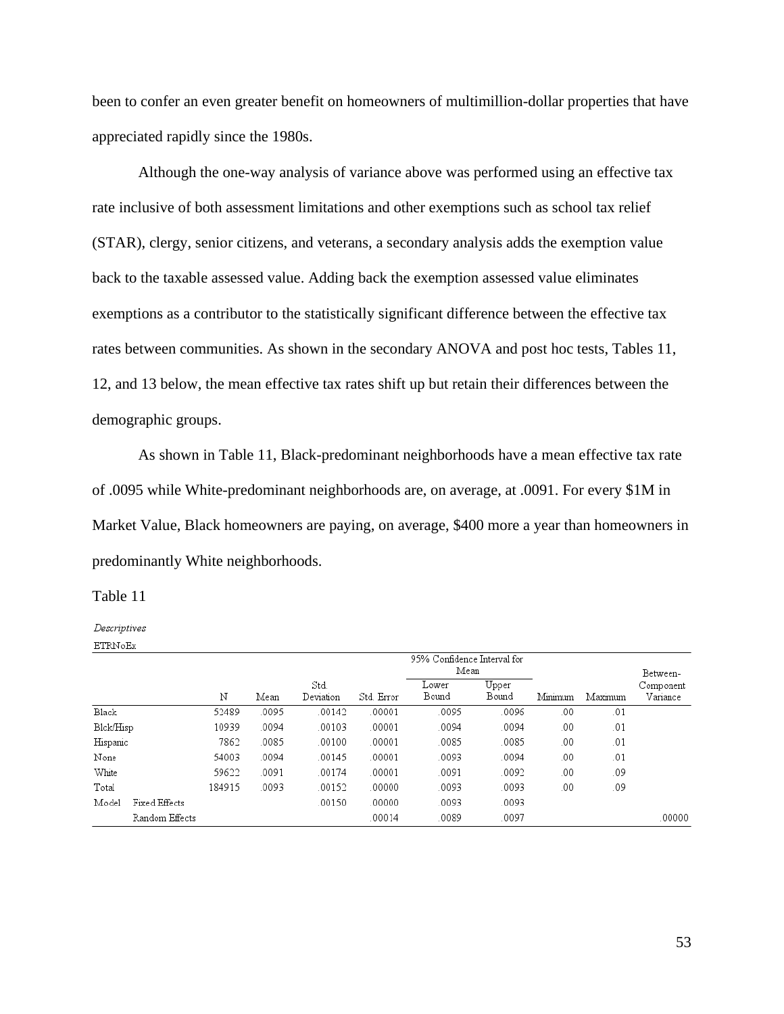been to confer an even greater benefit on homeowners of multimillion-dollar properties that have appreciated rapidly since the 1980s.

Although the one-way analysis of variance above was performed using an effective tax rate inclusive of both assessment limitations and other exemptions such as school tax relief (STAR), clergy, senior citizens, and veterans, a secondary analysis adds the exemption value back to the taxable assessed value. Adding back the exemption assessed value eliminates exemptions as a contributor to the statistically significant difference between the effective tax rates between communities. As shown in the secondary ANOVA and post hoc tests, Tables 11, 12, and 13 below, the mean effective tax rates shift up but retain their differences between the demographic groups.

As shown in Table 11, Black-predominant neighborhoods have a mean effective tax rate of .0095 while White-predominant neighborhoods are, on average, at .0091. For every \$1M in Market Value, Black homeowners are paying, on average, \$400 more a year than homeowners in predominantly White neighborhoods.

## Table 11

Descriptives **ETRNoEx** 

|           |                |        |       |           |            | 95% Confidence Interval for |       |         |         |           |
|-----------|----------------|--------|-------|-----------|------------|-----------------------------|-------|---------|---------|-----------|
|           |                |        |       |           |            | Mean                        |       |         |         | Between-  |
|           |                |        |       | Std.      |            | Lower                       | Upper |         |         | Component |
|           |                | Ν      | Mean  | Deviation | Std. Error | Bound                       | Bound | Minimum | Maximum | Variance  |
| Black     |                | 52489  | .0095 | .00142    | .00001     | .0095                       | .0096 | .00     | .01     |           |
| Blck/Hisp |                | 10939  | .0094 | .00103    | .00001     | .0094                       | .0094 | .00     | .01     |           |
| Hispanic  |                | 7862   | .0085 | .00100    | .00001     | .0085                       | .0085 | .00     | .01     |           |
| None      |                | 54003  | .0094 | .00145    | .00001     | .0093                       | .0094 | .00     | .01     |           |
| White     |                | 59622  | .0091 | .00174    | .00001     | .0091                       | .0092 | .00     | .09     |           |
| Total     |                | 184915 | .0093 | .00152    | .00000     | .0093                       | .0093 | .00     | .09     |           |
| Model     | Fixed Effects  |        |       | .00150    | .00000     | .0093                       | .0093 |         |         |           |
|           | Random Effects |        |       |           | .00014     | .0089                       | .0097 |         |         | .00000    |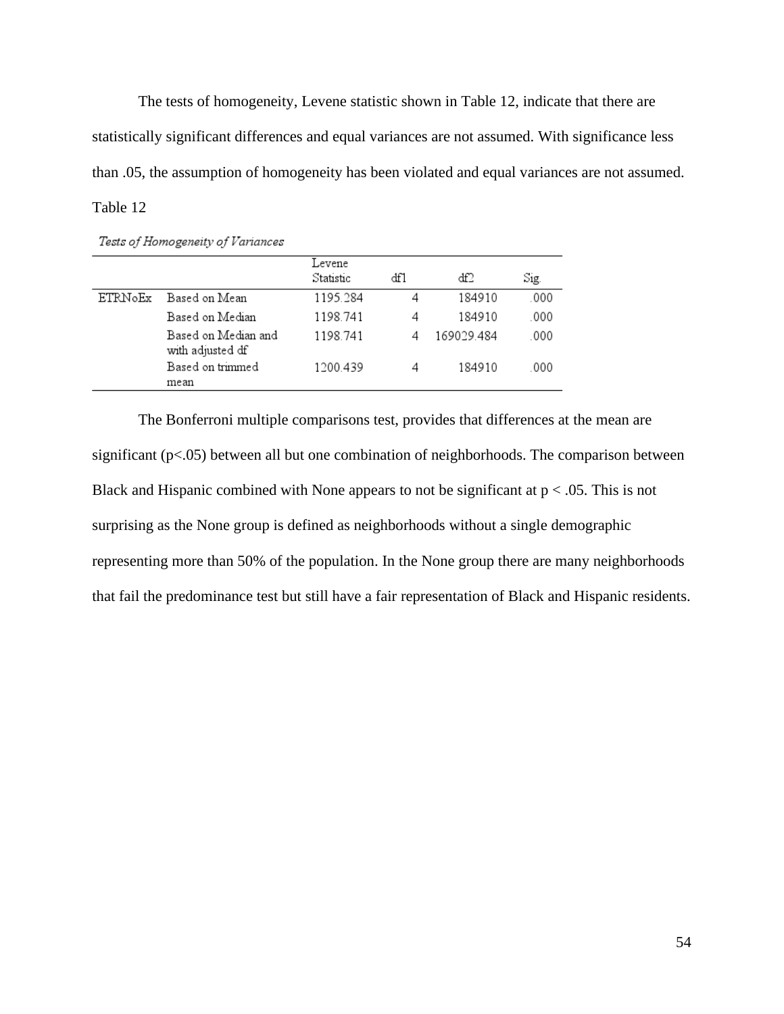The tests of homogeneity, Levene statistic shown in Table 12, indicate that there are statistically significant differences and equal variances are not assumed. With significance less than .05, the assumption of homogeneity has been violated and equal variances are not assumed. Table 12

| Tests of Homogeneity of Variances |  |
|-----------------------------------|--|
|                                   |  |

|                |                                         | Levene<br>Statistic | df1 | df2        | Sig. |
|----------------|-----------------------------------------|---------------------|-----|------------|------|
| <b>ETRNoEx</b> | Based on Mean                           | 1195.284            | 4   | 184910     | .000 |
|                | Based on Median                         | 1198.741            | 4   | 184910     | .000 |
|                | Based on Median and<br>with adjusted df | 1198.741            | 4   | 169029.484 | .000 |
|                | Based on trimmed<br>mean                | 1200.439            | 4   | 184910     | .000 |

The Bonferroni multiple comparisons test, provides that differences at the mean are significant  $(p<.05)$  between all but one combination of neighborhoods. The comparison between Black and Hispanic combined with None appears to not be significant at  $p < .05$ . This is not surprising as the None group is defined as neighborhoods without a single demographic representing more than 50% of the population. In the None group there are many neighborhoods that fail the predominance test but still have a fair representation of Black and Hispanic residents.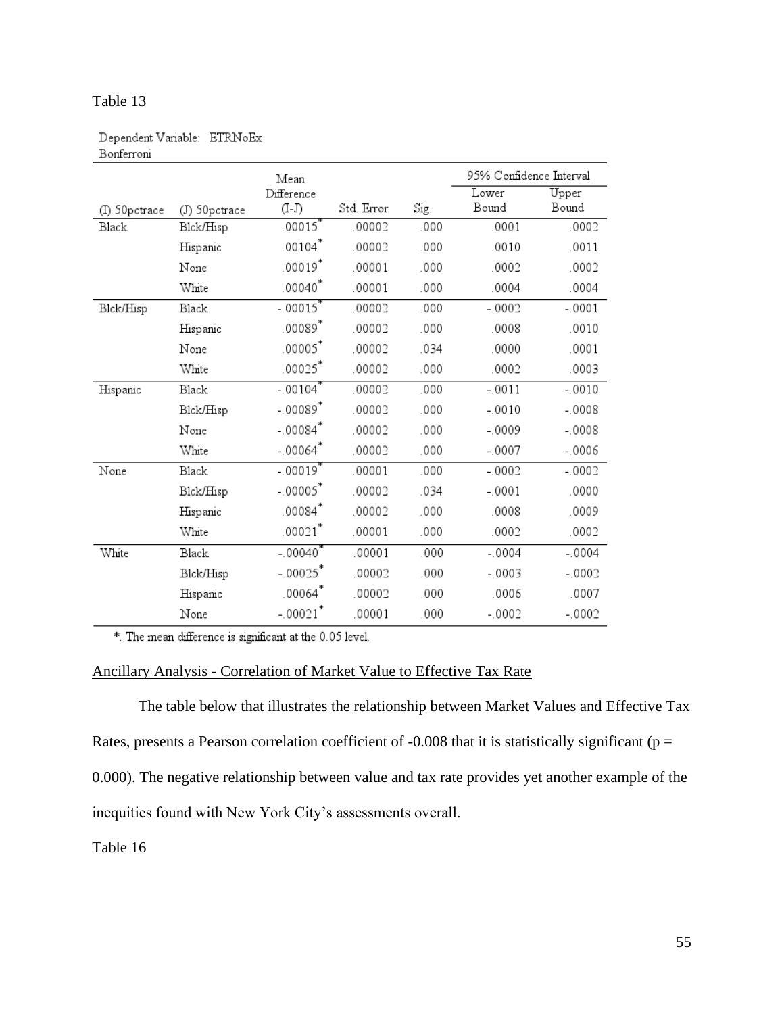| Upper<br>Bound<br>.0002<br>.0011<br>.0002<br>.0004 |
|----------------------------------------------------|
|                                                    |
|                                                    |
|                                                    |
|                                                    |
|                                                    |
|                                                    |
| $-.0001$                                           |
| .0010                                              |
| .0001                                              |
| .0003                                              |
| $-.0010$                                           |
| $-.0008$                                           |
| $-.0008$                                           |
| $-.0006$                                           |
| $-.0002$                                           |
| .0000                                              |
| .0009                                              |
| .0002                                              |
| $-.0004$                                           |
| $-0.0002$                                          |
|                                                    |
| .0007                                              |
|                                                    |

# Dependent Variable: ETRNoEx Bonferroni

Table 13

\* The mean difference is significant at the 0.05 level.

# Ancillary Analysis - Correlation of Market Value to Effective Tax Rate

The table below that illustrates the relationship between Market Values and Effective Tax Rates, presents a Pearson correlation coefficient of  $-0.008$  that it is statistically significant ( $p =$ 0.000). The negative relationship between value and tax rate provides yet another example of the inequities found with New York City's assessments overall.

Table 16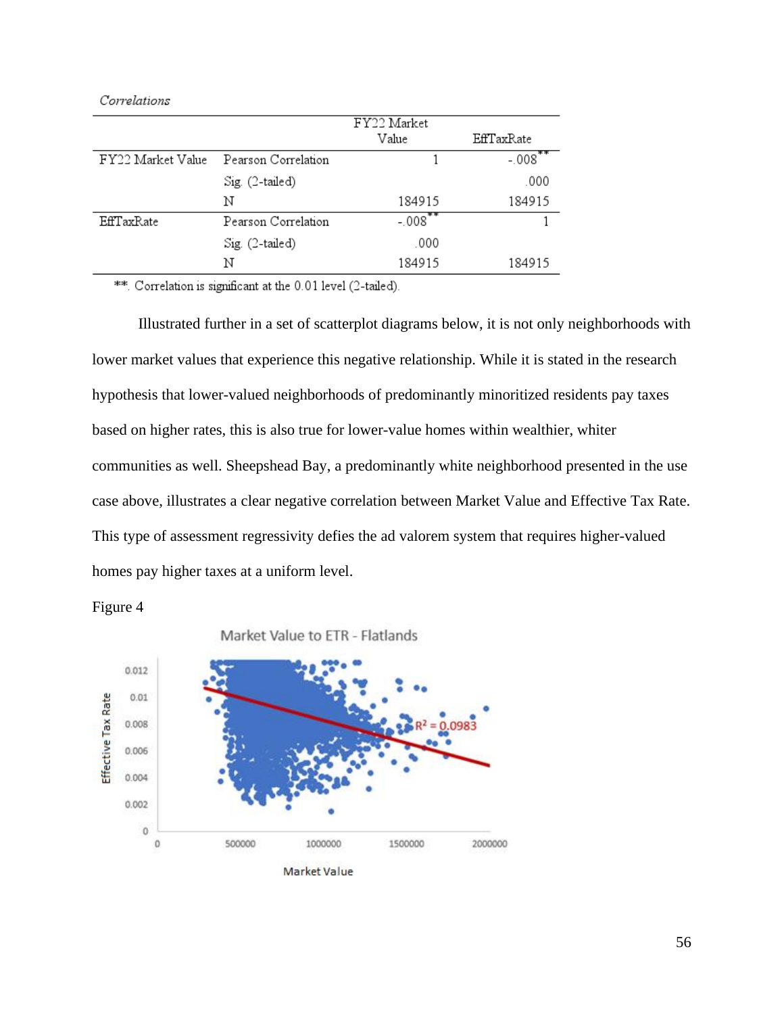| . . |
|-----|
|     |
|     |

|                   |                          | FY22 Market |            |
|-------------------|--------------------------|-------------|------------|
|                   |                          | Value       | EffTaxRate |
| FY22 Market Value | Pearson Correlation      |             | $-.008$    |
|                   | $Sig_{\cdot}$ (2-tailed) |             | .000       |
|                   | Ν                        | 184915      | 184915     |
| EffTaxRate        | Pearson Correlation      | $-.008$     |            |
|                   | Sig. (2-tailed)          | .000        |            |
|                   | N                        | 184915      | 184915     |

\*\* Correlation is significant at the 0.01 level (2-tailed).

Illustrated further in a set of scatterplot diagrams below, it is not only neighborhoods with lower market values that experience this negative relationship. While it is stated in the research hypothesis that lower-valued neighborhoods of predominantly minoritized residents pay taxes based on higher rates, this is also true for lower-value homes within wealthier, whiter communities as well. Sheepshead Bay, a predominantly white neighborhood presented in the use case above, illustrates a clear negative correlation between Market Value and Effective Tax Rate. This type of assessment regressivity defies the ad valorem system that requires higher-valued homes pay higher taxes at a uniform level.





Market Value to ETR - Flatlands

![](_page_62_Figure_6.jpeg)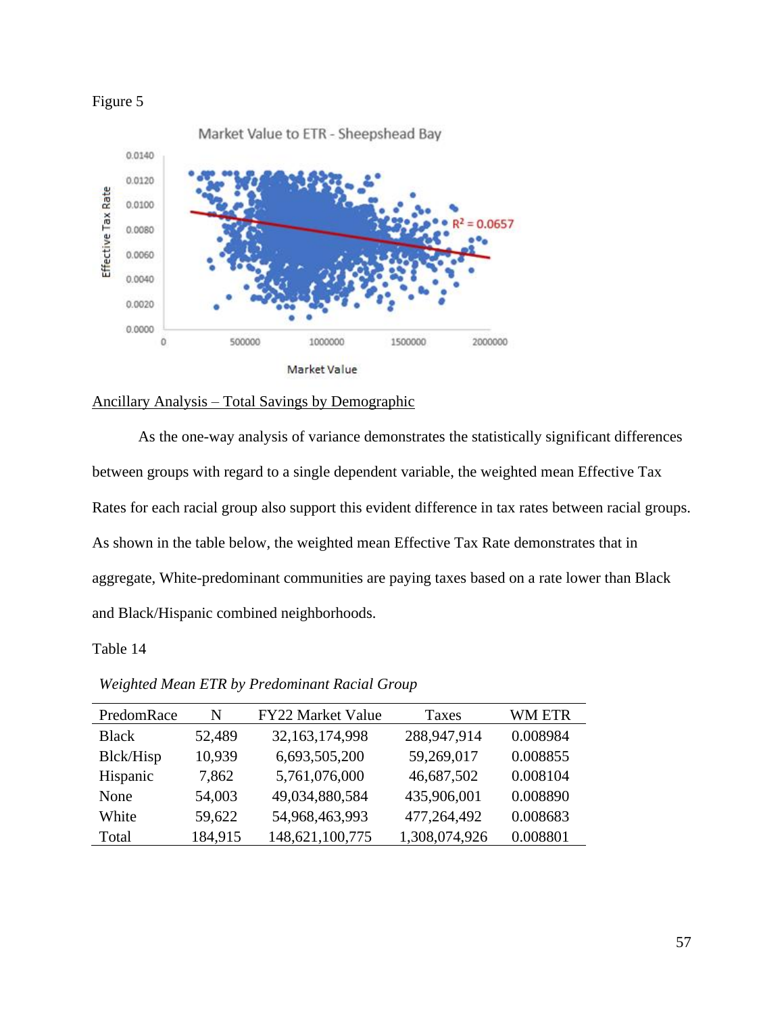![](_page_63_Figure_0.jpeg)

![](_page_63_Figure_1.jpeg)

# Ancillary Analysis – Total Savings by Demographic

As the one-way analysis of variance demonstrates the statistically significant differences between groups with regard to a single dependent variable, the weighted mean Effective Tax Rates for each racial group also support this evident difference in tax rates between racial groups. As shown in the table below, the weighted mean Effective Tax Rate demonstrates that in aggregate, White-predominant communities are paying taxes based on a rate lower than Black and Black/Hispanic combined neighborhoods.

# Table 14

*Weighted Mean ETR by Predominant Racial Group*

| PredomRace   | N       | FY22 Market Value | Taxes         | <b>WM ETR</b> |
|--------------|---------|-------------------|---------------|---------------|
| <b>Black</b> | 52,489  | 32,163,174,998    | 288,947,914   | 0.008984      |
| Blck/Hisp    | 10,939  | 6,693,505,200     | 59,269,017    | 0.008855      |
| Hispanic     | 7,862   | 5,761,076,000     | 46,687,502    | 0.008104      |
| None         | 54,003  | 49,034,880,584    | 435,906,001   | 0.008890      |
| White        | 59,622  | 54,968,463,993    | 477,264,492   | 0.008683      |
| Total        | 184,915 | 148,621,100,775   | 1,308,074,926 | 0.008801      |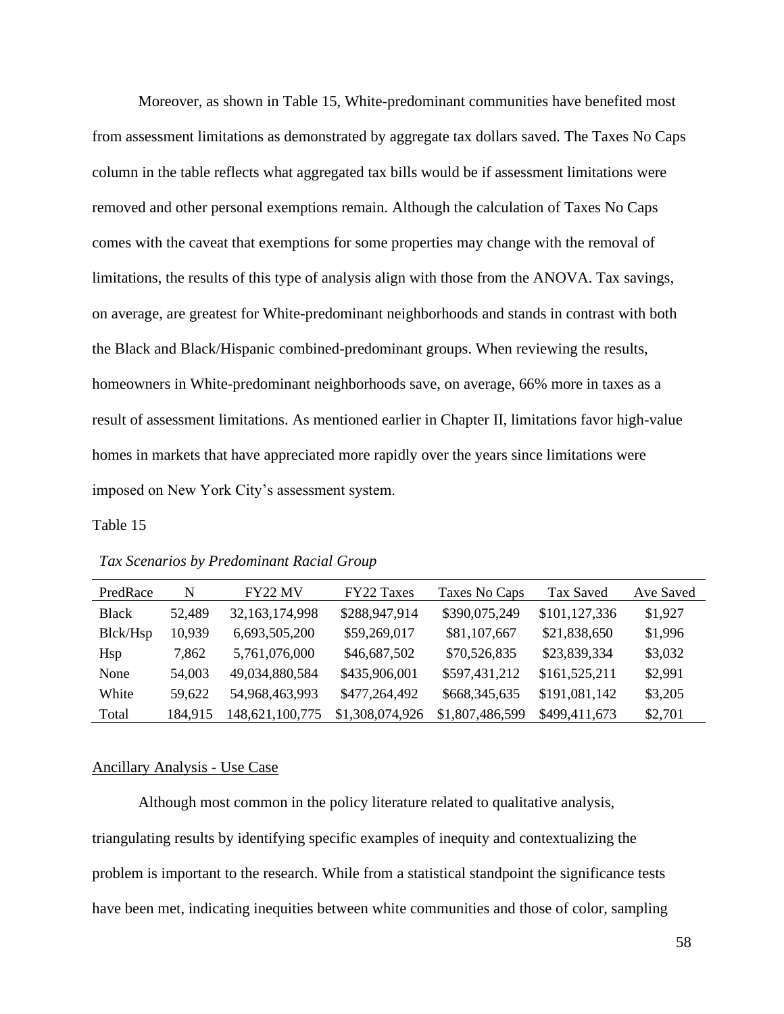Moreover, as shown in Table 15, White-predominant communities have benefited most from assessment limitations as demonstrated by aggregate tax dollars saved. The Taxes No Caps column in the table reflects what aggregated tax bills would be if assessment limitations were removed and other personal exemptions remain. Although the calculation of Taxes No Caps comes with the caveat that exemptions for some properties may change with the removal of limitations, the results of this type of analysis align with those from the ANOVA. Tax savings, on average, are greatest for White-predominant neighborhoods and stands in contrast with both the Black and Black/Hispanic combined-predominant groups. When reviewing the results, homeowners in White-predominant neighborhoods save, on average, 66% more in taxes as a result of assessment limitations. As mentioned earlier in Chapter II, limitations favor high-value homes in markets that have appreciated more rapidly over the years since limitations were imposed on New York City's assessment system.

## Table 15

| PredRace     | N       | FY22 MV           | <b>FY22 Taxes</b> | Taxes No Caps   | Tax Saved     | Ave Saved |
|--------------|---------|-------------------|-------------------|-----------------|---------------|-----------|
| <b>Black</b> | 52,489  | 32, 163, 174, 998 | \$288,947,914     | \$390,075,249   | \$101,127,336 | \$1,927   |
| Blck/Hsp     | 10,939  | 6,693,505,200     | \$59,269,017      | \$81,107,667    | \$21,838,650  | \$1,996   |
| Hsp          | 7,862   | 5,761,076,000     | \$46,687,502      | \$70,526,835    | \$23,839,334  | \$3,032   |
| None         | 54,003  | 49,034,880,584    | \$435,906,001     | \$597,431,212   | \$161,525,211 | \$2,991   |
| White        | 59,622  | 54,968,463,993    | \$477,264,492     | \$668,345,635   | \$191,081,142 | \$3,205   |
| Total        | 184,915 | 148,621,100,775   | \$1,308,074,926   | \$1,807,486,599 | \$499,411,673 | \$2,701   |

#### *Tax Scenarios by Predominant Racial Group*

## Ancillary Analysis - Use Case

Although most common in the policy literature related to qualitative analysis, triangulating results by identifying specific examples of inequity and contextualizing the problem is important to the research. While from a statistical standpoint the significance tests have been met, indicating inequities between white communities and those of color, sampling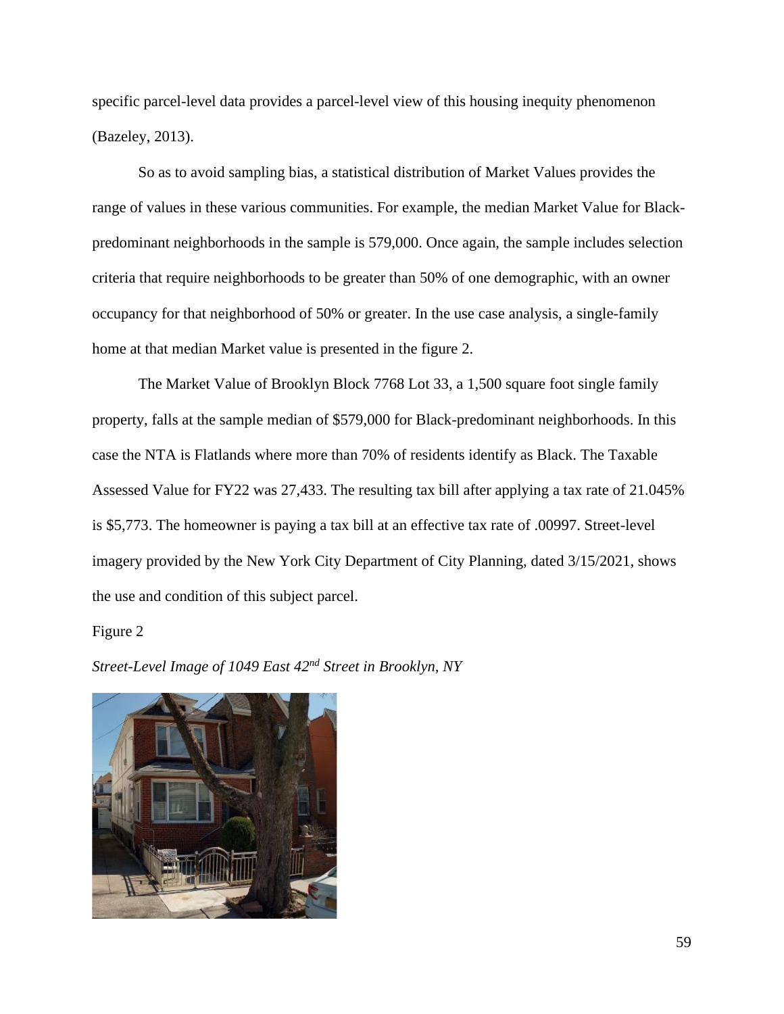specific parcel-level data provides a parcel-level view of this housing inequity phenomenon (Bazeley, 2013).

So as to avoid sampling bias, a statistical distribution of Market Values provides the range of values in these various communities. For example, the median Market Value for Blackpredominant neighborhoods in the sample is 579,000. Once again, the sample includes selection criteria that require neighborhoods to be greater than 50% of one demographic, with an owner occupancy for that neighborhood of 50% or greater. In the use case analysis, a single-family home at that median Market value is presented in the figure 2.

The Market Value of Brooklyn Block 7768 Lot 33, a 1,500 square foot single family property, falls at the sample median of \$579,000 for Black-predominant neighborhoods. In this case the NTA is Flatlands where more than 70% of residents identify as Black. The Taxable Assessed Value for FY22 was 27,433. The resulting tax bill after applying a tax rate of 21.045% is \$5,773. The homeowner is paying a tax bill at an effective tax rate of .00997. Street-level imagery provided by the New York City Department of City Planning, dated 3/15/2021, shows the use and condition of this subject parcel.

## Figure 2

*Street-Level Image of 1049 East 42nd Street in Brooklyn, NY*

![](_page_65_Picture_5.jpeg)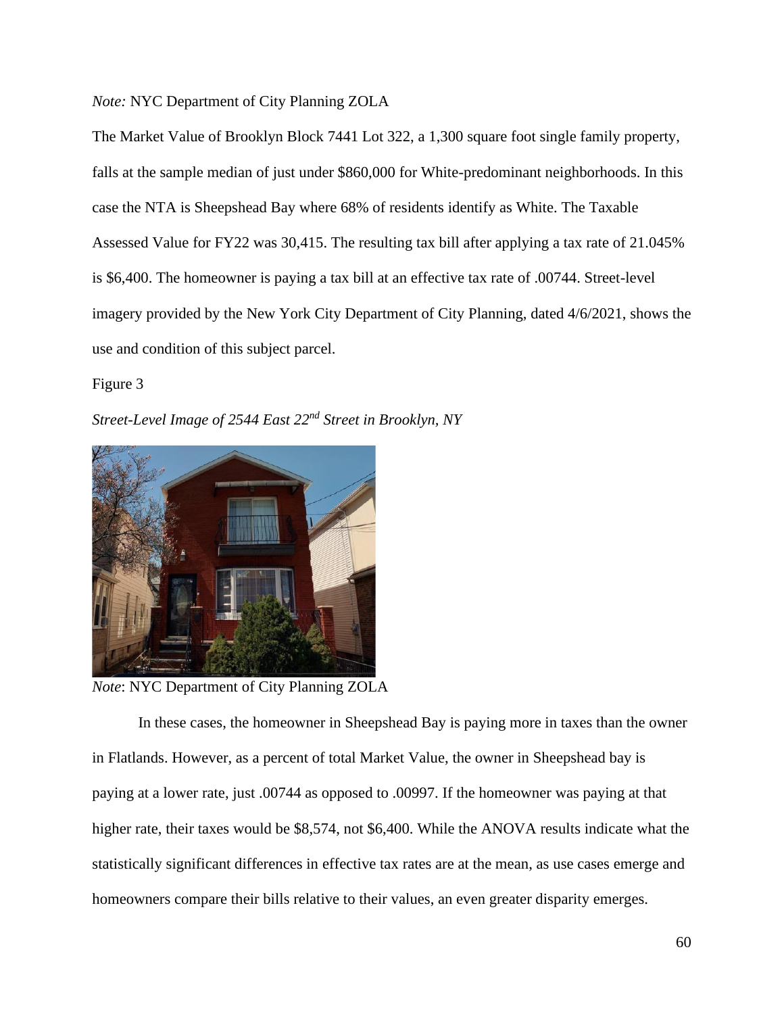*Note:* NYC Department of City Planning ZOLA

The Market Value of Brooklyn Block 7441 Lot 322, a 1,300 square foot single family property, falls at the sample median of just under \$860,000 for White-predominant neighborhoods. In this case the NTA is Sheepshead Bay where 68% of residents identify as White. The Taxable Assessed Value for FY22 was 30,415. The resulting tax bill after applying a tax rate of 21.045% is \$6,400. The homeowner is paying a tax bill at an effective tax rate of .00744. Street-level imagery provided by the New York City Department of City Planning, dated 4/6/2021, shows the use and condition of this subject parcel.

Figure 3

*Street-Level Image of 2544 East 22nd Street in Brooklyn, NY*

![](_page_66_Picture_4.jpeg)

*Note*: NYC Department of City Planning ZOLA

In these cases, the homeowner in Sheepshead Bay is paying more in taxes than the owner in Flatlands. However, as a percent of total Market Value, the owner in Sheepshead bay is paying at a lower rate, just .00744 as opposed to .00997. If the homeowner was paying at that higher rate, their taxes would be \$8,574, not \$6,400. While the ANOVA results indicate what the statistically significant differences in effective tax rates are at the mean, as use cases emerge and homeowners compare their bills relative to their values, an even greater disparity emerges.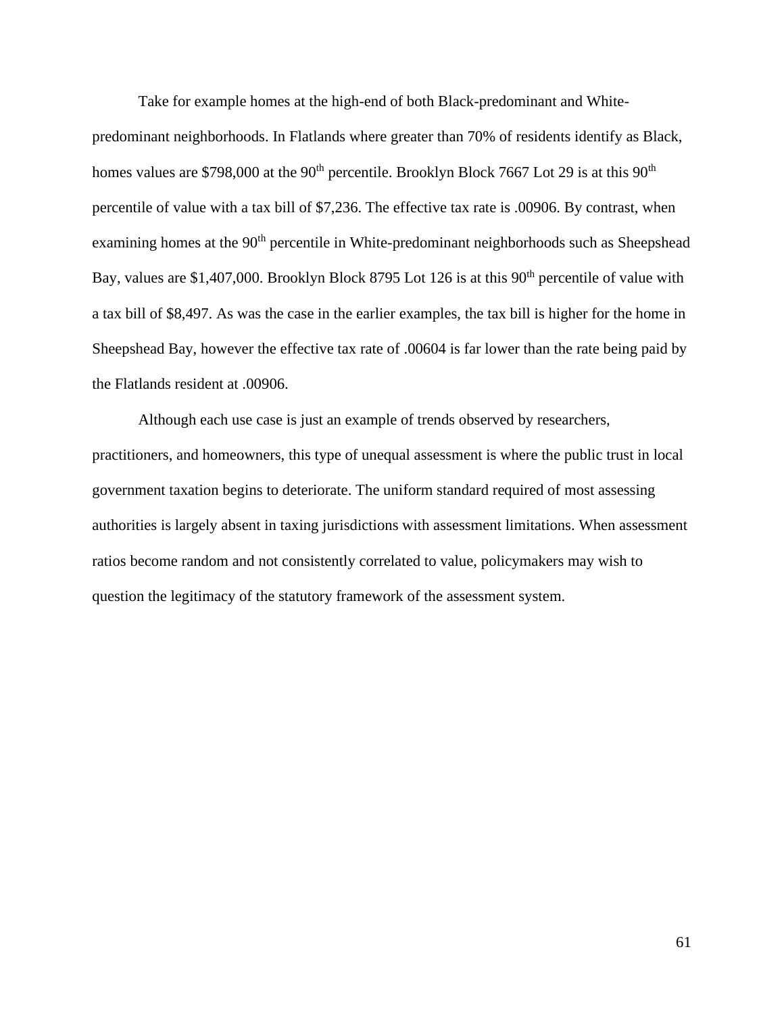Take for example homes at the high-end of both Black-predominant and Whitepredominant neighborhoods. In Flatlands where greater than 70% of residents identify as Black, homes values are \$798,000 at the 90<sup>th</sup> percentile. Brooklyn Block 7667 Lot 29 is at this 90<sup>th</sup> percentile of value with a tax bill of \$7,236. The effective tax rate is .00906. By contrast, when examining homes at the 90<sup>th</sup> percentile in White-predominant neighborhoods such as Sheepshead Bay, values are \$1,407,000. Brooklyn Block 8795 Lot 126 is at this 90<sup>th</sup> percentile of value with a tax bill of \$8,497. As was the case in the earlier examples, the tax bill is higher for the home in Sheepshead Bay, however the effective tax rate of .00604 is far lower than the rate being paid by the Flatlands resident at .00906.

Although each use case is just an example of trends observed by researchers, practitioners, and homeowners, this type of unequal assessment is where the public trust in local government taxation begins to deteriorate. The uniform standard required of most assessing authorities is largely absent in taxing jurisdictions with assessment limitations. When assessment ratios become random and not consistently correlated to value, policymakers may wish to question the legitimacy of the statutory framework of the assessment system.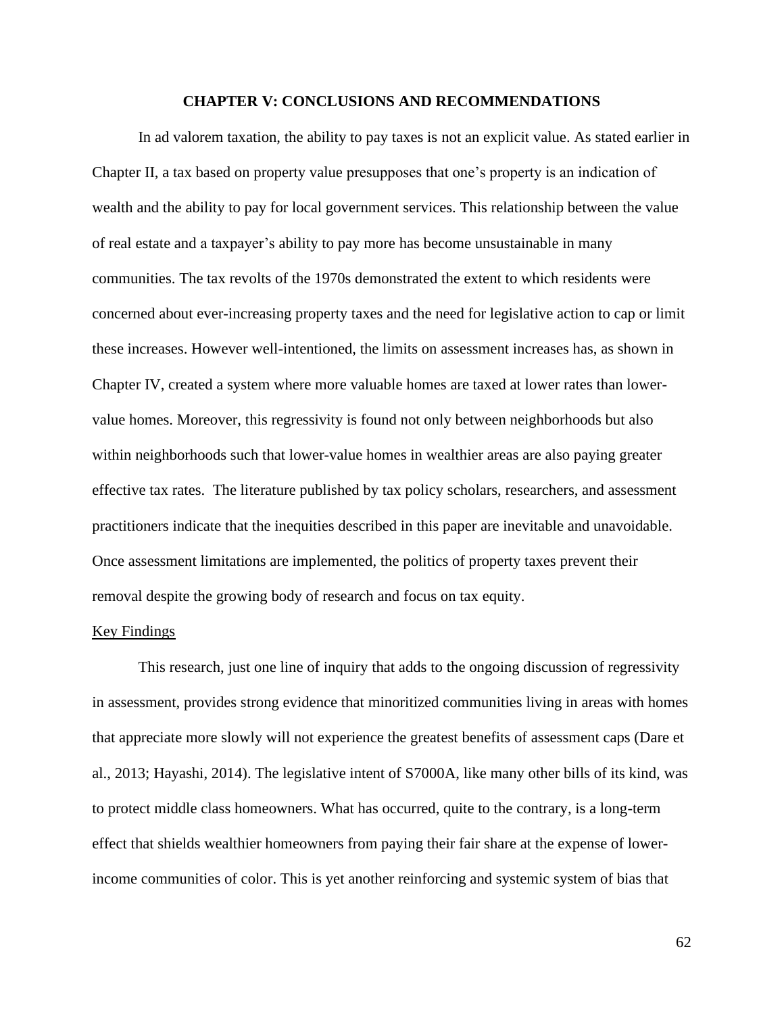## **CHAPTER V: CONCLUSIONS AND RECOMMENDATIONS**

In ad valorem taxation, the ability to pay taxes is not an explicit value. As stated earlier in Chapter II, a tax based on property value presupposes that one's property is an indication of wealth and the ability to pay for local government services. This relationship between the value of real estate and a taxpayer's ability to pay more has become unsustainable in many communities. The tax revolts of the 1970s demonstrated the extent to which residents were concerned about ever-increasing property taxes and the need for legislative action to cap or limit these increases. However well-intentioned, the limits on assessment increases has, as shown in Chapter IV, created a system where more valuable homes are taxed at lower rates than lowervalue homes. Moreover, this regressivity is found not only between neighborhoods but also within neighborhoods such that lower-value homes in wealthier areas are also paying greater effective tax rates. The literature published by tax policy scholars, researchers, and assessment practitioners indicate that the inequities described in this paper are inevitable and unavoidable. Once assessment limitations are implemented, the politics of property taxes prevent their removal despite the growing body of research and focus on tax equity.

#### Key Findings

This research, just one line of inquiry that adds to the ongoing discussion of regressivity in assessment, provides strong evidence that minoritized communities living in areas with homes that appreciate more slowly will not experience the greatest benefits of assessment caps (Dare et al., 2013; Hayashi, 2014). The legislative intent of S7000A, like many other bills of its kind, was to protect middle class homeowners. What has occurred, quite to the contrary, is a long-term effect that shields wealthier homeowners from paying their fair share at the expense of lowerincome communities of color. This is yet another reinforcing and systemic system of bias that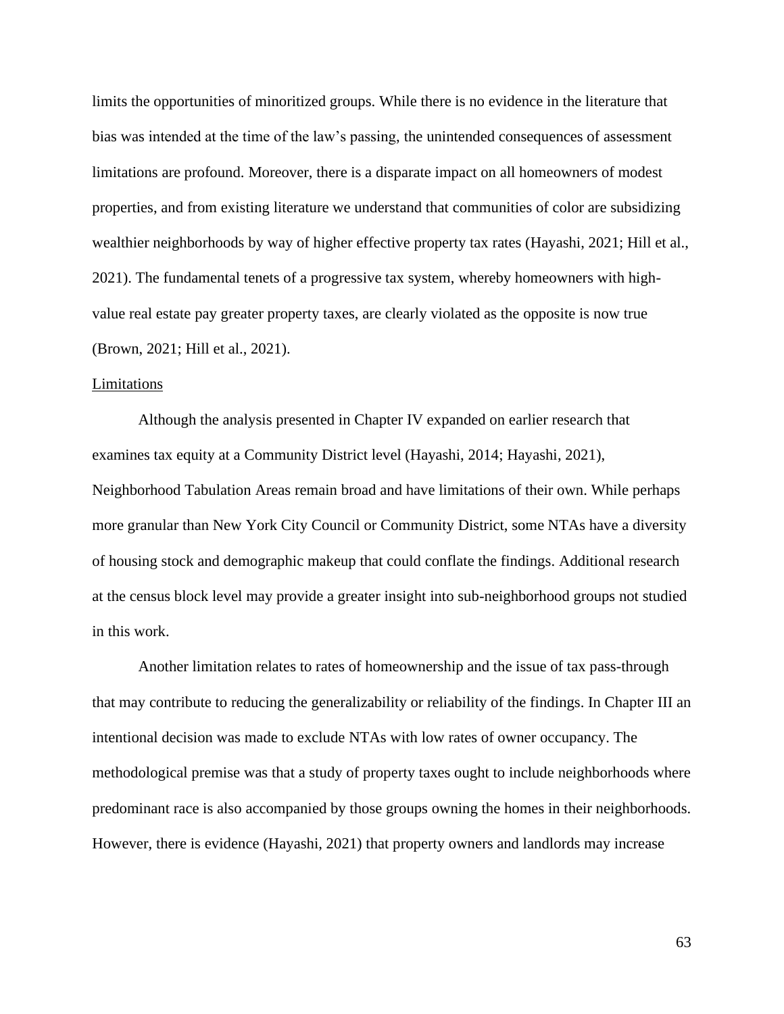limits the opportunities of minoritized groups. While there is no evidence in the literature that bias was intended at the time of the law's passing, the unintended consequences of assessment limitations are profound. Moreover, there is a disparate impact on all homeowners of modest properties, and from existing literature we understand that communities of color are subsidizing wealthier neighborhoods by way of higher effective property tax rates (Hayashi, 2021; Hill et al., 2021). The fundamental tenets of a progressive tax system, whereby homeowners with highvalue real estate pay greater property taxes, are clearly violated as the opposite is now true (Brown, 2021; Hill et al., 2021).

#### Limitations

Although the analysis presented in Chapter IV expanded on earlier research that examines tax equity at a Community District level (Hayashi, 2014; Hayashi, 2021), Neighborhood Tabulation Areas remain broad and have limitations of their own. While perhaps more granular than New York City Council or Community District, some NTAs have a diversity of housing stock and demographic makeup that could conflate the findings. Additional research at the census block level may provide a greater insight into sub-neighborhood groups not studied in this work.

Another limitation relates to rates of homeownership and the issue of tax pass-through that may contribute to reducing the generalizability or reliability of the findings. In Chapter III an intentional decision was made to exclude NTAs with low rates of owner occupancy. The methodological premise was that a study of property taxes ought to include neighborhoods where predominant race is also accompanied by those groups owning the homes in their neighborhoods. However, there is evidence (Hayashi, 2021) that property owners and landlords may increase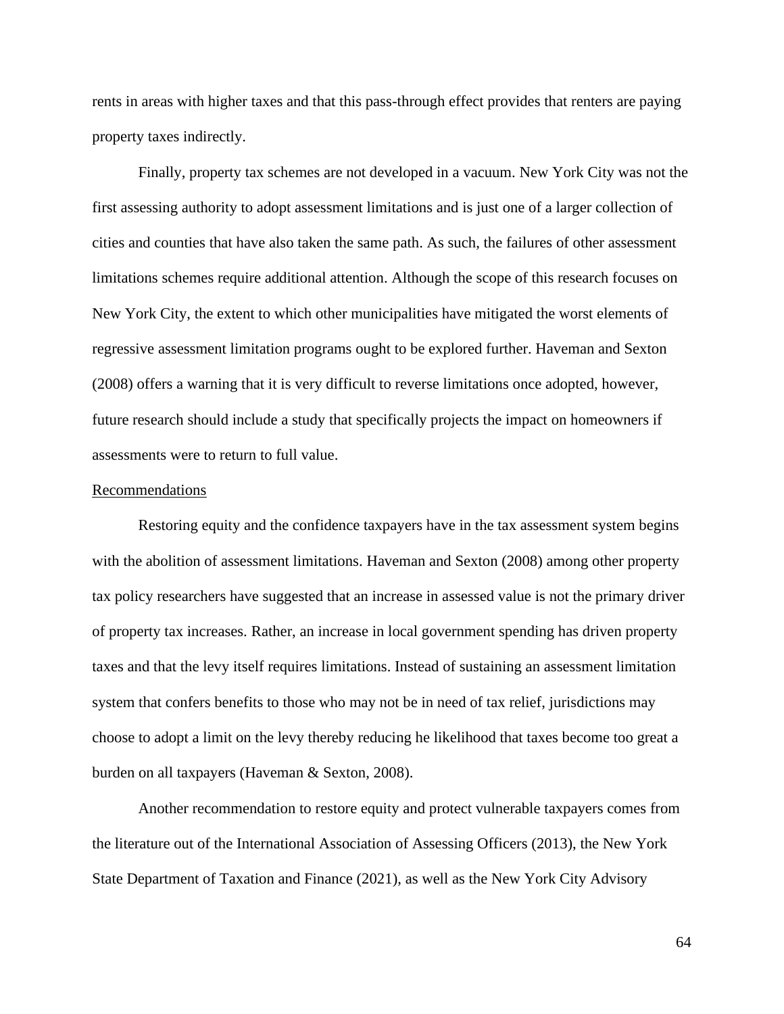rents in areas with higher taxes and that this pass-through effect provides that renters are paying property taxes indirectly.

Finally, property tax schemes are not developed in a vacuum. New York City was not the first assessing authority to adopt assessment limitations and is just one of a larger collection of cities and counties that have also taken the same path. As such, the failures of other assessment limitations schemes require additional attention. Although the scope of this research focuses on New York City, the extent to which other municipalities have mitigated the worst elements of regressive assessment limitation programs ought to be explored further. Haveman and Sexton (2008) offers a warning that it is very difficult to reverse limitations once adopted, however, future research should include a study that specifically projects the impact on homeowners if assessments were to return to full value.

#### Recommendations

Restoring equity and the confidence taxpayers have in the tax assessment system begins with the abolition of assessment limitations. Haveman and Sexton (2008) among other property tax policy researchers have suggested that an increase in assessed value is not the primary driver of property tax increases. Rather, an increase in local government spending has driven property taxes and that the levy itself requires limitations. Instead of sustaining an assessment limitation system that confers benefits to those who may not be in need of tax relief, jurisdictions may choose to adopt a limit on the levy thereby reducing he likelihood that taxes become too great a burden on all taxpayers (Haveman & Sexton, 2008).

Another recommendation to restore equity and protect vulnerable taxpayers comes from the literature out of the International Association of Assessing Officers (2013), the New York State Department of Taxation and Finance (2021), as well as the New York City Advisory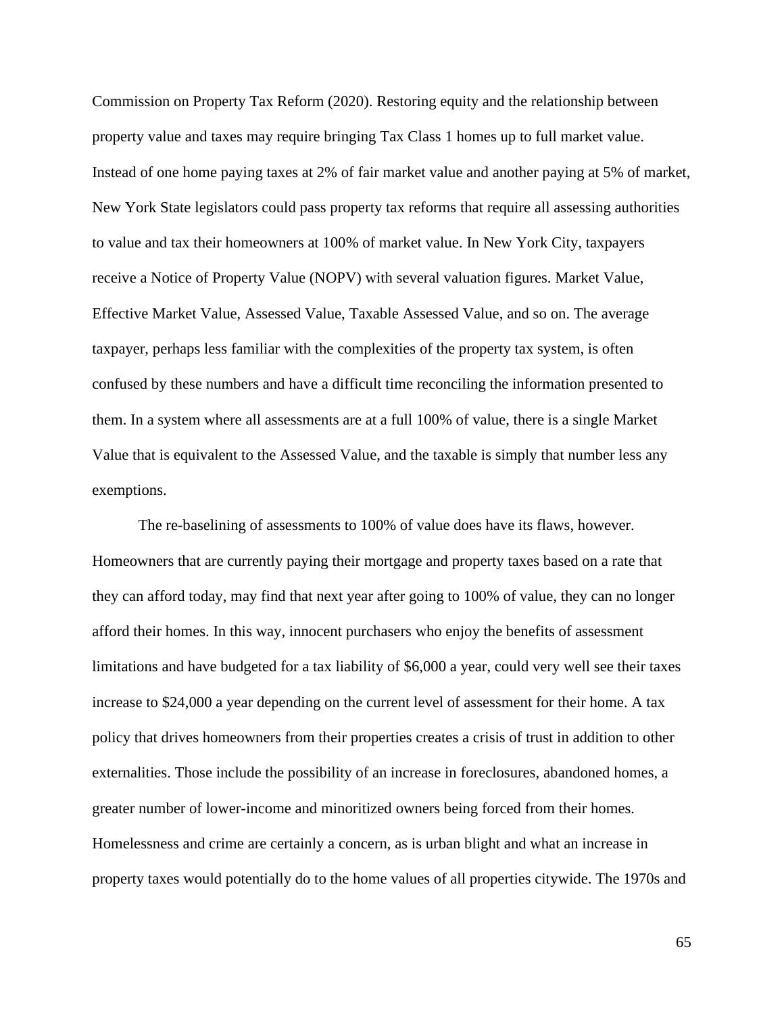Commission on Property Tax Reform (2020). Restoring equity and the relationship between property value and taxes may require bringing Tax Class 1 homes up to full market value. Instead of one home paying taxes at 2% of fair market value and another paying at 5% of market, New York State legislators could pass property tax reforms that require all assessing authorities to value and tax their homeowners at 100% of market value. In New York City, taxpayers receive a Notice of Property Value (NOPV) with several valuation figures. Market Value, Effective Market Value, Assessed Value, Taxable Assessed Value, and so on. The average taxpayer, perhaps less familiar with the complexities of the property tax system, is often confused by these numbers and have a difficult time reconciling the information presented to them. In a system where all assessments are at a full 100% of value, there is a single Market Value that is equivalent to the Assessed Value, and the taxable is simply that number less any exemptions.

The re-baselining of assessments to 100% of value does have its flaws, however. Homeowners that are currently paying their mortgage and property taxes based on a rate that they can afford today, may find that next year after going to 100% of value, they can no longer afford their homes. In this way, innocent purchasers who enjoy the benefits of assessment limitations and have budgeted for a tax liability of \$6,000 a year, could very well see their taxes increase to \$24,000 a year depending on the current level of assessment for their home. A tax policy that drives homeowners from their properties creates a crisis of trust in addition to other externalities. Those include the possibility of an increase in foreclosures, abandoned homes, a greater number of lower-income and minoritized owners being forced from their homes. Homelessness and crime are certainly a concern, as is urban blight and what an increase in property taxes would potentially do to the home values of all properties citywide. The 1970s and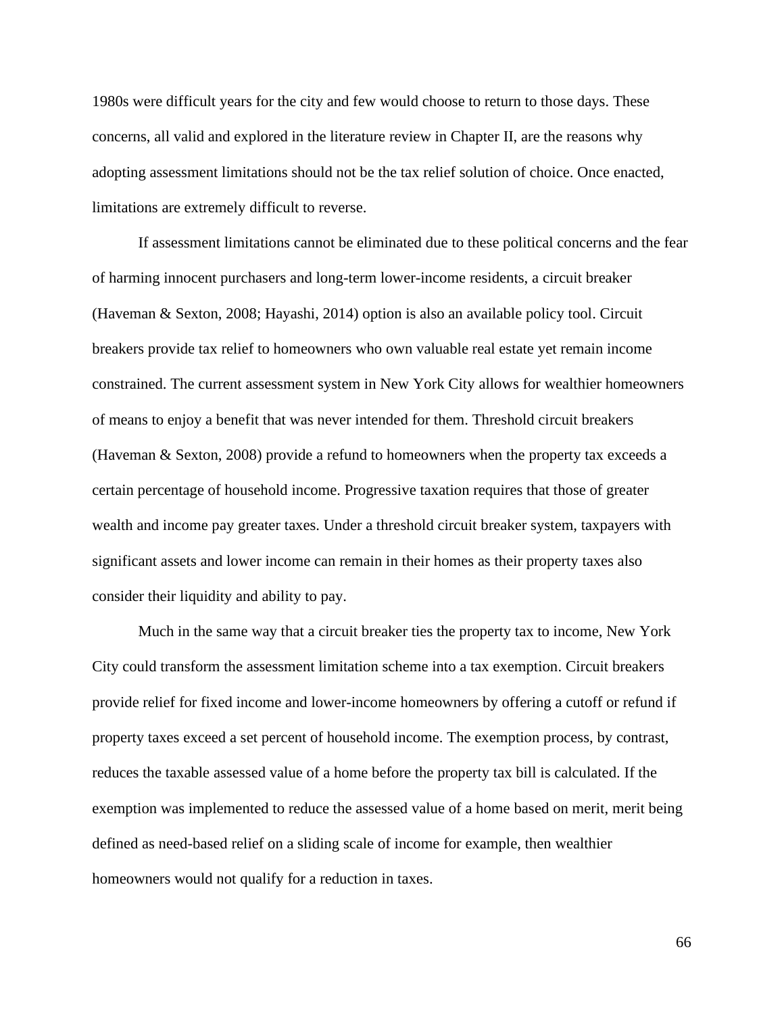1980s were difficult years for the city and few would choose to return to those days. These concerns, all valid and explored in the literature review in Chapter II, are the reasons why adopting assessment limitations should not be the tax relief solution of choice. Once enacted, limitations are extremely difficult to reverse.

If assessment limitations cannot be eliminated due to these political concerns and the fear of harming innocent purchasers and long-term lower-income residents, a circuit breaker (Haveman & Sexton, 2008; Hayashi, 2014) option is also an available policy tool. Circuit breakers provide tax relief to homeowners who own valuable real estate yet remain income constrained. The current assessment system in New York City allows for wealthier homeowners of means to enjoy a benefit that was never intended for them. Threshold circuit breakers (Haveman & Sexton, 2008) provide a refund to homeowners when the property tax exceeds a certain percentage of household income. Progressive taxation requires that those of greater wealth and income pay greater taxes. Under a threshold circuit breaker system, taxpayers with significant assets and lower income can remain in their homes as their property taxes also consider their liquidity and ability to pay.

Much in the same way that a circuit breaker ties the property tax to income, New York City could transform the assessment limitation scheme into a tax exemption. Circuit breakers provide relief for fixed income and lower-income homeowners by offering a cutoff or refund if property taxes exceed a set percent of household income. The exemption process, by contrast, reduces the taxable assessed value of a home before the property tax bill is calculated. If the exemption was implemented to reduce the assessed value of a home based on merit, merit being defined as need-based relief on a sliding scale of income for example, then wealthier homeowners would not qualify for a reduction in taxes.

66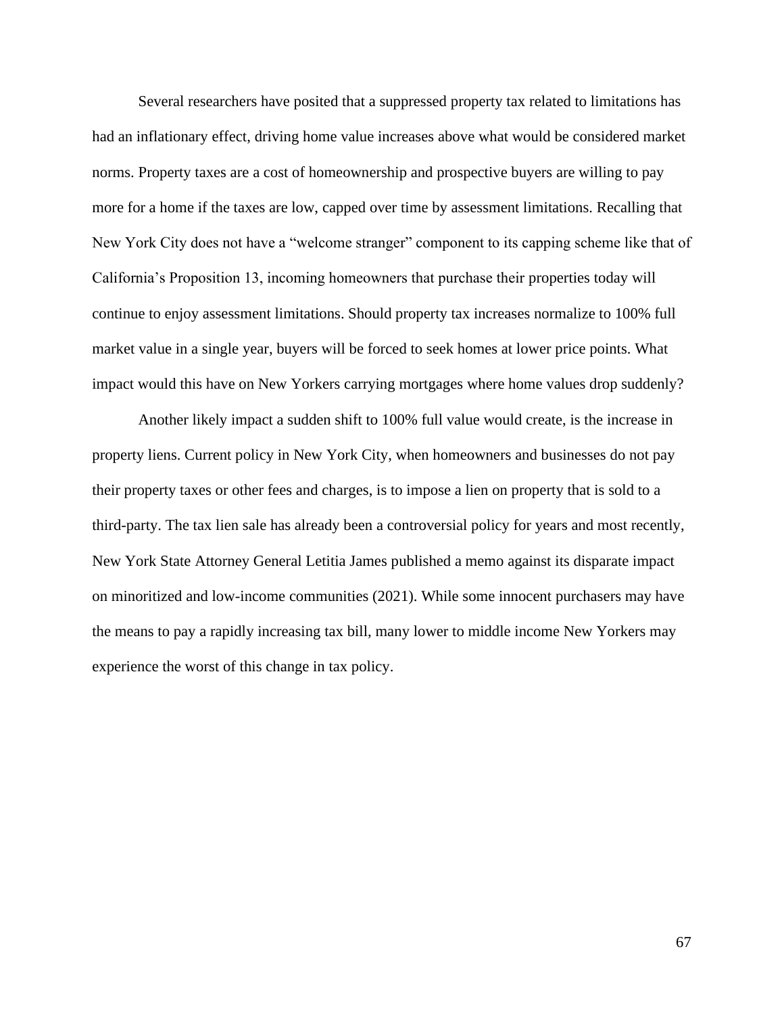Several researchers have posited that a suppressed property tax related to limitations has had an inflationary effect, driving home value increases above what would be considered market norms. Property taxes are a cost of homeownership and prospective buyers are willing to pay more for a home if the taxes are low, capped over time by assessment limitations. Recalling that New York City does not have a "welcome stranger" component to its capping scheme like that of California's Proposition 13, incoming homeowners that purchase their properties today will continue to enjoy assessment limitations. Should property tax increases normalize to 100% full market value in a single year, buyers will be forced to seek homes at lower price points. What impact would this have on New Yorkers carrying mortgages where home values drop suddenly?

Another likely impact a sudden shift to 100% full value would create, is the increase in property liens. Current policy in New York City, when homeowners and businesses do not pay their property taxes or other fees and charges, is to impose a lien on property that is sold to a third-party. The tax lien sale has already been a controversial policy for years and most recently, New York State Attorney General Letitia James published a memo against its disparate impact on minoritized and low-income communities (2021). While some innocent purchasers may have the means to pay a rapidly increasing tax bill, many lower to middle income New Yorkers may experience the worst of this change in tax policy.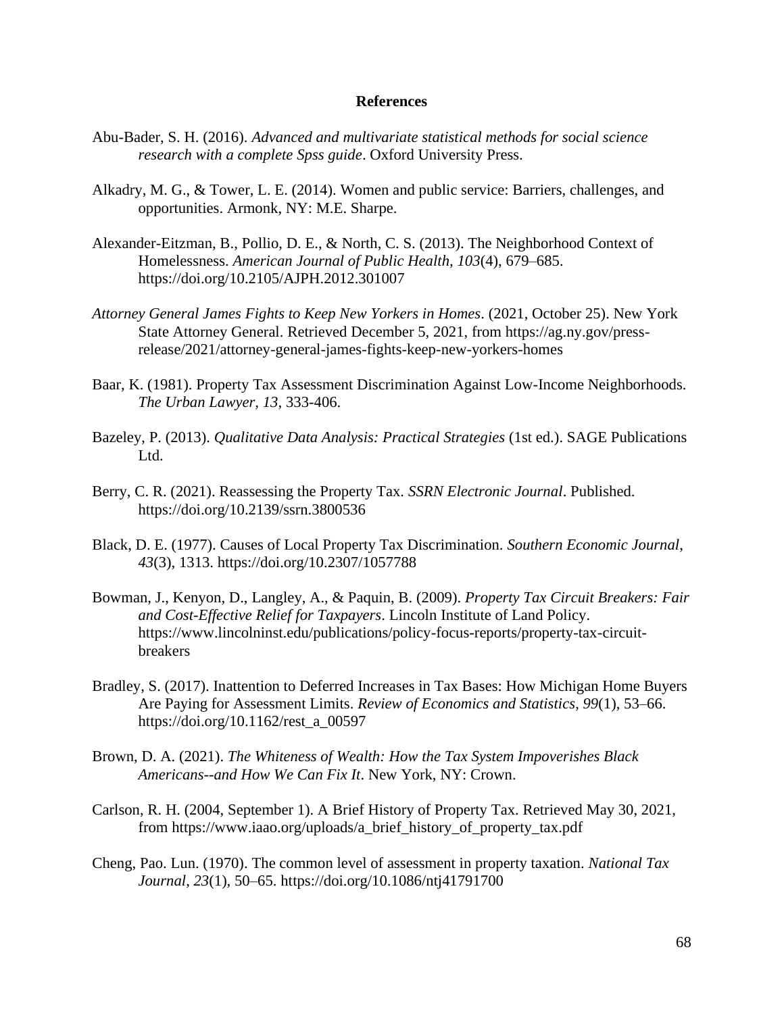## **References**

- Abu-Bader, S. H. (2016). *Advanced and multivariate statistical methods for social science research with a complete Spss guide*. Oxford University Press.
- Alkadry, M. G., & Tower, L. E. (2014). Women and public service: Barriers, challenges, and opportunities. Armonk, NY: M.E. Sharpe.
- Alexander-Eitzman, B., Pollio, D. E., & North, C. S. (2013). The Neighborhood Context of Homelessness. *American Journal of Public Health, 103*(4), 679–685. https://doi.org/10.2105/AJPH.2012.301007
- *Attorney General James Fights to Keep New Yorkers in Homes*. (2021, October 25). New York State Attorney General. Retrieved December 5, 2021, from https://ag.ny.gov/pressrelease/2021/attorney-general-james-fights-keep-new-yorkers-homes
- Baar, K. (1981). Property Tax Assessment Discrimination Against Low-Income Neighborhoods. *The Urban Lawyer, 13,* 333-406.
- Bazeley, P. (2013). *Qualitative Data Analysis: Practical Strategies* (1st ed.). SAGE Publications Ltd.
- Berry, C. R. (2021). Reassessing the Property Tax. *SSRN Electronic Journal*. Published. https://doi.org/10.2139/ssrn.3800536
- Black, D. E. (1977). Causes of Local Property Tax Discrimination. *Southern Economic Journal*, *43*(3), 1313. https://doi.org/10.2307/1057788
- Bowman, J., Kenyon, D., Langley, A., & Paquin, B. (2009). *Property Tax Circuit Breakers: Fair and Cost-Effective Relief for Taxpayers*. Lincoln Institute of Land Policy. https://www.lincolninst.edu/publications/policy-focus-reports/property-tax-circuitbreakers
- Bradley, S. (2017). Inattention to Deferred Increases in Tax Bases: How Michigan Home Buyers Are Paying for Assessment Limits. *Review of Economics and Statistics*, *99*(1), 53–66. https://doi.org/10.1162/rest\_a\_00597
- Brown, D. A. (2021). *The Whiteness of Wealth: How the Tax System Impoverishes Black Americans--and How We Can Fix It*. New York, NY: Crown.
- Carlson, R. H. (2004, September 1). A Brief History of Property Tax. Retrieved May 30, 2021, from https://www.iaao.org/uploads/a\_brief\_history\_of\_property\_tax.pdf
- Cheng, Pao. Lun. (1970). The common level of assessment in property taxation. *National Tax Journal*, *23*(1), 50–65. https://doi.org/10.1086/ntj41791700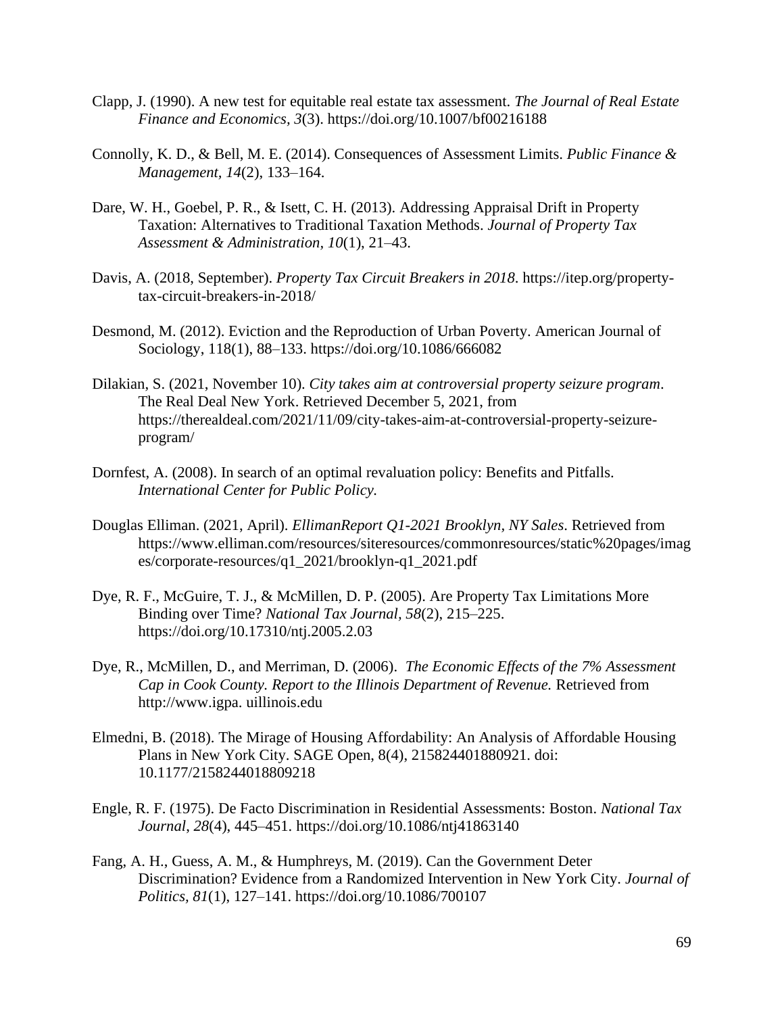- Clapp, J. (1990). A new test for equitable real estate tax assessment. *The Journal of Real Estate Finance and Economics, 3*(3). https://doi.org/10.1007/bf00216188
- Connolly, K. D., & Bell, M. E. (2014). Consequences of Assessment Limits. *Public Finance & Management, 14*(2), 133–164.
- Dare, W. H., Goebel, P. R., & Isett, C. H. (2013). Addressing Appraisal Drift in Property Taxation: Alternatives to Traditional Taxation Methods. *Journal of Property Tax Assessment & Administration, 10*(1), 21–43.
- Davis, A. (2018, September). *Property Tax Circuit Breakers in 2018*. https://itep.org/propertytax-circuit-breakers-in-2018/
- Desmond, M. (2012). Eviction and the Reproduction of Urban Poverty. American Journal of Sociology, 118(1), 88–133. https://doi.org/10.1086/666082
- Dilakian, S. (2021, November 10). *City takes aim at controversial property seizure program*. The Real Deal New York. Retrieved December 5, 2021, from https://therealdeal.com/2021/11/09/city-takes-aim-at-controversial-property-seizureprogram/
- Dornfest, A. (2008). In search of an optimal revaluation policy: Benefits and Pitfalls. *International Center for Public Policy.*
- Douglas Elliman. (2021, April). *EllimanReport Q1-2021 Brooklyn, NY Sales*. Retrieved from https://www.elliman.com/resources/siteresources/commonresources/static%20pages/imag es/corporate-resources/q1\_2021/brooklyn-q1\_2021.pdf
- Dye, R. F., McGuire, T. J., & McMillen, D. P. (2005). Are Property Tax Limitations More Binding over Time? *National Tax Journal, 58*(2), 215–225. https://doi.org/10.17310/ntj.2005.2.03
- Dye, R., McMillen, D., and Merriman, D. (2006). *The Economic Effects of the 7% Assessment Cap in Cook County. Report to the Illinois Department of Revenue.* Retrieved from http://www.igpa. uillinois.edu
- Elmedni, B. (2018). The Mirage of Housing Affordability: An Analysis of Affordable Housing Plans in New York City. SAGE Open, 8(4), 215824401880921. doi: 10.1177/2158244018809218
- Engle, R. F. (1975). De Facto Discrimination in Residential Assessments: Boston. *National Tax Journal*, *28*(4), 445–451. https://doi.org/10.1086/ntj41863140
- Fang, A. H., Guess, A. M., & Humphreys, M. (2019). Can the Government Deter Discrimination? Evidence from a Randomized Intervention in New York City. *Journal of Politics, 81*(1), 127–141. https://doi.org/10.1086/700107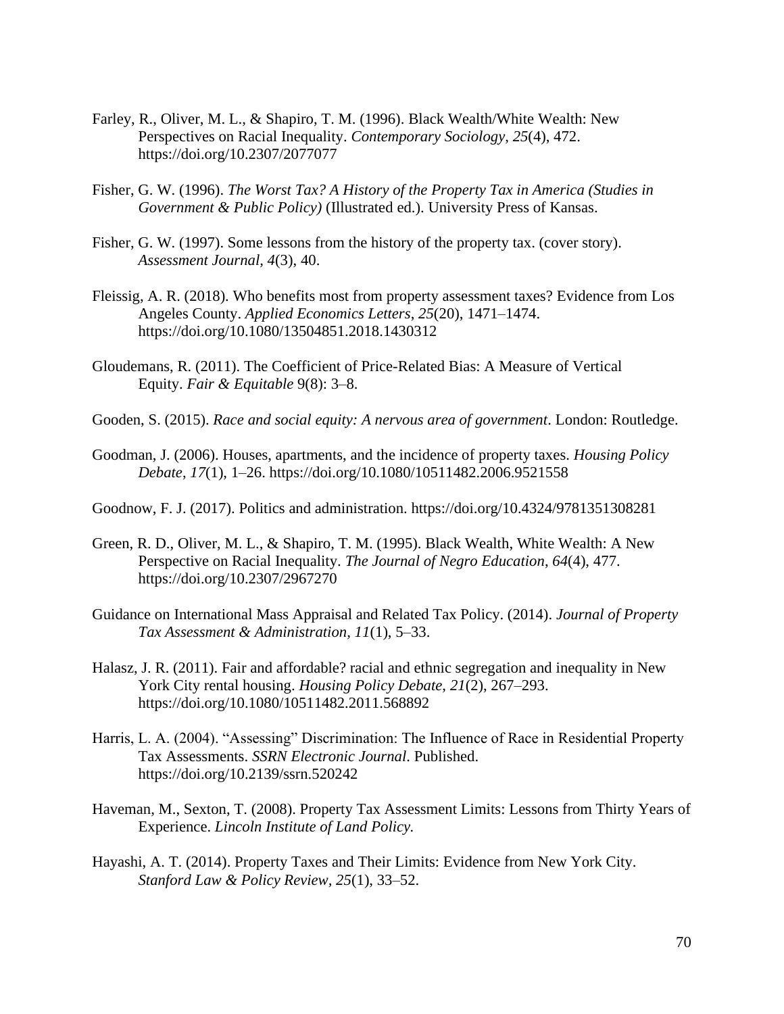- Farley, R., Oliver, M. L., & Shapiro, T. M. (1996). Black Wealth/White Wealth: New Perspectives on Racial Inequality. *Contemporary Sociology*, *25*(4), 472. https://doi.org/10.2307/2077077
- Fisher, G. W. (1996). *The Worst Tax? A History of the Property Tax in America (Studies in Government & Public Policy)* (Illustrated ed.). University Press of Kansas.
- Fisher, G. W. (1997). Some lessons from the history of the property tax. (cover story). *Assessment Journal, 4*(3), 40.
- Fleissig, A. R. (2018). Who benefits most from property assessment taxes? Evidence from Los Angeles County. *Applied Economics Letters*, *25*(20), 1471–1474. https://doi.org/10.1080/13504851.2018.1430312
- Gloudemans, R. (2011). The Coefficient of Price-Related Bias: A Measure of Vertical Equity. *Fair & Equitable* 9(8): 3–8.
- Gooden, S. (2015). *Race and social equity: A nervous area of government*. London: Routledge.
- Goodman, J. (2006). Houses, apartments, and the incidence of property taxes. *Housing Policy Debate*, *17*(1), 1–26. https://doi.org/10.1080/10511482.2006.9521558
- Goodnow, F. J. (2017). Politics and administration. https://doi.org/10.4324/9781351308281
- Green, R. D., Oliver, M. L., & Shapiro, T. M. (1995). Black Wealth, White Wealth: A New Perspective on Racial Inequality. *The Journal of Negro Education*, *64*(4), 477. https://doi.org/10.2307/2967270
- Guidance on International Mass Appraisal and Related Tax Policy. (2014). *Journal of Property Tax Assessment & Administration, 11*(1), 5–33.
- Halasz, J. R. (2011). Fair and affordable? racial and ethnic segregation and inequality in New York City rental housing. *Housing Policy Debate*, *21*(2), 267–293. https://doi.org/10.1080/10511482.2011.568892
- Harris, L. A. (2004). "Assessing" Discrimination: The Influence of Race in Residential Property Tax Assessments. *SSRN Electronic Journal*. Published. https://doi.org/10.2139/ssrn.520242
- Haveman, M., Sexton, T. (2008). Property Tax Assessment Limits: Lessons from Thirty Years of Experience. *Lincoln Institute of Land Policy.*
- Hayashi, A. T. (2014). Property Taxes and Their Limits: Evidence from New York City. *Stanford Law & Policy Review, 25*(1), 33–52.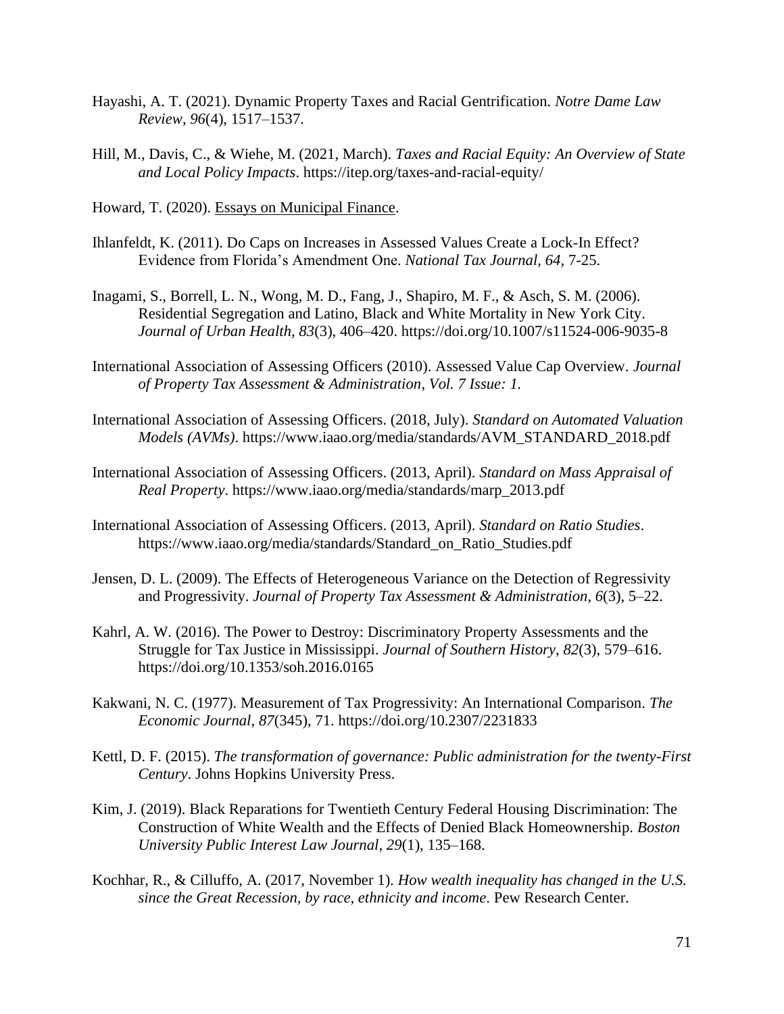- Hayashi, A. T. (2021). Dynamic Property Taxes and Racial Gentrification. *Notre Dame Law Review, 96*(4), 1517–1537.
- Hill, M., Davis, C., & Wiehe, M. (2021, March). *Taxes and Racial Equity: An Overview of State and Local Policy Impacts*. https://itep.org/taxes-and-racial-equity/

Howard, T. (2020). Essays on Municipal Finance.

- Ihlanfeldt, K. (2011). Do Caps on Increases in Assessed Values Create a Lock-In Effect? Evidence from Florida's Amendment One. *National Tax Journal, 64,* 7-25.
- Inagami, S., Borrell, L. N., Wong, M. D., Fang, J., Shapiro, M. F., & Asch, S. M. (2006). Residential Segregation and Latino, Black and White Mortality in New York City. *Journal of Urban Health, 83*(3), 406–420. https://doi.org/10.1007/s11524-006-9035-8
- International Association of Assessing Officers (2010). Assessed Value Cap Overview. *Journal of Property Tax Assessment & Administration*, *Vol. 7 Issue: 1.*
- International Association of Assessing Officers. (2018, July). *Standard on Automated Valuation Models (AVMs)*. https://www.iaao.org/media/standards/AVM\_STANDARD\_2018.pdf
- International Association of Assessing Officers. (2013, April). *Standard on Mass Appraisal of Real Property*. https://www.iaao.org/media/standards/marp\_2013.pdf
- International Association of Assessing Officers. (2013, April). *Standard on Ratio Studies*. https://www.iaao.org/media/standards/Standard\_on\_Ratio\_Studies.pdf
- Jensen, D. L. (2009). The Effects of Heterogeneous Variance on the Detection of Regressivity and Progressivity. *Journal of Property Tax Assessment & Administration, 6*(3), 5–22.
- Kahrl, A. W. (2016). The Power to Destroy: Discriminatory Property Assessments and the Struggle for Tax Justice in Mississippi. *Journal of Southern History*, *82*(3), 579–616. https://doi.org/10.1353/soh.2016.0165
- Kakwani, N. C. (1977). Measurement of Tax Progressivity: An International Comparison. *The Economic Journal*, *87*(345), 71. https://doi.org/10.2307/2231833
- Kettl, D. F. (2015). *The transformation of governance: Public administration for the twenty-First Century*. Johns Hopkins University Press.
- Kim, J. (2019). Black Reparations for Twentieth Century Federal Housing Discrimination: The Construction of White Wealth and the Effects of Denied Black Homeownership. *Boston University Public Interest Law Journal, 29*(1), 135–168.
- Kochhar, R., & Cilluffo, A. (2017, November 1). *How wealth inequality has changed in the U.S. since the Great Recession, by race, ethnicity and income*. Pew Research Center.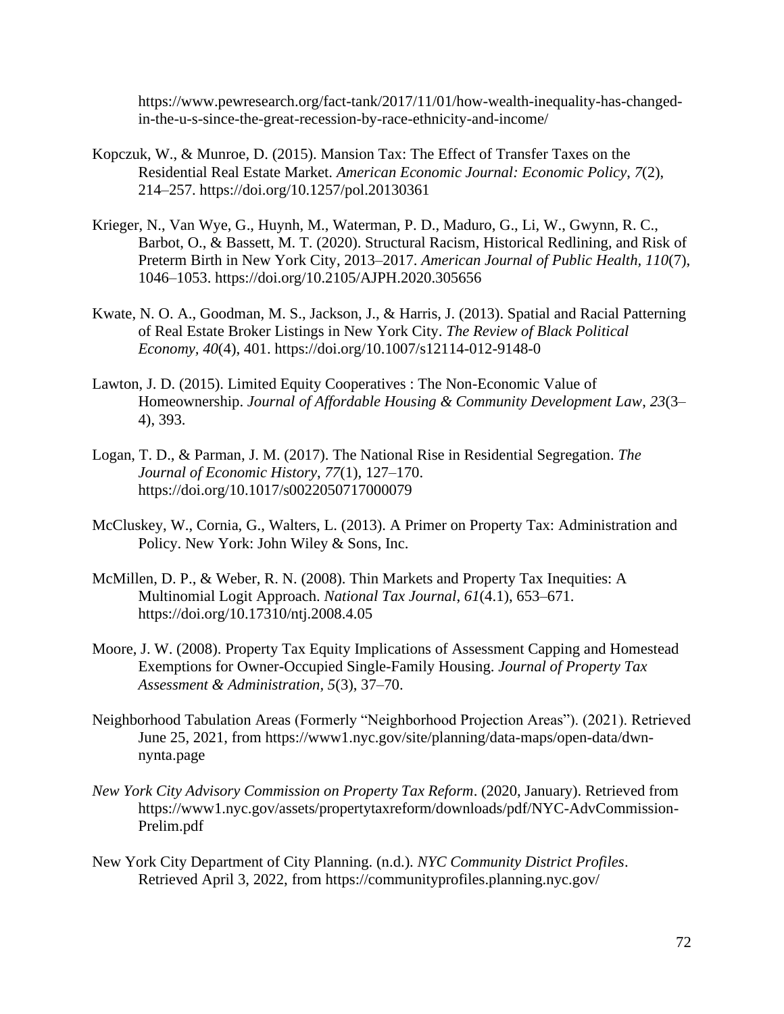https://www.pewresearch.org/fact-tank/2017/11/01/how-wealth-inequality-has-changedin-the-u-s-since-the-great-recession-by-race-ethnicity-and-income/

- Kopczuk, W., & Munroe, D. (2015). Mansion Tax: The Effect of Transfer Taxes on the Residential Real Estate Market. *American Economic Journal: Economic Policy*, *7*(2), 214–257. https://doi.org/10.1257/pol.20130361
- Krieger, N., Van Wye, G., Huynh, M., Waterman, P. D., Maduro, G., Li, W., Gwynn, R. C., Barbot, O., & Bassett, M. T. (2020). Structural Racism, Historical Redlining, and Risk of Preterm Birth in New York City, 2013–2017. *American Journal of Public Health, 110*(7), 1046–1053. https://doi.org/10.2105/AJPH.2020.305656
- Kwate, N. O. A., Goodman, M. S., Jackson, J., & Harris, J. (2013). Spatial and Racial Patterning of Real Estate Broker Listings in New York City. *The Review of Black Political Economy, 40*(4), 401. https://doi.org/10.1007/s12114-012-9148-0
- Lawton, J. D. (2015). Limited Equity Cooperatives : The Non-Economic Value of Homeownership. *Journal of Affordable Housing & Community Development Law*, *23*(3– 4), 393.
- Logan, T. D., & Parman, J. M. (2017). The National Rise in Residential Segregation. *The Journal of Economic History*, *77*(1), 127–170. https://doi.org/10.1017/s0022050717000079
- McCluskey, W., Cornia, G., Walters, L. (2013). A Primer on Property Tax: Administration and Policy. New York: John Wiley & Sons, Inc.
- McMillen, D. P., & Weber, R. N. (2008). Thin Markets and Property Tax Inequities: A Multinomial Logit Approach. *National Tax Journal*, *61*(4.1), 653–671. https://doi.org/10.17310/ntj.2008.4.05
- Moore, J. W. (2008). Property Tax Equity Implications of Assessment Capping and Homestead Exemptions for Owner-Occupied Single-Family Housing. *Journal of Property Tax Assessment & Administration, 5*(3), 37–70.
- Neighborhood Tabulation Areas (Formerly "Neighborhood Projection Areas"). (2021). Retrieved June 25, 2021, from https://www1.nyc.gov/site/planning/data-maps/open-data/dwnnynta.page
- *New York City Advisory Commission on Property Tax Reform*. (2020, January). Retrieved from https://www1.nyc.gov/assets/propertytaxreform/downloads/pdf/NYC-AdvCommission-Prelim.pdf
- New York City Department of City Planning. (n.d.). *NYC Community District Profiles*. Retrieved April 3, 2022, from https://communityprofiles.planning.nyc.gov/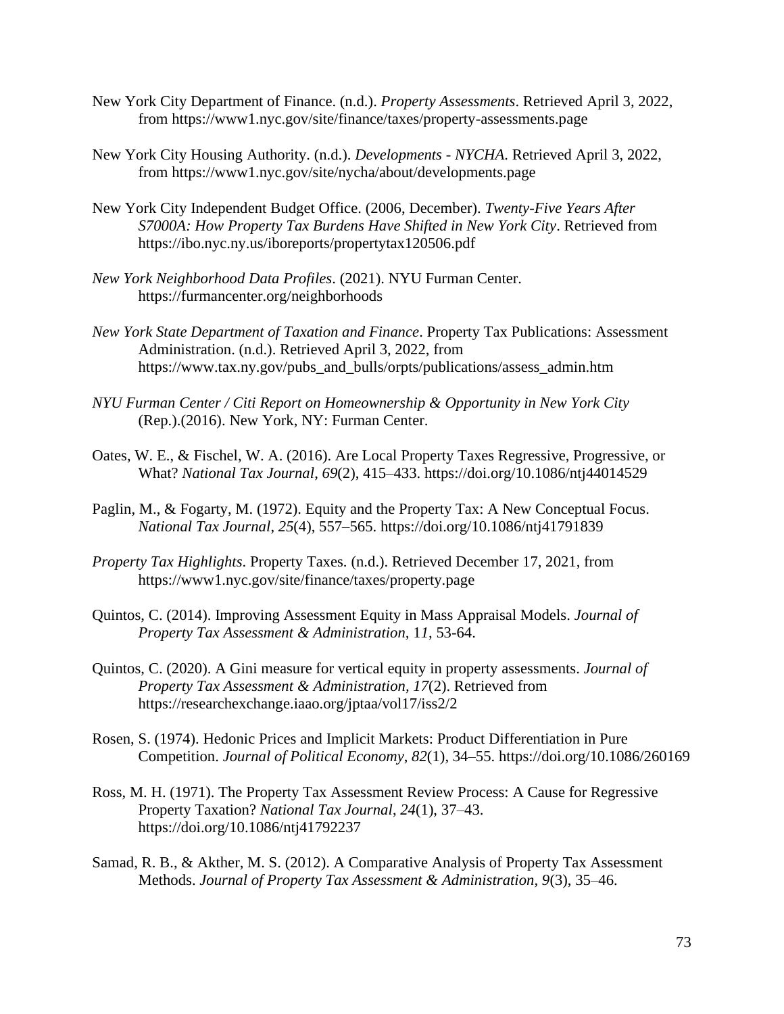- New York City Department of Finance. (n.d.). *Property Assessments*. Retrieved April 3, 2022, from https://www1.nyc.gov/site/finance/taxes/property-assessments.page
- New York City Housing Authority. (n.d.). *Developments - NYCHA*. Retrieved April 3, 2022, from https://www1.nyc.gov/site/nycha/about/developments.page
- New York City Independent Budget Office. (2006, December). *Twenty-Five Years After S7000A: How Property Tax Burdens Have Shifted in New York City*. Retrieved from https://ibo.nyc.ny.us/iboreports/propertytax120506.pdf
- *New York Neighborhood Data Profiles*. (2021). NYU Furman Center. https://furmancenter.org/neighborhoods
- *New York State Department of Taxation and Finance*. Property Tax Publications: Assessment Administration. (n.d.). Retrieved April 3, 2022, from https://www.tax.ny.gov/pubs\_and\_bulls/orpts/publications/assess\_admin.htm
- *NYU Furman Center / Citi Report on Homeownership & Opportunity in New York City* (Rep.).(2016). New York, NY: Furman Center.
- Oates, W. E., & Fischel, W. A. (2016). Are Local Property Taxes Regressive, Progressive, or What? *National Tax Journal*, *69*(2), 415–433. https://doi.org/10.1086/ntj44014529
- Paglin, M., & Fogarty, M. (1972). Equity and the Property Tax: A New Conceptual Focus. *National Tax Journal*, *25*(4), 557–565. https://doi.org/10.1086/ntj41791839
- *Property Tax Highlights*. Property Taxes. (n.d.). Retrieved December 17, 2021, from https://www1.nyc.gov/site/finance/taxes/property.page
- Quintos, C. (2014). Improving Assessment Equity in Mass Appraisal Models. *Journal of Property Tax Assessment & Administration,* 1*1,* 53-64.
- Quintos, C. (2020). A Gini measure for vertical equity in property assessments. *Journal of Property Tax Assessment & Administration, 17*(2). Retrieved from https://researchexchange.iaao.org/jptaa/vol17/iss2/2
- Rosen, S. (1974). Hedonic Prices and Implicit Markets: Product Differentiation in Pure Competition. *Journal of Political Economy*, *82*(1), 34–55. https://doi.org/10.1086/260169
- Ross, M. H. (1971). The Property Tax Assessment Review Process: A Cause for Regressive Property Taxation? *National Tax Journal*, *24*(1), 37–43. https://doi.org/10.1086/ntj41792237
- Samad, R. B., & Akther, M. S. (2012). A Comparative Analysis of Property Tax Assessment Methods. *Journal of Property Tax Assessment & Administration, 9*(3), 35–46.